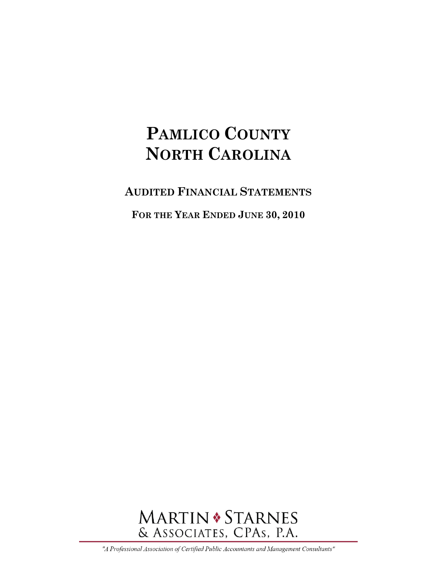**AUDITED FINANCIAL STATEMENTS**

**FOR THE YEAR ENDED JUNE 30, 2010** 



"A Professional Association of Certified Public Accountants and Management Consultants"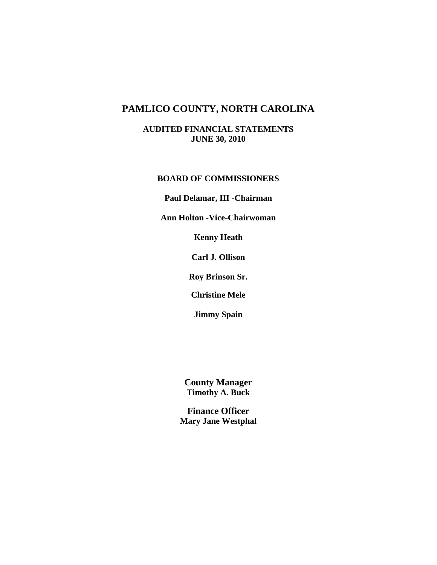**AUDITED FINANCIAL STATEMENTS JUNE 30, 2010** 

### **BOARD OF COMMISSIONERS**

**Paul Delamar, III -Chairman** 

**Ann Holton -Vice-Chairwoman** 

**Kenny Heath** 

**Carl J. Ollison** 

**Roy Brinson Sr.** 

**Christine Mele** 

**Jimmy Spain** 

**County Manager Timothy A. Buck** 

**Finance Officer Mary Jane Westphal**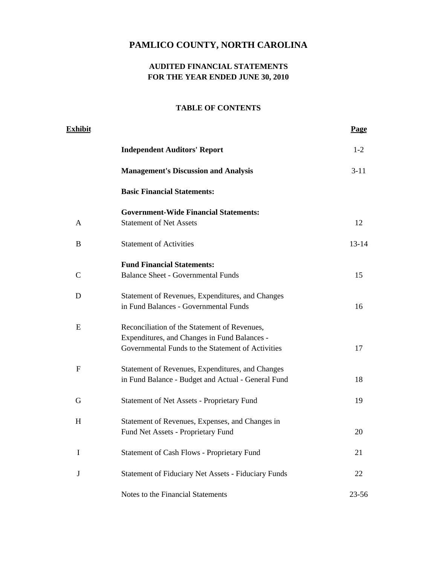### **AUDITED FINANCIAL STATEMENTS FOR THE YEAR ENDED JUNE 30, 2010**

| <b>Exhibit</b> |                                                            | <b>Page</b> |
|----------------|------------------------------------------------------------|-------------|
|                | <b>Independent Auditors' Report</b>                        | $1 - 2$     |
|                | <b>Management's Discussion and Analysis</b>                | $3 - 11$    |
|                | <b>Basic Financial Statements:</b>                         |             |
|                | <b>Government-Wide Financial Statements:</b>               |             |
| A              | <b>Statement of Net Assets</b>                             | 12          |
| B              | <b>Statement of Activities</b>                             | $13 - 14$   |
|                | <b>Fund Financial Statements:</b>                          |             |
| C              | <b>Balance Sheet - Governmental Funds</b>                  | 15          |
| D              | Statement of Revenues, Expenditures, and Changes           |             |
|                | in Fund Balances - Governmental Funds                      | 16          |
| E              | Reconciliation of the Statement of Revenues,               |             |
|                | Expenditures, and Changes in Fund Balances -               |             |
|                | Governmental Funds to the Statement of Activities          | 17          |
| ${\bf F}$      | Statement of Revenues, Expenditures, and Changes           |             |
|                | in Fund Balance - Budget and Actual - General Fund         | 18          |
| G              | Statement of Net Assets - Proprietary Fund                 | 19          |
| H              | Statement of Revenues, Expenses, and Changes in            |             |
|                | Fund Net Assets - Proprietary Fund                         | 20          |
| I              | Statement of Cash Flows - Proprietary Fund                 | 21          |
| $\bf J$        | <b>Statement of Fiduciary Net Assets - Fiduciary Funds</b> | 22          |
|                | Notes to the Financial Statements                          | 23-56       |
|                |                                                            |             |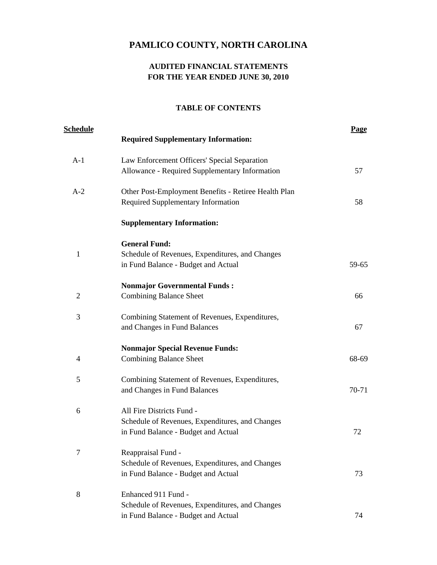# **AUDITED FINANCIAL STATEMENTS FOR THE YEAR ENDED JUNE 30, 2010**

| <u>Schedule</u> | <b>Required Supplementary Information:</b>                                                                          | <b>Page</b> |
|-----------------|---------------------------------------------------------------------------------------------------------------------|-------------|
| $A-1$           | Law Enforcement Officers' Special Separation<br>Allowance - Required Supplementary Information                      | 57          |
| $A-2$           | Other Post-Employment Benefits - Retiree Health Plan<br>Required Supplementary Information                          | 58          |
|                 | <b>Supplementary Information:</b>                                                                                   |             |
| 1               | <b>General Fund:</b><br>Schedule of Revenues, Expenditures, and Changes<br>in Fund Balance - Budget and Actual      | 59-65       |
| $\overline{2}$  | <b>Nonmajor Governmental Funds:</b><br><b>Combining Balance Sheet</b>                                               | 66          |
| 3               | Combining Statement of Revenues, Expenditures,<br>and Changes in Fund Balances                                      | 67          |
| 4               | <b>Nonmajor Special Revenue Funds:</b><br><b>Combining Balance Sheet</b>                                            | 68-69       |
| 5               | Combining Statement of Revenues, Expenditures,<br>and Changes in Fund Balances                                      | 70-71       |
| 6               | All Fire Districts Fund -<br>Schedule of Revenues, Expenditures, and Changes<br>in Fund Balance - Budget and Actual | 72          |
| 7               | Reappraisal Fund -<br>Schedule of Revenues, Expenditures, and Changes<br>in Fund Balance - Budget and Actual        | 73          |
| 8               | Enhanced 911 Fund -<br>Schedule of Revenues, Expenditures, and Changes<br>in Fund Balance - Budget and Actual       | 74          |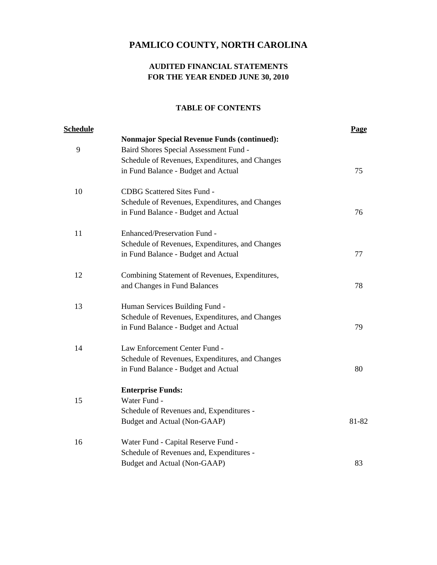# **AUDITED FINANCIAL STATEMENTS FOR THE YEAR ENDED JUNE 30, 2010**

| <u>Schedule</u> |                                                    | Page  |
|-----------------|----------------------------------------------------|-------|
|                 | <b>Nonmajor Special Revenue Funds (continued):</b> |       |
| 9               | Baird Shores Special Assessment Fund -             |       |
|                 | Schedule of Revenues, Expenditures, and Changes    |       |
|                 | in Fund Balance - Budget and Actual                | 75    |
| 10              | CDBG Scattered Sites Fund -                        |       |
|                 | Schedule of Revenues, Expenditures, and Changes    |       |
|                 | in Fund Balance - Budget and Actual                | 76    |
| 11              | Enhanced/Preservation Fund -                       |       |
|                 | Schedule of Revenues, Expenditures, and Changes    |       |
|                 | in Fund Balance - Budget and Actual                | 77    |
| 12              | Combining Statement of Revenues, Expenditures,     |       |
|                 | and Changes in Fund Balances                       | 78    |
| 13              | Human Services Building Fund -                     |       |
|                 | Schedule of Revenues, Expenditures, and Changes    |       |
|                 | in Fund Balance - Budget and Actual                | 79    |
| 14              | Law Enforcement Center Fund -                      |       |
|                 | Schedule of Revenues, Expenditures, and Changes    |       |
|                 | in Fund Balance - Budget and Actual                | 80    |
|                 | <b>Enterprise Funds:</b>                           |       |
| 15              | Water Fund -                                       |       |
|                 | Schedule of Revenues and, Expenditures -           |       |
|                 | Budget and Actual (Non-GAAP)                       | 81-82 |
| 16              | Water Fund - Capital Reserve Fund -                |       |
|                 | Schedule of Revenues and, Expenditures -           |       |
|                 | Budget and Actual (Non-GAAP)                       | 83    |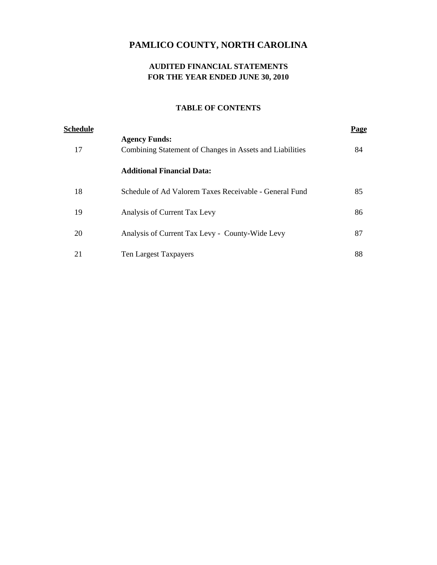# **AUDITED FINANCIAL STATEMENTS FOR THE YEAR ENDED JUNE 30, 2010**

| Schedule |                                                          | Page |
|----------|----------------------------------------------------------|------|
|          | <b>Agency Funds:</b>                                     |      |
| 17       | Combining Statement of Changes in Assets and Liabilities | 84   |
|          | <b>Additional Financial Data:</b>                        |      |
| 18       | Schedule of Ad Valorem Taxes Receivable - General Fund   | 85   |
| 19       | Analysis of Current Tax Levy                             | 86   |
| 20       | Analysis of Current Tax Levy - County-Wide Levy          | 87   |
| 21       | Ten Largest Taxpayers                                    | 88   |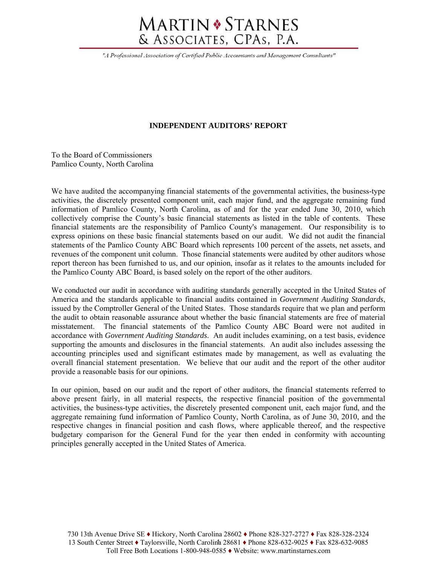# **MARTIN • STARNES** & ASSOCIATES, CPAs, P.A.

"A Professional Association of Certified Public Accountants and Management Consultants"

### **INDEPENDENT AUDITORS' REPORT**

To the Board of Commissioners Pamlico County, North Carolina

We have audited the accompanying financial statements of the governmental activities, the business-type activities, the discretely presented component unit, each major fund, and the aggregate remaining fund information of Pamlico County, North Carolina, as of and for the year ended June 30, 2010, which collectively comprise the County's basic financial statements as listed in the table of contents. These financial statements are the responsibility of Pamlico County's management. Our responsibility is to express opinions on these basic financial statements based on our audit. We did not audit the financial statements of the Pamlico County ABC Board which represents 100 percent of the assets, net assets, and revenues of the component unit column. Those financial statements were audited by other auditors whose report thereon has been furnished to us, and our opinion, insofar as it relates to the amounts included for the Pamlico County ABC Board, is based solely on the report of the other auditors.

We conducted our audit in accordance with auditing standards generally accepted in the United States of America and the standards applicable to financial audits contained in *Government Auditing Standards*, issued by the Comptroller General of the United States. Those standards require that we plan and perform the audit to obtain reasonable assurance about whether the basic financial statements are free of material misstatement. The financial statements of the Pamlico County ABC Board were not audited in accordance with *Government Auditing Standards*. An audit includes examining, on a test basis, evidence supporting the amounts and disclosures in the financial statements. An audit also includes assessing the accounting principles used and significant estimates made by management, as well as evaluating the overall financial statement presentation. We believe that our audit and the report of the other auditor provide a reasonable basis for our opinions.

In our opinion, based on our audit and the report of other auditors, the financial statements referred to above present fairly, in all material respects, the respective financial position of the governmental activities, the business-type activities, the discretely presented component unit, each major fund, and the aggregate remaining fund information of Pamlico County, North Carolina, as of June 30, 2010, and the respective changes in financial position and cash flows, where applicable thereof, and the respective budgetary comparison for the General Fund for the year then ended in conformity with accounting principles generally accepted in the United States of America.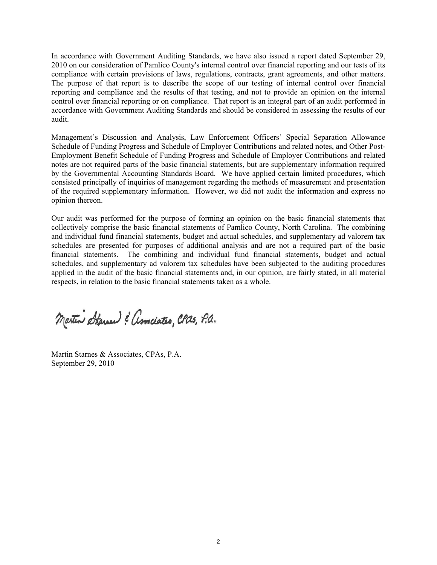In accordance with Government Auditing Standards, we have also issued a report dated September 29, 2010 on our consideration of Pamlico County's internal control over financial reporting and our tests of its compliance with certain provisions of laws, regulations, contracts, grant agreements, and other matters. The purpose of that report is to describe the scope of our testing of internal control over financial reporting and compliance and the results of that testing, and not to provide an opinion on the internal control over financial reporting or on compliance. That report is an integral part of an audit performed in accordance with Government Auditing Standards and should be considered in assessing the results of our audit.

Management's Discussion and Analysis, Law Enforcement Officers' Special Separation Allowance Schedule of Funding Progress and Schedule of Employer Contributions and related notes, and Other Post-Employment Benefit Schedule of Funding Progress and Schedule of Employer Contributions and related notes are not required parts of the basic financial statements, but are supplementary information required by the Governmental Accounting Standards Board. We have applied certain limited procedures, which consisted principally of inquiries of management regarding the methods of measurement and presentation of the required supplementary information. However, we did not audit the information and express no opinion thereon.

Our audit was performed for the purpose of forming an opinion on the basic financial statements that collectively comprise the basic financial statements of Pamlico County, North Carolina. The combining and individual fund financial statements, budget and actual schedules, and supplementary ad valorem tax schedules are presented for purposes of additional analysis and are not a required part of the basic financial statements. The combining and individual fund financial statements, budget and actual schedules, and supplementary ad valorem tax schedules have been subjected to the auditing procedures applied in the audit of the basic financial statements and, in our opinion, are fairly stated, in all material respects, in relation to the basic financial statements taken as a whole.

Martin Starner & associates, CPas, P.a.

Martin Starnes & Associates, CPAs, P.A. September 29, 2010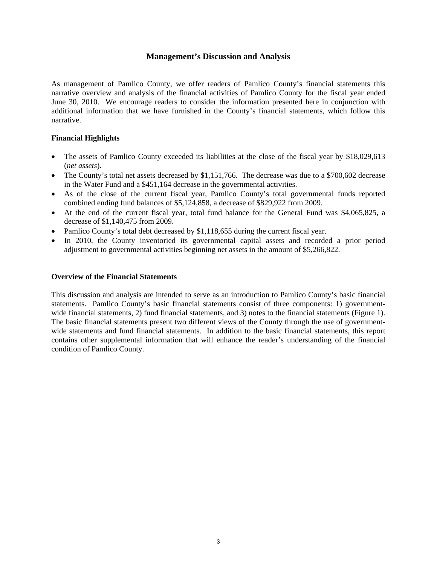### **Management's Discussion and Analysis**

As management of Pamlico County, we offer readers of Pamlico County's financial statements this narrative overview and analysis of the financial activities of Pamlico County for the fiscal year ended June 30, 2010. We encourage readers to consider the information presented here in conjunction with additional information that we have furnished in the County's financial statements, which follow this narrative.

### **Financial Highlights**

- The assets of Pamlico County exceeded its liabilities at the close of the fiscal year by \$18,029,613 (*net assets*).
- The County's total net assets decreased by \$1,151,766. The decrease was due to a \$700,602 decrease in the Water Fund and a \$451,164 decrease in the governmental activities.
- As of the close of the current fiscal year, Pamlico County's total governmental funds reported combined ending fund balances of \$5,124,858, a decrease of \$829,922 from 2009.
- At the end of the current fiscal year, total fund balance for the General Fund was \$4,065,825, a decrease of \$1,140,475 from 2009.
- Pamlico County's total debt decreased by \$1,118,655 during the current fiscal year.
- In 2010, the County inventoried its governmental capital assets and recorded a prior period adjustment to governmental activities beginning net assets in the amount of \$5,266,822.

### **Overview of the Financial Statements**

This discussion and analysis are intended to serve as an introduction to Pamlico County's basic financial statements. Pamlico County's basic financial statements consist of three components: 1) governmentwide financial statements, 2) fund financial statements, and 3) notes to the financial statements (Figure 1). The basic financial statements present two different views of the County through the use of governmentwide statements and fund financial statements. In addition to the basic financial statements, this report contains other supplemental information that will enhance the reader's understanding of the financial condition of Pamlico County.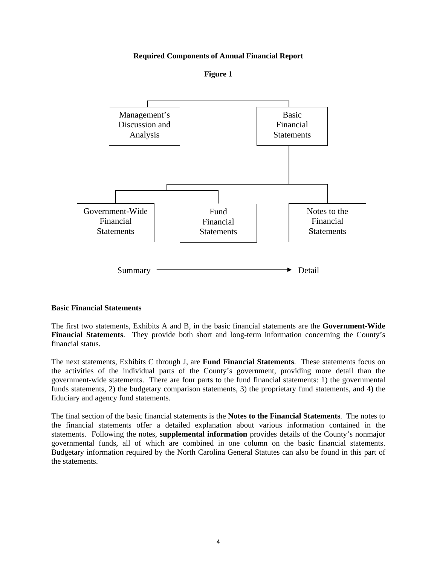### **Required Components of Annual Financial Report**

**Figure 1** 



#### **Basic Financial Statements**

The first two statements, Exhibits A and B, in the basic financial statements are the **Government-Wide Financial Statements**. They provide both short and long-term information concerning the County's financial status.

The next statements, Exhibits C through J, are **Fund Financial Statements**. These statements focus on the activities of the individual parts of the County's government, providing more detail than the government-wide statements. There are four parts to the fund financial statements: 1) the governmental funds statements, 2) the budgetary comparison statements, 3) the proprietary fund statements, and 4) the fiduciary and agency fund statements.

The final section of the basic financial statements is the **Notes to the Financial Statements**. The notes to the financial statements offer a detailed explanation about various information contained in the statements. Following the notes, **supplemental information** provides details of the County's nonmajor governmental funds, all of which are combined in one column on the basic financial statements. Budgetary information required by the North Carolina General Statutes can also be found in this part of the statements.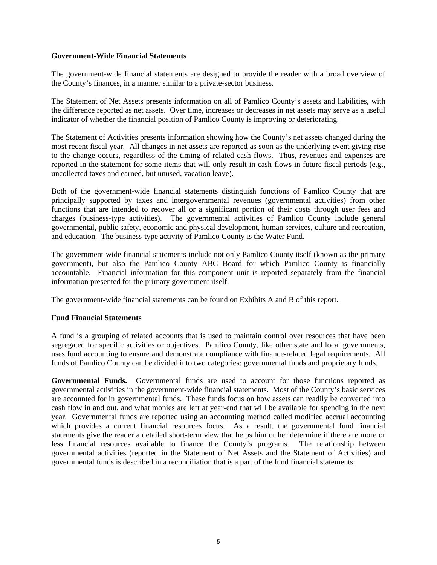### **Government-Wide Financial Statements**

The government-wide financial statements are designed to provide the reader with a broad overview of the County's finances, in a manner similar to a private-sector business.

The Statement of Net Assets presents information on all of Pamlico County's assets and liabilities, with the difference reported as net assets. Over time, increases or decreases in net assets may serve as a useful indicator of whether the financial position of Pamlico County is improving or deteriorating.

The Statement of Activities presents information showing how the County's net assets changed during the most recent fiscal year. All changes in net assets are reported as soon as the underlying event giving rise to the change occurs, regardless of the timing of related cash flows. Thus, revenues and expenses are reported in the statement for some items that will only result in cash flows in future fiscal periods (e.g., uncollected taxes and earned, but unused, vacation leave).

Both of the government-wide financial statements distinguish functions of Pamlico County that are principally supported by taxes and intergovernmental revenues (governmental activities) from other functions that are intended to recover all or a significant portion of their costs through user fees and charges (business-type activities). The governmental activities of Pamlico County include general governmental, public safety, economic and physical development, human services, culture and recreation, and education. The business-type activity of Pamlico County is the Water Fund.

The government-wide financial statements include not only Pamlico County itself (known as the primary government), but also the Pamlico County ABC Board for which Pamlico County is financially accountable. Financial information for this component unit is reported separately from the financial information presented for the primary government itself.

The government-wide financial statements can be found on Exhibits A and B of this report.

### **Fund Financial Statements**

A fund is a grouping of related accounts that is used to maintain control over resources that have been segregated for specific activities or objectives. Pamlico County, like other state and local governments, uses fund accounting to ensure and demonstrate compliance with finance-related legal requirements. All funds of Pamlico County can be divided into two categories: governmental funds and proprietary funds.

**Governmental Funds.** Governmental funds are used to account for those functions reported as governmental activities in the government-wide financial statements. Most of the County's basic services are accounted for in governmental funds. These funds focus on how assets can readily be converted into cash flow in and out, and what monies are left at year-end that will be available for spending in the next year. Governmental funds are reported using an accounting method called modified accrual accounting which provides a current financial resources focus. As a result, the governmental fund financial statements give the reader a detailed short-term view that helps him or her determine if there are more or less financial resources available to finance the County's programs. The relationship between governmental activities (reported in the Statement of Net Assets and the Statement of Activities) and governmental funds is described in a reconciliation that is a part of the fund financial statements.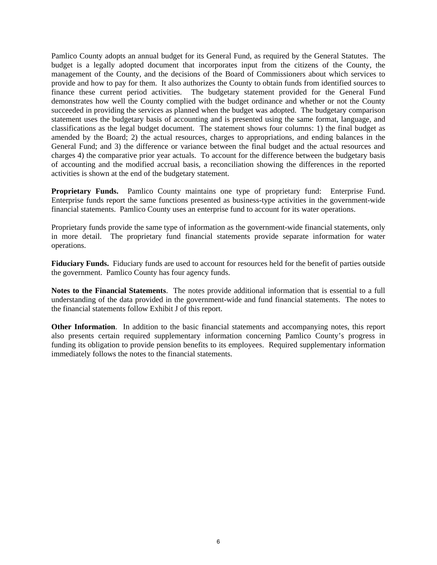Pamlico County adopts an annual budget for its General Fund, as required by the General Statutes. The budget is a legally adopted document that incorporates input from the citizens of the County, the management of the County, and the decisions of the Board of Commissioners about which services to provide and how to pay for them. It also authorizes the County to obtain funds from identified sources to finance these current period activities. The budgetary statement provided for the General Fund demonstrates how well the County complied with the budget ordinance and whether or not the County succeeded in providing the services as planned when the budget was adopted. The budgetary comparison statement uses the budgetary basis of accounting and is presented using the same format, language, and classifications as the legal budget document. The statement shows four columns: 1) the final budget as amended by the Board; 2) the actual resources, charges to appropriations, and ending balances in the General Fund; and 3) the difference or variance between the final budget and the actual resources and charges 4) the comparative prior year actuals. To account for the difference between the budgetary basis of accounting and the modified accrual basis, a reconciliation showing the differences in the reported activities is shown at the end of the budgetary statement.

**Proprietary Funds.** Pamlico County maintains one type of proprietary fund: Enterprise Fund. Enterprise funds report the same functions presented as business-type activities in the government-wide financial statements. Pamlico County uses an enterprise fund to account for its water operations.

Proprietary funds provide the same type of information as the government-wide financial statements, only in more detail. The proprietary fund financial statements provide separate information for water operations.

**Fiduciary Funds.** Fiduciary funds are used to account for resources held for the benefit of parties outside the government. Pamlico County has four agency funds.

**Notes to the Financial Statements**. The notes provide additional information that is essential to a full understanding of the data provided in the government-wide and fund financial statements. The notes to the financial statements follow Exhibit J of this report.

**Other Information**. In addition to the basic financial statements and accompanying notes, this report also presents certain required supplementary information concerning Pamlico County's progress in funding its obligation to provide pension benefits to its employees. Required supplementary information immediately follows the notes to the financial statements.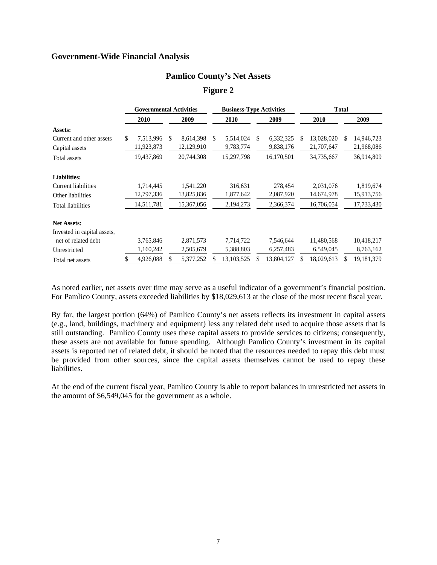### **Government-Wide Financial Analysis**

### **Pamlico County's Net Assets**

**Figure 2** 

|                             | <b>Governmental Activities</b> |               |            | <b>Business-Type Activities</b> |                 |                  | <b>Total</b> |            |
|-----------------------------|--------------------------------|---------------|------------|---------------------------------|-----------------|------------------|--------------|------------|
|                             | 2010                           |               | 2009       | 2010                            | 2009            | 2010             |              | 2009       |
| Assets:                     |                                |               |            |                                 |                 |                  |              |            |
| Current and other assets    | \$<br>7,513,996                | <sup>\$</sup> | 8,614,398  | \$<br>5,514,024                 | \$<br>6,332,325 | \$<br>13,028,020 | \$           | 14,946,723 |
| Capital assets              | 11,923,873                     |               | 12,129,910 | 9,783,774                       | 9,838,176       | 21,707,647       |              | 21,968,086 |
| Total assets                | 19,437,869                     |               | 20,744,308 | 15,297,798                      | 16,170,501      | 34,735,667       |              | 36,914,809 |
| <b>Liabilities:</b>         |                                |               |            |                                 |                 |                  |              |            |
| Current liabilities         | 1,714,445                      |               | 1,541,220  | 316,631                         | 278,454         | 2,031,076        |              | 1,819,674  |
| Other liabilities           | 12,797,336                     |               | 13,825,836 | 1,877,642                       | 2,087,920       | 14,674,978       |              | 15,913,756 |
| <b>Total liabilities</b>    | 14,511,781                     |               | 15,367,056 | 2,194,273                       | 2,366,374       | 16,706,054       |              | 17,733,430 |
| <b>Net Assets:</b>          |                                |               |            |                                 |                 |                  |              |            |
| Invested in capital assets, |                                |               |            |                                 |                 |                  |              |            |
| net of related debt         | 3,765,846                      |               | 2,871,573  | 7,714,722                       | 7,546,644       | 11,480,568       |              | 10,418,217 |
| Unrestricted                | 1,160,242                      |               | 2,505,679  | 5,388,803                       | 6,257,483       | 6,549,045        |              | 8,763,162  |
| Total net assets            | 4,926,088                      |               | 5,377,252  | 13,103,525                      | 13,804,127      | 18,029,613       |              | 19,181,379 |

As noted earlier, net assets over time may serve as a useful indicator of a government's financial position. For Pamlico County, assets exceeded liabilities by \$18,029,613 at the close of the most recent fiscal year.

By far, the largest portion (64%) of Pamlico County's net assets reflects its investment in capital assets (e.g., land, buildings, machinery and equipment) less any related debt used to acquire those assets that is still outstanding. Pamlico County uses these capital assets to provide services to citizens; consequently, these assets are not available for future spending. Although Pamlico County's investment in its capital assets is reported net of related debt, it should be noted that the resources needed to repay this debt must be provided from other sources, since the capital assets themselves cannot be used to repay these liabilities.

At the end of the current fiscal year, Pamlico County is able to report balances in unrestricted net assets in the amount of \$6,549,045 for the government as a whole.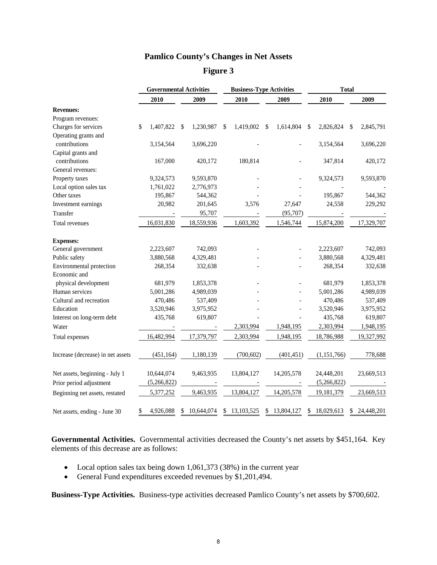# **Pamlico County's Changes in Net Assets**

**Figure 3** 

|                                   | <b>Governmental Activities</b> |    |            |                  | <b>Total</b><br><b>Business-Type Activities</b> |            |    |               |    |            |  |
|-----------------------------------|--------------------------------|----|------------|------------------|-------------------------------------------------|------------|----|---------------|----|------------|--|
|                                   | 2010                           |    | 2009       | 2010             |                                                 | 2009       |    | 2010          |    | 2009       |  |
| <b>Revenues:</b>                  |                                |    |            |                  |                                                 |            |    |               |    |            |  |
| Program revenues:                 |                                |    |            |                  |                                                 |            |    |               |    |            |  |
| Charges for services              | \$<br>1,407,822                | S  | 1,230,987  | \$<br>1,419,002  | \$                                              | 1,614,804  | \$ | 2,826,824     | S  | 2,845,791  |  |
| Operating grants and              |                                |    |            |                  |                                                 |            |    |               |    |            |  |
| contributions                     | 3,154,564                      |    | 3,696,220  |                  |                                                 |            |    | 3,154,564     |    | 3,696,220  |  |
| Capital grants and                |                                |    |            |                  |                                                 |            |    |               |    |            |  |
| contributions                     | 167,000                        |    | 420,172    | 180,814          |                                                 |            |    | 347,814       |    | 420,172    |  |
| General revenues:                 |                                |    |            |                  |                                                 |            |    |               |    |            |  |
| Property taxes                    | 9,324,573                      |    | 9,593,870  |                  |                                                 |            |    | 9,324,573     |    | 9,593,870  |  |
| Local option sales tax            | 1,761,022                      |    | 2,776,973  |                  |                                                 |            |    |               |    |            |  |
| Other taxes                       | 195,867                        |    | 544,362    |                  |                                                 |            |    | 195,867       |    | 544,362    |  |
| Investment earnings               | 20,982                         |    | 201,645    | 3,576            |                                                 | 27,647     |    | 24,558        |    | 229,292    |  |
| Transfer                          |                                |    | 95,707     |                  |                                                 | (95,707)   |    |               |    |            |  |
| Total revenues                    | 16,031,830                     |    | 18,559,936 | 1,603,392        |                                                 | 1,546,744  |    | 15,874,200    |    | 17,329,707 |  |
| <b>Expenses:</b>                  |                                |    |            |                  |                                                 |            |    |               |    |            |  |
| General government                | 2,223,607                      |    | 742,093    |                  |                                                 |            |    | 2,223,607     |    | 742,093    |  |
| Public safety                     | 3,880,568                      |    | 4,329,481  |                  |                                                 |            |    | 3,880,568     |    | 4,329,481  |  |
| Environmental protection          | 268,354                        |    | 332,638    |                  |                                                 |            |    | 268,354       |    | 332,638    |  |
| Economic and                      |                                |    |            |                  |                                                 |            |    |               |    |            |  |
| physical development              | 681,979                        |    | 1,853,378  |                  |                                                 |            |    | 681,979       |    | 1,853,378  |  |
| Human services                    | 5,001,286                      |    | 4,989,039  |                  |                                                 |            |    | 5,001,286     |    | 4,989,039  |  |
| Cultural and recreation           | 470,486                        |    | 537,409    |                  |                                                 |            |    | 470,486       |    | 537,409    |  |
| Education                         | 3,520,946                      |    | 3,975,952  |                  |                                                 |            |    | 3,520,946     |    | 3,975,952  |  |
| Interest on long-term debt        | 435,768                        |    | 619,807    |                  |                                                 |            |    | 435,768       |    | 619,807    |  |
| Water                             |                                |    |            | 2,303,994        |                                                 | 1,948,195  |    | 2,303,994     |    | 1,948,195  |  |
| Total expenses                    | 16,482,994                     |    | 17,379,797 | 2,303,994        |                                                 | 1,948,195  |    | 18,786,988    |    | 19,327,992 |  |
| Increase (decrease) in net assets | (451, 164)                     |    | 1,180,139  | (700, 602)       |                                                 | (401, 451) |    | (1, 151, 766) |    | 778,688    |  |
| Net assets, beginning - July 1    | 10,644,074                     |    | 9,463,935  | 13,804,127       |                                                 | 14,205,578 |    | 24,448,201    |    | 23,669,513 |  |
| Prior period adjustment           | (5,266,822)                    |    |            |                  |                                                 |            |    | (5,266,822)   |    |            |  |
| Beginning net assets, restated    | 5,377,252                      |    | 9,463,935  | 13,804,127       |                                                 | 14,205,578 |    | 19,181,379    |    | 23,669,513 |  |
| Net assets, ending - June 30      | \$<br>4,926,088                | \$ | 10,644,074 | \$<br>13,103,525 | \$                                              | 13,804,127 | \$ | 18,029,613    | \$ | 24,448,201 |  |

**Governmental Activities.** Governmental activities decreased the County's net assets by \$451,164. Key elements of this decrease are as follows:

- Local option sales tax being down 1,061,373 (38%) in the current year
- General Fund expenditures exceeded revenues by \$1,201,494.

**Business-Type Activities.** Business-type activities decreased Pamlico County's net assets by \$700,602.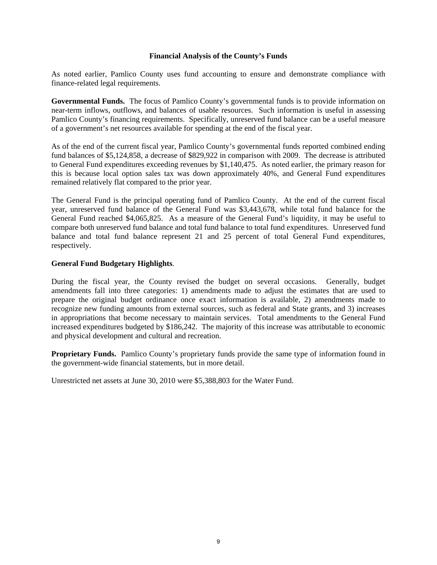### **Financial Analysis of the County's Funds**

As noted earlier, Pamlico County uses fund accounting to ensure and demonstrate compliance with finance-related legal requirements.

**Governmental Funds.** The focus of Pamlico County's governmental funds is to provide information on near-term inflows, outflows, and balances of usable resources. Such information is useful in assessing Pamlico County's financing requirements. Specifically, unreserved fund balance can be a useful measure of a government's net resources available for spending at the end of the fiscal year.

As of the end of the current fiscal year, Pamlico County's governmental funds reported combined ending fund balances of \$5,124,858, a decrease of \$829,922 in comparison with 2009. The decrease is attributed to General Fund expenditures exceeding revenues by \$1,140,475. As noted earlier, the primary reason for this is because local option sales tax was down approximately 40%, and General Fund expenditures remained relatively flat compared to the prior year.

The General Fund is the principal operating fund of Pamlico County. At the end of the current fiscal year, unreserved fund balance of the General Fund was \$3,443,678, while total fund balance for the General Fund reached \$4,065,825. As a measure of the General Fund's liquidity, it may be useful to compare both unreserved fund balance and total fund balance to total fund expenditures. Unreserved fund balance and total fund balance represent 21 and 25 percent of total General Fund expenditures, respectively.

### **General Fund Budgetary Highlights**.

During the fiscal year, the County revised the budget on several occasions. Generally, budget amendments fall into three categories: 1) amendments made to adjust the estimates that are used to prepare the original budget ordinance once exact information is available, 2) amendments made to recognize new funding amounts from external sources, such as federal and State grants, and 3) increases in appropriations that become necessary to maintain services. Total amendments to the General Fund increased expenditures budgeted by \$186,242. The majority of this increase was attributable to economic and physical development and cultural and recreation.

**Proprietary Funds.** Pamlico County's proprietary funds provide the same type of information found in the government-wide financial statements, but in more detail.

Unrestricted net assets at June 30, 2010 were \$5,388,803 for the Water Fund.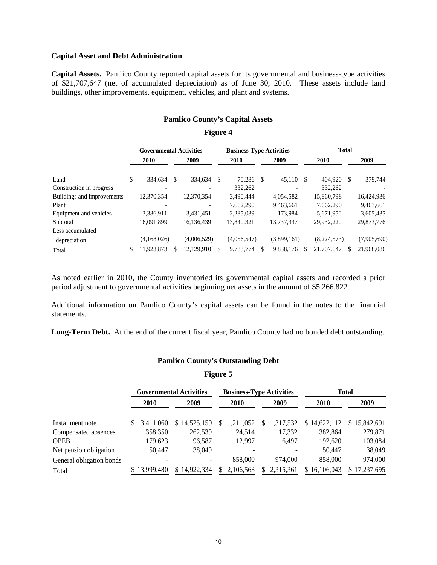#### **Capital Asset and Debt Administration**

**Capital Assets.** Pamlico County reported capital assets for its governmental and business-type activities of \$21,707,647 (net of accumulated depreciation) as of June 30, 2010. These assets include land buildings, other improvements, equipment, vehicles, and plant and systems.

### **Pamlico County's Capital Assets**

#### **Figure 4**

|                            |      | <b>Governmental Activities</b> |      |             |      | <b>Business-Type Activities</b> |      | <b>Total</b> |      |             |   |             |
|----------------------------|------|--------------------------------|------|-------------|------|---------------------------------|------|--------------|------|-------------|---|-------------|
|                            | 2010 |                                | 2009 |             | 2010 |                                 | 2009 |              | 2010 |             |   | 2009        |
| Land                       | \$   | 334,634                        | S    | 334,634     | S    | 70.286 \$                       |      | 45,110       | -S   | 404.920     | S | 379,744     |
| Construction in progress   |      | $\overline{\phantom{a}}$       |      |             |      | 332.262                         |      |              |      | 332.262     |   |             |
| Buildings and improvements |      | 12,370,354                     |      | 12,370,354  |      | 3,490,444                       |      | 4,054,582    |      | 15,860,798  |   | 16,424,936  |
| Plant                      |      |                                |      |             |      | 7.662.290                       |      | 9,463,661    |      | 7.662.290   |   | 9,463,661   |
| Equipment and vehicles     |      | 3.386.911                      |      | 3.431.451   |      | 2,285,039                       |      | 173.984      |      | 5,671,950   |   | 3,605,435   |
| Subtotal                   |      | 16.091.899                     |      | 16.136.439  |      | 13.840.321                      |      | 13.737.337   |      | 29.932.220  |   | 29,873,776  |
| Less accumulated           |      |                                |      |             |      |                                 |      |              |      |             |   |             |
| depreciation               |      | (4,168,026)                    |      | (4,006,529) |      | (4,056,547)                     |      | (3,899,161)  |      | (8,224,573) |   | (7,905,690) |
| Total                      |      | 11,923,873                     |      | 12,129,910  |      | 9,783,774                       |      | 9,838,176    |      | 21,707,647  |   | 21,968,086  |

As noted earlier in 2010, the County inventoried its governmental capital assets and recorded a prior period adjustment to governmental activities beginning net assets in the amount of \$5,266,822.

Additional information on Pamlico County's capital assets can be found in the notes to the financial statements.

**Long-Term Debt.** At the end of the current fiscal year, Pamlico County had no bonded debt outstanding.

### **Pamlico County's Outstanding Debt**

**Figure 5**

|                          |              | <b>Governmental Activities</b> |                | <b>Business-Type Activities</b> |              | <b>Total</b> |  |
|--------------------------|--------------|--------------------------------|----------------|---------------------------------|--------------|--------------|--|
|                          | 2010         | 2009                           | <b>2010</b>    | 2009                            | 2010         | 2009         |  |
| Installment note         | \$13,411,060 | \$14,525,159                   | 1,211,052<br>S | 1,317,532<br>S.                 | \$14,622,112 | \$15,842,691 |  |
| Compensated absences     | 358,350      | 262,539                        | 24,514         | 17,332                          | 382,864      | 279,871      |  |
| OPEB                     | 179,623      | 96,587                         | 12.997         | 6.497                           | 192,620      | 103,084      |  |
| Net pension obligation   | 50.447       | 38,049                         |                |                                 | 50.447       | 38,049       |  |
| General obligation bonds |              |                                | 858,000        | 974,000                         | 858,000      | 974,000      |  |
| Total                    | 13,999,480   | 14.922.334<br>S.               | 2,106,563<br>S | 2,315,361<br>S.                 | \$16,106,043 | 17,237,695   |  |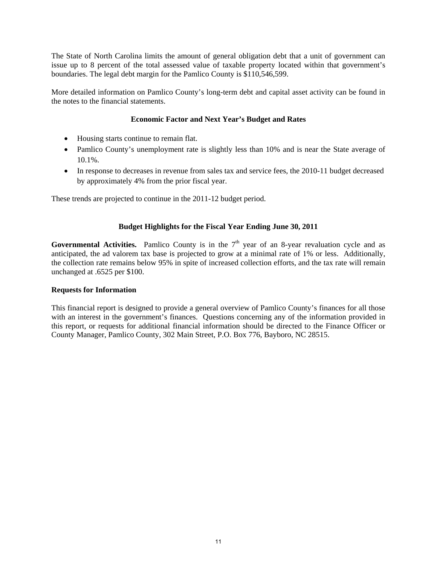The State of North Carolina limits the amount of general obligation debt that a unit of government can issue up to 8 percent of the total assessed value of taxable property located within that government's boundaries. The legal debt margin for the Pamlico County is \$110,546,599.

More detailed information on Pamlico County's long-term debt and capital asset activity can be found in the notes to the financial statements.

### **Economic Factor and Next Year's Budget and Rates**

- Housing starts continue to remain flat.
- Pamlico County's unemployment rate is slightly less than 10% and is near the State average of 10.1%.
- In response to decreases in revenue from sales tax and service fees, the 2010-11 budget decreased by approximately 4% from the prior fiscal year.

These trends are projected to continue in the 2011-12 budget period.

### **Budget Highlights for the Fiscal Year Ending June 30, 2011**

**Governmental Activities.** Pamlico County is in the  $7<sup>th</sup>$  year of an 8-year revaluation cycle and as anticipated, the ad valorem tax base is projected to grow at a minimal rate of 1% or less. Additionally, the collection rate remains below 95% in spite of increased collection efforts, and the tax rate will remain unchanged at .6525 per \$100.

### **Requests for Information**

This financial report is designed to provide a general overview of Pamlico County's finances for all those with an interest in the government's finances. Questions concerning any of the information provided in this report, or requests for additional financial information should be directed to the Finance Officer or County Manager, Pamlico County, 302 Main Street, P.O. Box 776, Bayboro, NC 28515.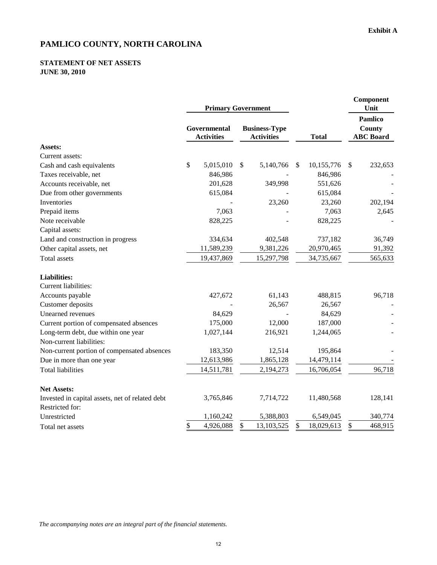### **STATEMENT OF NET ASSETS JUNE 30, 2010**

|                                                 | <b>Primary Government</b>         |                           |                                           |               |            |                                              | Component<br>Unit |
|-------------------------------------------------|-----------------------------------|---------------------------|-------------------------------------------|---------------|------------|----------------------------------------------|-------------------|
|                                                 | Governmental<br><b>Activities</b> |                           | <b>Business-Type</b><br><b>Activities</b> | <b>Total</b>  |            | <b>Pamlico</b><br>County<br><b>ABC</b> Board |                   |
| <b>Assets:</b>                                  |                                   |                           |                                           |               |            |                                              |                   |
| Current assets:                                 |                                   |                           |                                           |               |            |                                              |                   |
| Cash and cash equivalents                       | \$<br>5,015,010                   | $\boldsymbol{\mathsf{S}}$ | 5,140,766                                 | $\mathcal{S}$ | 10,155,776 | $\mathcal{S}$                                | 232,653           |
| Taxes receivable, net                           | 846,986                           |                           |                                           |               | 846,986    |                                              |                   |
| Accounts receivable, net                        | 201,628                           |                           | 349,998                                   |               | 551,626    |                                              |                   |
| Due from other governments                      | 615,084                           |                           |                                           |               | 615,084    |                                              |                   |
| Inventories                                     |                                   |                           | 23,260                                    |               | 23,260     |                                              | 202,194           |
| Prepaid items                                   | 7,063                             |                           |                                           |               | 7,063      |                                              | 2,645             |
| Note receivable                                 | 828,225                           |                           |                                           |               | 828,225    |                                              |                   |
| Capital assets:                                 |                                   |                           |                                           |               |            |                                              |                   |
| Land and construction in progress               | 334,634                           |                           | 402,548                                   |               | 737,182    |                                              | 36,749            |
| Other capital assets, net                       | 11,589,239                        |                           | 9,381,226                                 |               | 20,970,465 |                                              | 91,392            |
| <b>Total</b> assets                             | 19,437,869                        |                           | 15,297,798                                |               | 34,735,667 |                                              | 565,633           |
| <b>Liabilities:</b>                             |                                   |                           |                                           |               |            |                                              |                   |
| Current liabilities:                            |                                   |                           |                                           |               |            |                                              |                   |
| Accounts payable                                | 427,672                           |                           | 61,143                                    |               | 488,815    |                                              | 96,718            |
| Customer deposits                               |                                   |                           | 26,567                                    |               | 26,567     |                                              |                   |
| Unearned revenues                               | 84,629                            |                           |                                           |               | 84,629     |                                              |                   |
| Current portion of compensated absences         | 175,000                           |                           | 12,000                                    |               | 187,000    |                                              |                   |
| Long-term debt, due within one year             | 1,027,144                         |                           | 216,921                                   |               | 1,244,065  |                                              |                   |
| Non-current liabilities:                        |                                   |                           |                                           |               |            |                                              |                   |
| Non-current portion of compensated absences     | 183,350                           |                           | 12,514                                    |               | 195,864    |                                              |                   |
| Due in more than one year                       | 12,613,986                        |                           | 1,865,128                                 |               | 14,479,114 |                                              |                   |
| <b>Total liabilities</b>                        | 14,511,781                        |                           | 2,194,273                                 |               | 16,706,054 |                                              | 96,718            |
| <b>Net Assets:</b>                              |                                   |                           |                                           |               |            |                                              |                   |
| Invested in capital assets, net of related debt | 3,765,846                         |                           | 7,714,722                                 |               | 11,480,568 |                                              | 128,141           |
| Restricted for:                                 |                                   |                           |                                           |               |            |                                              |                   |
| Unrestricted                                    | 1,160,242                         |                           | 5,388,803                                 |               | 6,549,045  |                                              | 340,774           |
| Total net assets                                | \$<br>4,926,088                   | \$                        | 13,103,525                                | \$            | 18,029,613 | \$                                           | 468,915           |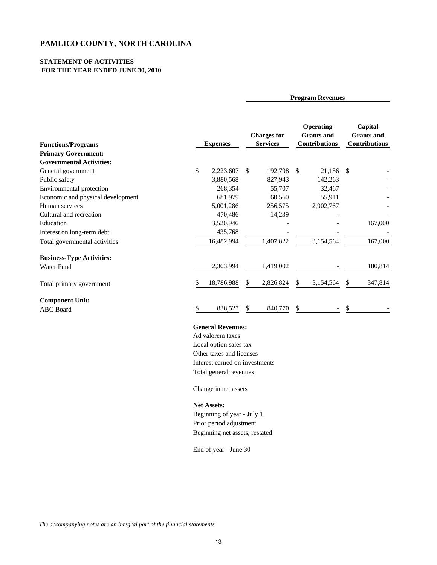#### **STATEMENT OF ACTIVITIES FOR THE YEAR ENDED JUNE 30, 2010**

| <b>Functions/Programs</b><br><b>Primary Government:</b><br><b>Governmental Activities:</b> |              | <b>Expenses</b> |     | <b>Charges for</b><br><b>Services</b> |               | <b>Operating</b><br><b>Grants</b> and<br><b>Contributions</b> |    | Capital<br><b>Grants</b> and<br><b>Contributions</b> |
|--------------------------------------------------------------------------------------------|--------------|-----------------|-----|---------------------------------------|---------------|---------------------------------------------------------------|----|------------------------------------------------------|
| General government                                                                         | $\mathbb{S}$ | 2,223,607       | \$. | 192,798                               | <sup>\$</sup> | 21,156                                                        | -S |                                                      |
| Public safety                                                                              |              | 3,880,568       |     | 827,943                               |               | 142,263                                                       |    |                                                      |
| Environmental protection                                                                   |              | 268,354         |     | 55,707                                |               | 32,467                                                        |    |                                                      |
| Economic and physical development                                                          |              | 681,979         |     | 60,560                                |               | 55,911                                                        |    |                                                      |
| Human services                                                                             |              | 5,001,286       |     | 256,575                               |               | 2,902,767                                                     |    |                                                      |
| Cultural and recreation                                                                    |              | 470,486         |     | 14,239                                |               |                                                               |    |                                                      |
| Education                                                                                  |              | 3,520,946       |     |                                       |               |                                                               |    | 167,000                                              |
| Interest on long-term debt                                                                 |              | 435,768         |     |                                       |               |                                                               |    |                                                      |
| Total governmental activities                                                              |              | 16,482,994      |     | 1,407,822                             |               | 3,154,564                                                     |    | 167,000                                              |
| <b>Business-Type Activities:</b>                                                           |              |                 |     |                                       |               |                                                               |    |                                                      |
| <b>Water Fund</b>                                                                          |              | 2,303,994       |     | 1,419,002                             |               |                                                               |    | 180,814                                              |
| Total primary government                                                                   |              | 18,786,988      | S   | 2,826,824                             | S             | 3,154,564                                                     | \$ | 347,814                                              |
| <b>Component Unit:</b><br><b>ABC</b> Board                                                 |              | 838,527         | \$  | 840,770                               | S             |                                                               |    |                                                      |

**Program Revenues**

### **General Revenues:**

Ad valorem taxes Local option sales tax Other taxes and licenses Interest earned on investments Total general revenues

Change in net assets

#### **Net Assets:**

Beginning of year - July 1 Prior period adjustment Beginning net assets, restated

End of year - June 30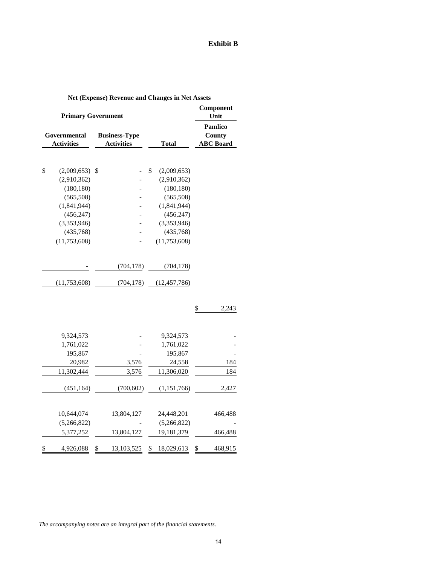### **Exhibit B**

|                                   | <b>Primary Government</b>                 |                           |               | Component<br>Unit                                   |
|-----------------------------------|-------------------------------------------|---------------------------|---------------|-----------------------------------------------------|
| Governmental<br><b>Activities</b> | <b>Business-Type</b><br><b>Activities</b> | <b>Total</b>              |               | <b>Pamlico</b><br><b>County</b><br><b>ABC</b> Board |
|                                   |                                           | \$                        |               |                                                     |
| \$<br>(2,009,653)                 | \$                                        | (2,009,653)               |               |                                                     |
| (2,910,362)<br>(180, 180)         |                                           | (2,910,362)<br>(180, 180) |               |                                                     |
| (565, 508)                        |                                           | (565, 508)                |               |                                                     |
| (1,841,944)                       |                                           | (1,841,944)               |               |                                                     |
| (456, 247)                        |                                           | (456, 247)                |               |                                                     |
| (3,353,946)                       |                                           | (3,353,946)               |               |                                                     |
| (435,768)                         |                                           | (435,768)                 |               |                                                     |
| (11, 753, 608)                    |                                           | (11, 753, 608)            |               |                                                     |
|                                   |                                           |                           |               |                                                     |
|                                   | (704, 178)                                | (704, 178)                |               |                                                     |
| (11, 753, 608)                    | (704, 178)                                | (12, 457, 786)            |               |                                                     |
|                                   |                                           |                           | $\frac{1}{2}$ | 2,243                                               |
|                                   |                                           |                           |               |                                                     |
| 9,324,573                         |                                           | 9,324,573                 |               |                                                     |
| 1,761,022<br>195,867              |                                           | 1,761,022                 |               |                                                     |
| 20,982                            |                                           | 195,867<br>24,558         |               | 184                                                 |
|                                   | 3,576                                     |                           |               |                                                     |
| 11,302,444                        | 3,576                                     | 11,306,020                |               | 184                                                 |
| (451, 164)                        | (700, 602)                                | (1, 151, 766)             |               | 2,427                                               |
| 10,644,074                        | 13,804,127                                | 24,448,201                |               | 466,488                                             |
| (5,266,822)                       |                                           | (5,266,822)               |               |                                                     |
| 5,377,252                         | 13,804,127                                | 19,181,379                |               | 466,488                                             |
| \$<br>4,926,088                   | \$<br>13,103,525                          | \$<br>18,029,613          | \$            | 468,915                                             |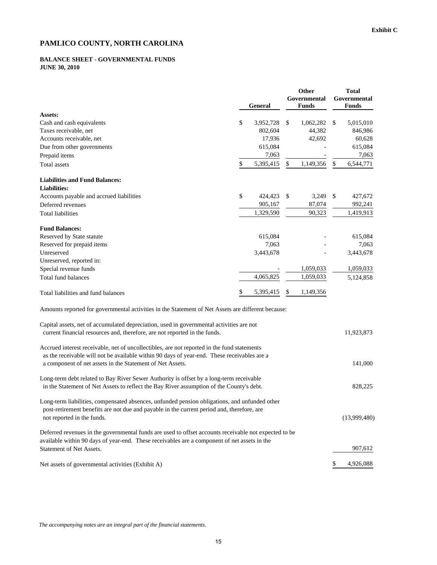#### **BALANCE SHEET - GOVERNMENTAL FUNDS JUNE 30, 2010**

|                                                                                                                                                                                                                           | <b>General</b>  | Other<br>Governmental<br><b>Funds</b> |    | <b>Total</b><br>Governmental<br>Funds |
|---------------------------------------------------------------------------------------------------------------------------------------------------------------------------------------------------------------------------|-----------------|---------------------------------------|----|---------------------------------------|
| Assets:                                                                                                                                                                                                                   |                 |                                       |    |                                       |
| Cash and cash equivalents                                                                                                                                                                                                 | \$<br>3,952,728 | \$<br>1,062,282                       | \$ | 5,015,010                             |
| Taxes receivable, net                                                                                                                                                                                                     | 802,604         | 44,382                                |    | 846,986                               |
| Accounts receivable, net                                                                                                                                                                                                  | 17,936          | 42,692                                |    | 60,628                                |
| Due from other governments                                                                                                                                                                                                | 615,084         |                                       |    | 615,084                               |
| Prepaid items                                                                                                                                                                                                             | 7,063           |                                       |    | 7,063                                 |
| Total assets                                                                                                                                                                                                              | \$<br>5,395,415 | \$<br>1,149,356                       | \$ | 6,544,771                             |
| <b>Liabilities and Fund Balances:</b>                                                                                                                                                                                     |                 |                                       |    |                                       |
| <b>Liabilities:</b>                                                                                                                                                                                                       |                 |                                       |    |                                       |
| Accounts payable and accrued liabilities                                                                                                                                                                                  | \$<br>424,423   | \$<br>3,249                           | \$ | 427,672                               |
| Deferred revenues                                                                                                                                                                                                         | 905,167         | 87,074                                |    | 992,241                               |
| <b>Total liabilities</b>                                                                                                                                                                                                  | 1,329,590       | 90,323                                |    | 1,419,913                             |
| <b>Fund Balances:</b>                                                                                                                                                                                                     |                 |                                       |    |                                       |
| Reserved by State statute                                                                                                                                                                                                 | 615,084         |                                       |    | 615,084                               |
| Reserved for prepaid items                                                                                                                                                                                                | 7,063           |                                       |    | 7,063                                 |
| Unreserved                                                                                                                                                                                                                | 3,443,678       |                                       |    | 3,443,678                             |
| Unreserved, reported in:                                                                                                                                                                                                  |                 |                                       |    |                                       |
| Special revenue funds                                                                                                                                                                                                     |                 | 1,059,033                             |    | 1,059,033                             |
| <b>Total fund balances</b>                                                                                                                                                                                                | 4,065,825       | 1,059,033                             |    | 5,124,858                             |
| Total liabilities and fund balances                                                                                                                                                                                       | \$<br>5,395,415 | \$<br>1,149,356                       |    |                                       |
| Amounts reported for governmental activities in the Statement of Net Assets are different because:                                                                                                                        |                 |                                       |    |                                       |
| Capital assets, net of accumulated depreciation, used in governmental activities are not<br>current financial resources and, therefore, are not reported in the funds.                                                    |                 |                                       |    | 11,923,873                            |
| Accrued interest receivable, net of uncollectibles, are not reported in the fund statements<br>as the receivable will not be available within 90 days of year-end. These receivables are a                                |                 |                                       |    |                                       |
| a component of net assets in the Statement of Net Assets.                                                                                                                                                                 |                 |                                       |    | 141,000                               |
| Long-term debt related to Bay River Sewer Authority is offset by a long-term receivable<br>in the Statement of Net Assets to reflect the Bay River assumption of the County's debt.                                       |                 |                                       |    | 828,225                               |
| Long-term liabilities, compensated absences, unfunded pension obligations, and unfunded other<br>post-retirement benefits are not due and payable in the current period and, therefore, are<br>not reported in the funds. |                 |                                       |    | (13,999,480)                          |
| Deferred revenues in the governmental funds are used to offset accounts receivable not expected to be<br>available within 90 days of year-end. These receivables are a component of net assets in the                     |                 |                                       |    |                                       |
| Statement of Net Assets.                                                                                                                                                                                                  |                 |                                       |    | 907,612                               |
| Net assets of governmental activities (Exhibit A)                                                                                                                                                                         |                 |                                       |    | 4,926,088                             |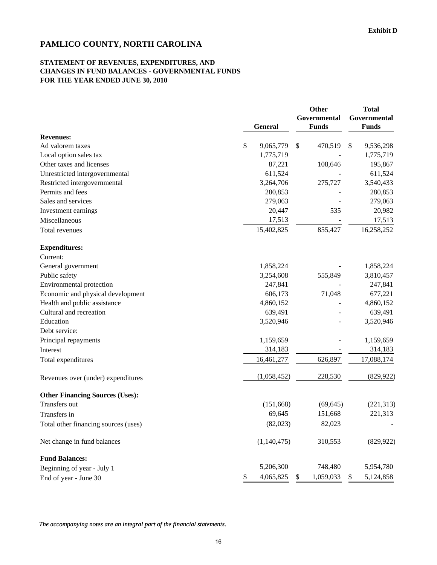### **STATEMENT OF REVENUES, EXPENDITURES, AND CHANGES IN FUND BALANCES - GOVERNMENTAL FUNDS FOR THE YEAR ENDED JUNE 30, 2010**

|                                        | <b>General</b>  | Other<br>Governmental<br><b>Funds</b> | <b>Total</b><br>Governmental<br><b>Funds</b> |
|----------------------------------------|-----------------|---------------------------------------|----------------------------------------------|
| <b>Revenues:</b>                       |                 |                                       |                                              |
| Ad valorem taxes                       | \$<br>9,065,779 | \$<br>470,519                         | $\mathbb{S}$<br>9,536,298                    |
| Local option sales tax                 | 1,775,719       |                                       | 1,775,719                                    |
| Other taxes and licenses               | 87,221          | 108,646                               | 195,867                                      |
| Unrestricted intergovernmental         | 611,524         |                                       | 611,524                                      |
| Restricted intergovernmental           | 3,264,706       | 275,727                               | 3,540,433                                    |
| Permits and fees                       | 280,853         |                                       | 280,853                                      |
| Sales and services                     | 279,063         |                                       | 279,063                                      |
| Investment earnings                    | 20,447          | 535                                   | 20,982                                       |
| Miscellaneous                          | 17,513          |                                       | 17,513                                       |
| Total revenues                         | 15,402,825      | 855,427                               | 16,258,252                                   |
| <b>Expenditures:</b>                   |                 |                                       |                                              |
| Current:                               |                 |                                       |                                              |
| General government                     | 1,858,224       |                                       | 1,858,224                                    |
| Public safety                          | 3,254,608       | 555,849                               | 3,810,457                                    |
| Environmental protection               | 247,841         |                                       | 247,841                                      |
| Economic and physical development      | 606,173         | 71,048                                | 677,221                                      |
| Health and public assistance           | 4,860,152       |                                       | 4,860,152                                    |
| Cultural and recreation                | 639,491         |                                       | 639,491                                      |
| Education                              | 3,520,946       |                                       | 3,520,946                                    |
| Debt service:                          |                 |                                       |                                              |
| Principal repayments                   | 1,159,659       |                                       | 1,159,659                                    |
| Interest                               | 314,183         |                                       | 314,183                                      |
| Total expenditures                     | 16,461,277      | 626,897                               | 17,088,174                                   |
| Revenues over (under) expenditures     | (1,058,452)     | 228,530                               | (829, 922)                                   |
| <b>Other Financing Sources (Uses):</b> |                 |                                       |                                              |
| Transfers out                          | (151,668)       | (69, 645)                             | (221, 313)                                   |
| Transfers in                           | 69,645          | 151,668                               | 221,313                                      |
| Total other financing sources (uses)   | (82,023)        | 82,023                                |                                              |
| Net change in fund balances            | (1,140,475)     | 310,553                               | (829, 922)                                   |
| <b>Fund Balances:</b>                  |                 |                                       |                                              |
| Beginning of year - July 1             | 5,206,300       | 748,480                               | 5,954,780                                    |
| End of year - June 30                  | 4,065,825<br>\$ | 1,059,033<br>\$                       | 5,124,858<br>\$                              |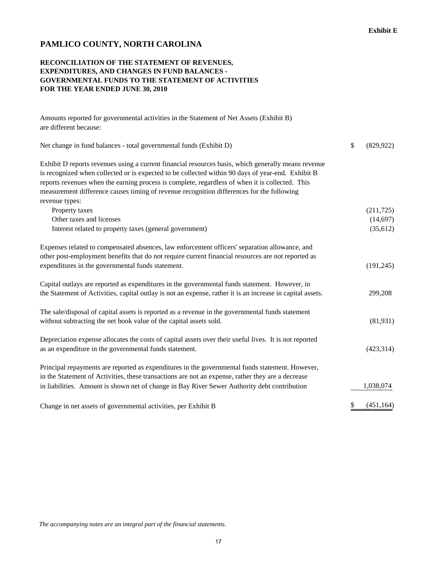### **RECONCILIATION OF THE STATEMENT OF REVENUES, EXPENDITURES, AND CHANGES IN FUND BALANCES - GOVERNMENTAL FUNDS TO THE STATEMENT OF ACTIVITIES FOR THE YEAR ENDED JUNE 30, 2010**

Amounts reported for governmental activities in the Statement of Net Assets (Exhibit B) are different because:

| Net change in fund balances - total governmental funds (Exhibit D)                                                                                                                                                                                                                                                                                                                                                         | \$<br>(829, 922) |
|----------------------------------------------------------------------------------------------------------------------------------------------------------------------------------------------------------------------------------------------------------------------------------------------------------------------------------------------------------------------------------------------------------------------------|------------------|
| Exhibit D reports revenues using a current financial resources basis, which generally means revenue<br>is recognized when collected or is expected to be collected within 90 days of year-end. Exhibit B<br>reports revenues when the earning process is complete, regardless of when it is collected. This<br>measurement difference causes timing of revenue recognition differences for the following<br>revenue types: |                  |
| Property taxes                                                                                                                                                                                                                                                                                                                                                                                                             | (211, 725)       |
| Other taxes and licenses                                                                                                                                                                                                                                                                                                                                                                                                   | (14, 697)        |
| Interest related to property taxes (general government)                                                                                                                                                                                                                                                                                                                                                                    | (35, 612)        |
| Expenses related to compensated absences, law enforcement officers' separation allowance, and<br>other post-employment benefits that do not require current financial resources are not reported as                                                                                                                                                                                                                        |                  |
| expenditures in the governmental funds statement.                                                                                                                                                                                                                                                                                                                                                                          | (191, 245)       |
| Capital outlays are reported as expenditures in the governmental funds statement. However, in<br>the Statement of Activities, capital outlay is not an expense, rather it is an increase in capital assets.                                                                                                                                                                                                                | 299,208          |
| The sale/disposal of capital assets is reported as a revenue in the governmental funds statement<br>without subtracting the net book value of the capital assets sold.                                                                                                                                                                                                                                                     | (81,931)         |
| Depreciation expense allocates the costs of capital assets over their useful lives. It is not reported<br>as an expenditure in the governmental funds statement.                                                                                                                                                                                                                                                           | (423, 314)       |
| Principal repayments are reported as expenditures in the governmental funds statement. However,<br>in the Statement of Activities, these transactions are not an expense, rather they are a decrease                                                                                                                                                                                                                       |                  |
| in liabilities. Amount is shown net of change in Bay River Sewer Authority debt contribution                                                                                                                                                                                                                                                                                                                               | 1,038,074        |
| Change in net assets of governmental activities, per Exhibit B                                                                                                                                                                                                                                                                                                                                                             | \$<br>(451, 164) |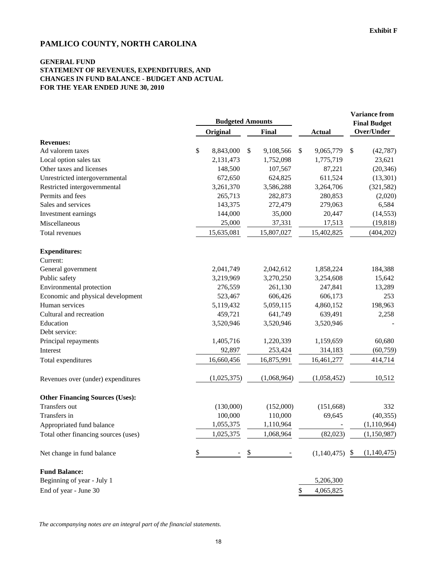### **GENERAL FUND STATEMENT OF REVENUES, EXPENDITURES, AND CHANGES IN FUND BALANCE - BUDGET AND ACTUAL FOR THE YEAR ENDED JUNE 30, 2010**

|                                        | <b>Budgeted Amounts</b> |             |                 |                 | <b>Variance from</b><br><b>Final Budget</b> |             |
|----------------------------------------|-------------------------|-------------|-----------------|-----------------|---------------------------------------------|-------------|
|                                        |                         | Original    | Final           | <b>Actual</b>   |                                             | Over/Under  |
| <b>Revenues:</b>                       |                         |             |                 |                 |                                             |             |
| Ad valorem taxes                       | \$                      | 8,843,000   | \$<br>9,108,566 | \$<br>9,065,779 | \$                                          | (42, 787)   |
| Local option sales tax                 |                         | 2,131,473   | 1,752,098       | 1,775,719       |                                             | 23,621      |
| Other taxes and licenses               |                         | 148,500     | 107,567         | 87,221          |                                             | (20, 346)   |
| Unrestricted intergovernmental         |                         | 672,650     | 624,825         | 611,524         |                                             | (13,301)    |
| Restricted intergovernmental           |                         | 3,261,370   | 3,586,288       | 3,264,706       |                                             | (321, 582)  |
| Permits and fees                       |                         | 265,713     | 282,873         | 280,853         |                                             | (2,020)     |
| Sales and services                     |                         | 143,375     | 272,479         | 279,063         |                                             | 6,584       |
| Investment earnings                    |                         | 144,000     | 35,000          | 20,447          |                                             | (14, 553)   |
| Miscellaneous                          |                         | 25,000      | 37,331          | 17,513          |                                             | (19, 818)   |
| Total revenues                         |                         | 15,635,081  | 15,807,027      | 15,402,825      |                                             | (404, 202)  |
| <b>Expenditures:</b>                   |                         |             |                 |                 |                                             |             |
| Current:                               |                         |             |                 |                 |                                             |             |
| General government                     |                         | 2,041,749   | 2,042,612       | 1,858,224       |                                             | 184,388     |
| Public safety                          |                         | 3,219,969   | 3,270,250       | 3,254,608       |                                             | 15,642      |
| Environmental protection               |                         | 276,559     | 261,130         | 247,841         |                                             | 13,289      |
| Economic and physical development      |                         | 523,467     | 606,426         | 606,173         |                                             | 253         |
| Human services                         |                         | 5,119,432   | 5,059,115       | 4,860,152       |                                             | 198,963     |
| Cultural and recreation                |                         | 459,721     | 641,749         | 639,491         |                                             | 2,258       |
| Education                              |                         | 3,520,946   | 3,520,946       | 3,520,946       |                                             |             |
| Debt service:                          |                         |             |                 |                 |                                             |             |
| Principal repayments                   |                         | 1,405,716   | 1,220,339       | 1,159,659       |                                             | 60,680      |
| Interest                               |                         | 92,897      | 253,424         | 314,183         |                                             | (60, 759)   |
| Total expenditures                     |                         | 16,660,456  | 16,875,991      | 16,461,277      |                                             | 414,714     |
| Revenues over (under) expenditures     |                         | (1,025,375) | (1,068,964)     | (1,058,452)     |                                             | 10,512      |
| <b>Other Financing Sources (Uses):</b> |                         |             |                 |                 |                                             |             |
| Transfers out                          |                         | (130,000)   | (152,000)       | (151, 668)      |                                             | 332         |
| Transfers in                           |                         | 100,000     | 110,000         | 69,645          |                                             | (40, 355)   |
| Appropriated fund balance              |                         | 1,055,375   | 1,110,964       |                 |                                             | (1,110,964) |
| Total other financing sources (uses)   |                         | 1,025,375   | 1,068,964       | (82,023)        |                                             | (1,150,987) |
| Net change in fund balance             | \$                      |             | \$              | (1,140,475)     | $\boldsymbol{\mathsf{S}}$                   | (1,140,475) |
| <b>Fund Balance:</b>                   |                         |             |                 |                 |                                             |             |
| Beginning of year - July 1             |                         |             |                 | 5,206,300       |                                             |             |
| End of year - June 30                  |                         |             |                 | \$<br>4,065,825 |                                             |             |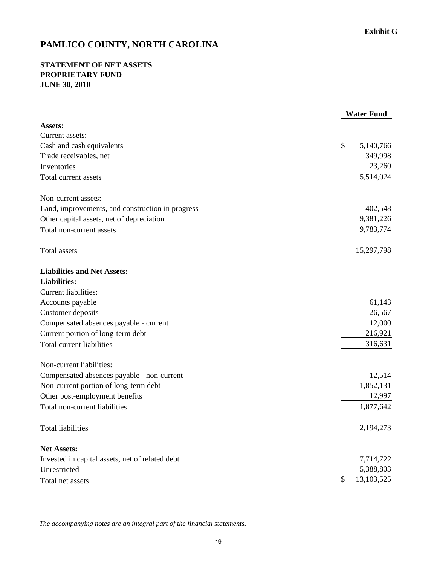### **STATEMENT OF NET ASSETS PROPRIETARY FUND JUNE 30, 2010**

|                                                  | <b>Water Fund</b> |
|--------------------------------------------------|-------------------|
| Assets:                                          |                   |
| Current assets:                                  |                   |
| Cash and cash equivalents                        | \$<br>5,140,766   |
| Trade receivables, net                           | 349,998           |
| Inventories                                      | 23,260            |
| Total current assets                             | 5,514,024         |
| Non-current assets:                              |                   |
| Land, improvements, and construction in progress | 402,548           |
| Other capital assets, net of depreciation        | 9,381,226         |
| Total non-current assets                         | 9,783,774         |
| <b>Total assets</b>                              | 15,297,798        |
| <b>Liabilities and Net Assets:</b>               |                   |
| <b>Liabilities:</b>                              |                   |
| Current liabilities:                             |                   |
| Accounts payable                                 | 61,143            |
| Customer deposits                                | 26,567            |
| Compensated absences payable - current           | 12,000            |
| Current portion of long-term debt                | 216,921           |
| <b>Total current liabilities</b>                 | 316,631           |
| Non-current liabilities:                         |                   |
| Compensated absences payable - non-current       | 12,514            |
| Non-current portion of long-term debt            | 1,852,131         |
| Other post-employment benefits                   | 12,997            |
| Total non-current liabilities                    | 1,877,642         |
| Total liabilities                                | 2,194,273         |
| <b>Net Assets:</b>                               |                   |
| Invested in capital assets, net of related debt  | 7,714,722         |
| Unrestricted                                     | 5,388,803         |
| Total net assets                                 | 13,103,525<br>\$  |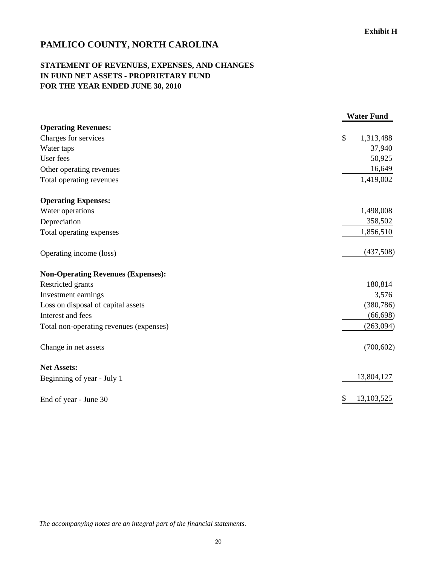## **STATEMENT OF REVENUES, EXPENSES, AND CHANGES IN FUND NET ASSETS - PROPRIETARY FUND FOR THE YEAR ENDED JUNE 30, 2010**

|                                           | <b>Water Fund</b> |
|-------------------------------------------|-------------------|
| <b>Operating Revenues:</b>                |                   |
| Charges for services                      | \$<br>1,313,488   |
| Water taps                                | 37,940            |
| User fees                                 | 50,925            |
| Other operating revenues                  | 16,649            |
| Total operating revenues                  | 1,419,002         |
| <b>Operating Expenses:</b>                |                   |
| Water operations                          | 1,498,008         |
| Depreciation                              | 358,502           |
| Total operating expenses                  | 1,856,510         |
| Operating income (loss)                   | (437,508)         |
| <b>Non-Operating Revenues (Expenses):</b> |                   |
| Restricted grants                         | 180,814           |
| Investment earnings                       | 3,576             |
| Loss on disposal of capital assets        | (380, 786)        |
| Interest and fees                         | (66, 698)         |
| Total non-operating revenues (expenses)   | (263,094)         |
| Change in net assets                      | (700, 602)        |
| <b>Net Assets:</b>                        |                   |
| Beginning of year - July 1                | 13,804,127        |
| End of year - June 30                     | \$<br>13,103,525  |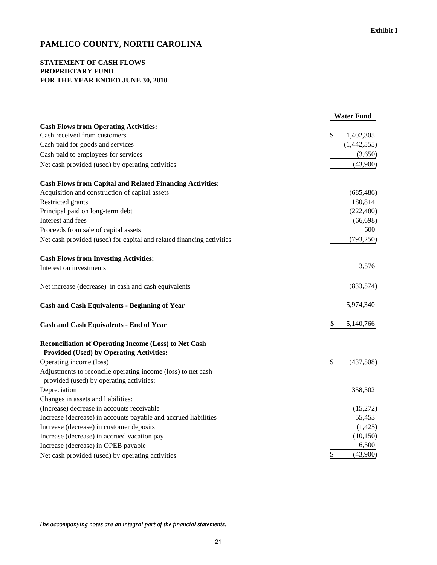### **STATEMENT OF CASH FLOWS PROPRIETARY FUND FOR THE YEAR ENDED JUNE 30, 2010**

| \$<br>1,402,305<br>(1,442,555)<br>(3,650)<br>(43,900)<br>(685, 486)<br>180,814<br>(222, 480)<br>(66, 698)<br>600<br>(793, 250)<br>3,576<br>(833, 574)<br>5,974,340<br>5,140,766<br>\$<br><b>Provided (Used) by Operating Activities:</b><br>\$<br>(437,508)<br>Adjustments to reconcile operating income (loss) to net cash<br>provided (used) by operating activities:<br>Depreciation<br>358,502<br>Changes in assets and liabilities:<br>(Increase) decrease in accounts receivable<br>(15,272)<br>Increase (decrease) in accounts payable and accrued liabilities<br>55,453<br>Increase (decrease) in customer deposits<br>(1,425)<br>Increase (decrease) in accrued vacation pay<br>(10, 150)<br>Increase (decrease) in OPEB payable<br>6,500 |                                                                       | <b>Water Fund</b> |
|----------------------------------------------------------------------------------------------------------------------------------------------------------------------------------------------------------------------------------------------------------------------------------------------------------------------------------------------------------------------------------------------------------------------------------------------------------------------------------------------------------------------------------------------------------------------------------------------------------------------------------------------------------------------------------------------------------------------------------------------------|-----------------------------------------------------------------------|-------------------|
|                                                                                                                                                                                                                                                                                                                                                                                                                                                                                                                                                                                                                                                                                                                                                    | <b>Cash Flows from Operating Activities:</b>                          |                   |
|                                                                                                                                                                                                                                                                                                                                                                                                                                                                                                                                                                                                                                                                                                                                                    | Cash received from customers                                          |                   |
|                                                                                                                                                                                                                                                                                                                                                                                                                                                                                                                                                                                                                                                                                                                                                    | Cash paid for goods and services                                      |                   |
|                                                                                                                                                                                                                                                                                                                                                                                                                                                                                                                                                                                                                                                                                                                                                    | Cash paid to employees for services                                   |                   |
|                                                                                                                                                                                                                                                                                                                                                                                                                                                                                                                                                                                                                                                                                                                                                    | Net cash provided (used) by operating activities                      |                   |
|                                                                                                                                                                                                                                                                                                                                                                                                                                                                                                                                                                                                                                                                                                                                                    | <b>Cash Flows from Capital and Related Financing Activities:</b>      |                   |
|                                                                                                                                                                                                                                                                                                                                                                                                                                                                                                                                                                                                                                                                                                                                                    | Acquisition and construction of capital assets                        |                   |
|                                                                                                                                                                                                                                                                                                                                                                                                                                                                                                                                                                                                                                                                                                                                                    | Restricted grants                                                     |                   |
|                                                                                                                                                                                                                                                                                                                                                                                                                                                                                                                                                                                                                                                                                                                                                    | Principal paid on long-term debt                                      |                   |
|                                                                                                                                                                                                                                                                                                                                                                                                                                                                                                                                                                                                                                                                                                                                                    | Interest and fees                                                     |                   |
|                                                                                                                                                                                                                                                                                                                                                                                                                                                                                                                                                                                                                                                                                                                                                    | Proceeds from sale of capital assets                                  |                   |
|                                                                                                                                                                                                                                                                                                                                                                                                                                                                                                                                                                                                                                                                                                                                                    | Net cash provided (used) for capital and related financing activities |                   |
|                                                                                                                                                                                                                                                                                                                                                                                                                                                                                                                                                                                                                                                                                                                                                    | <b>Cash Flows from Investing Activities:</b>                          |                   |
|                                                                                                                                                                                                                                                                                                                                                                                                                                                                                                                                                                                                                                                                                                                                                    | Interest on investments                                               |                   |
|                                                                                                                                                                                                                                                                                                                                                                                                                                                                                                                                                                                                                                                                                                                                                    | Net increase (decrease) in cash and cash equivalents                  |                   |
|                                                                                                                                                                                                                                                                                                                                                                                                                                                                                                                                                                                                                                                                                                                                                    | <b>Cash and Cash Equivalents - Beginning of Year</b>                  |                   |
|                                                                                                                                                                                                                                                                                                                                                                                                                                                                                                                                                                                                                                                                                                                                                    | <b>Cash and Cash Equivalents - End of Year</b>                        |                   |
|                                                                                                                                                                                                                                                                                                                                                                                                                                                                                                                                                                                                                                                                                                                                                    | Reconciliation of Operating Income (Loss) to Net Cash                 |                   |
|                                                                                                                                                                                                                                                                                                                                                                                                                                                                                                                                                                                                                                                                                                                                                    |                                                                       |                   |
|                                                                                                                                                                                                                                                                                                                                                                                                                                                                                                                                                                                                                                                                                                                                                    | Operating income (loss)                                               |                   |
|                                                                                                                                                                                                                                                                                                                                                                                                                                                                                                                                                                                                                                                                                                                                                    |                                                                       |                   |
|                                                                                                                                                                                                                                                                                                                                                                                                                                                                                                                                                                                                                                                                                                                                                    |                                                                       |                   |
|                                                                                                                                                                                                                                                                                                                                                                                                                                                                                                                                                                                                                                                                                                                                                    |                                                                       |                   |
|                                                                                                                                                                                                                                                                                                                                                                                                                                                                                                                                                                                                                                                                                                                                                    |                                                                       |                   |
|                                                                                                                                                                                                                                                                                                                                                                                                                                                                                                                                                                                                                                                                                                                                                    |                                                                       |                   |
|                                                                                                                                                                                                                                                                                                                                                                                                                                                                                                                                                                                                                                                                                                                                                    |                                                                       |                   |
|                                                                                                                                                                                                                                                                                                                                                                                                                                                                                                                                                                                                                                                                                                                                                    |                                                                       |                   |
|                                                                                                                                                                                                                                                                                                                                                                                                                                                                                                                                                                                                                                                                                                                                                    |                                                                       |                   |
|                                                                                                                                                                                                                                                                                                                                                                                                                                                                                                                                                                                                                                                                                                                                                    | Net cash provided (used) by operating activities                      | \$<br>(43,900)    |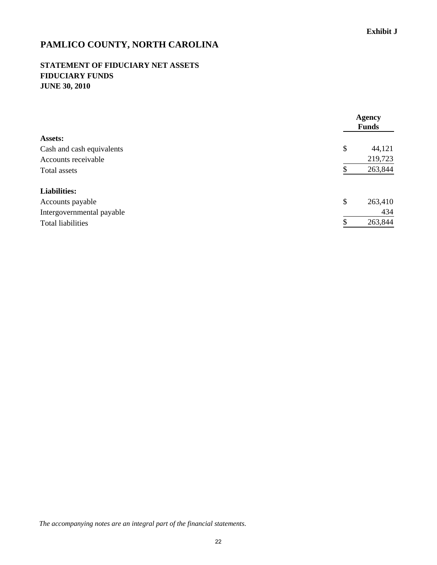### **STATEMENT OF FIDUCIARY NET ASSETS FIDUCIARY FUNDS JUNE 30, 2010**

|                           | <b>Agency</b><br><b>Funds</b> |
|---------------------------|-------------------------------|
| <b>Assets:</b>            |                               |
| Cash and cash equivalents | \$<br>44,121                  |
| Accounts receivable       | 219,723                       |
| Total assets              | 263,844                       |
| <b>Liabilities:</b>       |                               |
| Accounts payable          | \$<br>263,410                 |
| Intergovernmental payable | 434                           |
| <b>Total liabilities</b>  | \$<br>263,844                 |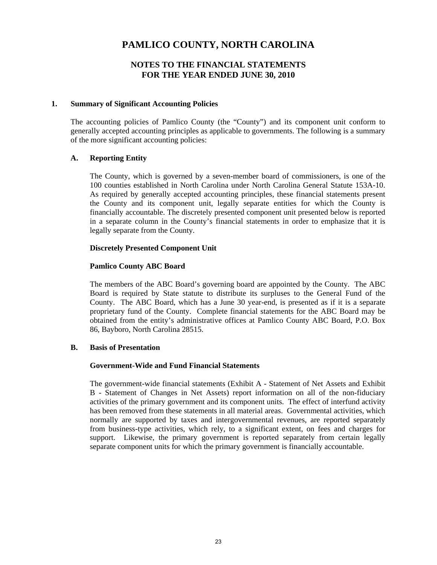### **NOTES TO THE FINANCIAL STATEMENTS FOR THE YEAR ENDED JUNE 30, 2010**

### **1. Summary of Significant Accounting Policies**

The accounting policies of Pamlico County (the "County") and its component unit conform to generally accepted accounting principles as applicable to governments. The following is a summary of the more significant accounting policies:

### **A. Reporting Entity**

The County, which is governed by a seven-member board of commissioners, is one of the 100 counties established in North Carolina under North Carolina General Statute 153A-10. As required by generally accepted accounting principles, these financial statements present the County and its component unit, legally separate entities for which the County is financially accountable. The discretely presented component unit presented below is reported in a separate column in the County's financial statements in order to emphasize that it is legally separate from the County.

### **Discretely Presented Component Unit**

### **Pamlico County ABC Board**

The members of the ABC Board's governing board are appointed by the County. The ABC Board is required by State statute to distribute its surpluses to the General Fund of the County. The ABC Board, which has a June 30 year-end, is presented as if it is a separate proprietary fund of the County. Complete financial statements for the ABC Board may be obtained from the entity's administrative offices at Pamlico County ABC Board, P.O. Box 86, Bayboro, North Carolina 28515.

### **B. Basis of Presentation**

#### **Government-Wide and Fund Financial Statements**

The government-wide financial statements (Exhibit A - Statement of Net Assets and Exhibit B - Statement of Changes in Net Assets) report information on all of the non-fiduciary activities of the primary government and its component units. The effect of interfund activity has been removed from these statements in all material areas. Governmental activities, which normally are supported by taxes and intergovernmental revenues, are reported separately from business-type activities, which rely, to a significant extent, on fees and charges for support. Likewise, the primary government is reported separately from certain legally separate component units for which the primary government is financially accountable.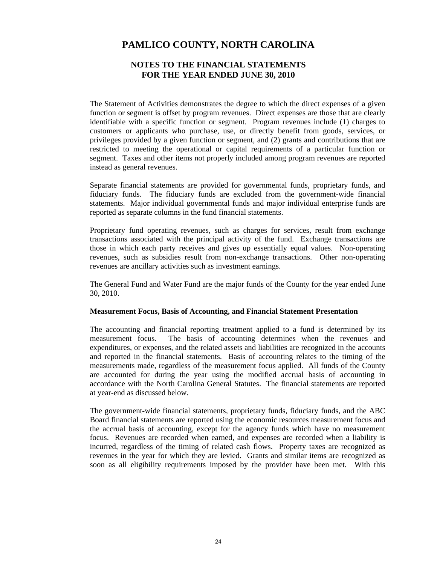### **NOTES TO THE FINANCIAL STATEMENTS FOR THE YEAR ENDED JUNE 30, 2010**

The Statement of Activities demonstrates the degree to which the direct expenses of a given function or segment is offset by program revenues. Direct expenses are those that are clearly identifiable with a specific function or segment. Program revenues include (1) charges to customers or applicants who purchase, use, or directly benefit from goods, services, or privileges provided by a given function or segment, and (2) grants and contributions that are restricted to meeting the operational or capital requirements of a particular function or segment. Taxes and other items not properly included among program revenues are reported instead as general revenues.

Separate financial statements are provided for governmental funds, proprietary funds, and fiduciary funds. The fiduciary funds are excluded from the government-wide financial statements. Major individual governmental funds and major individual enterprise funds are reported as separate columns in the fund financial statements.

Proprietary fund operating revenues, such as charges for services, result from exchange transactions associated with the principal activity of the fund. Exchange transactions are those in which each party receives and gives up essentially equal values. Non-operating revenues, such as subsidies result from non-exchange transactions. Other non-operating revenues are ancillary activities such as investment earnings.

The General Fund and Water Fund are the major funds of the County for the year ended June 30, 2010.

### **Measurement Focus, Basis of Accounting, and Financial Statement Presentation**

The accounting and financial reporting treatment applied to a fund is determined by its measurement focus. The basis of accounting determines when the revenues and expenditures, or expenses, and the related assets and liabilities are recognized in the accounts and reported in the financial statements. Basis of accounting relates to the timing of the measurements made, regardless of the measurement focus applied. All funds of the County are accounted for during the year using the modified accrual basis of accounting in accordance with the North Carolina General Statutes. The financial statements are reported at year-end as discussed below.

The government-wide financial statements, proprietary funds, fiduciary funds, and the ABC Board financial statements are reported using the economic resources measurement focus and the accrual basis of accounting, except for the agency funds which have no measurement focus. Revenues are recorded when earned, and expenses are recorded when a liability is incurred, regardless of the timing of related cash flows. Property taxes are recognized as revenues in the year for which they are levied. Grants and similar items are recognized as soon as all eligibility requirements imposed by the provider have been met. With this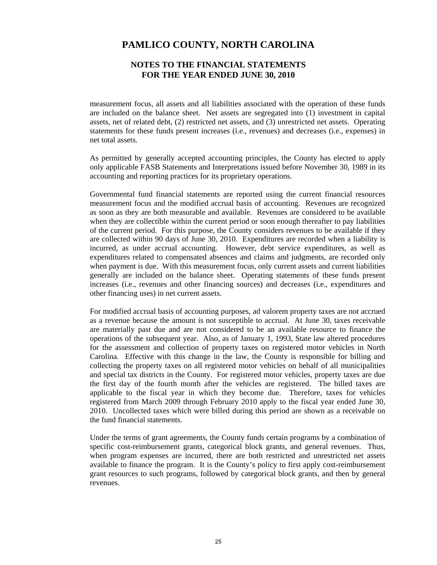### **NOTES TO THE FINANCIAL STATEMENTS FOR THE YEAR ENDED JUNE 30, 2010**

measurement focus, all assets and all liabilities associated with the operation of these funds are included on the balance sheet. Net assets are segregated into (1) investment in capital assets, net of related debt, (2) restricted net assets, and (3) unrestricted net assets. Operating statements for these funds present increases (i.e., revenues) and decreases (i.e., expenses) in net total assets.

As permitted by generally accepted accounting principles, the County has elected to apply only applicable FASB Statements and Interpretations issued before November 30, 1989 in its accounting and reporting practices for its proprietary operations.

Governmental fund financial statements are reported using the current financial resources measurement focus and the modified accrual basis of accounting. Revenues are recognized as soon as they are both measurable and available. Revenues are considered to be available when they are collectible within the current period or soon enough thereafter to pay liabilities of the current period. For this purpose, the County considers revenues to be available if they are collected within 90 days of June 30, 2010. Expenditures are recorded when a liability is incurred, as under accrual accounting. However, debt service expenditures, as well as expenditures related to compensated absences and claims and judgments, are recorded only when payment is due. With this measurement focus, only current assets and current liabilities generally are included on the balance sheet. Operating statements of these funds present increases (i.e., revenues and other financing sources) and decreases (i.e., expenditures and other financing uses) in net current assets.

For modified accrual basis of accounting purposes, ad valorem property taxes are not accrued as a revenue because the amount is not susceptible to accrual. At June 30, taxes receivable are materially past due and are not considered to be an available resource to finance the operations of the subsequent year. Also, as of January 1, 1993, State law altered procedures for the assessment and collection of property taxes on registered motor vehicles in North Carolina. Effective with this change in the law, the County is responsible for billing and collecting the property taxes on all registered motor vehicles on behalf of all municipalities and special tax districts in the County. For registered motor vehicles, property taxes are due the first day of the fourth month after the vehicles are registered. The billed taxes are applicable to the fiscal year in which they become due. Therefore, taxes for vehicles registered from March 2009 through February 2010 apply to the fiscal year ended June 30, 2010. Uncollected taxes which were billed during this period are shown as a receivable on the fund financial statements.

Under the terms of grant agreements, the County funds certain programs by a combination of specific cost-reimbursement grants, categorical block grants, and general revenues. Thus, when program expenses are incurred, there are both restricted and unrestricted net assets available to finance the program. It is the County's policy to first apply cost-reimbursement grant resources to such programs, followed by categorical block grants, and then by general revenues.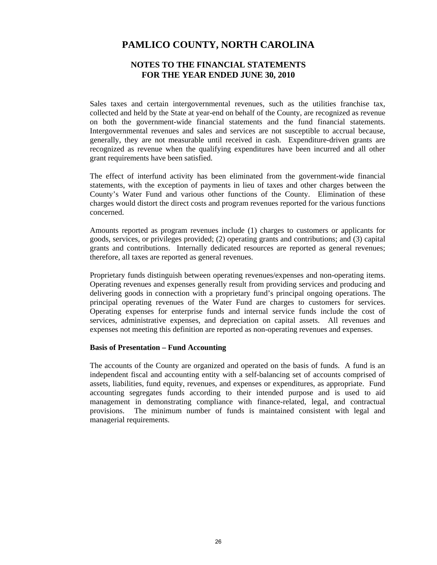### **NOTES TO THE FINANCIAL STATEMENTS FOR THE YEAR ENDED JUNE 30, 2010**

Sales taxes and certain intergovernmental revenues, such as the utilities franchise tax, collected and held by the State at year-end on behalf of the County, are recognized as revenue on both the government-wide financial statements and the fund financial statements. Intergovernmental revenues and sales and services are not susceptible to accrual because, generally, they are not measurable until received in cash. Expenditure-driven grants are recognized as revenue when the qualifying expenditures have been incurred and all other grant requirements have been satisfied.

The effect of interfund activity has been eliminated from the government-wide financial statements, with the exception of payments in lieu of taxes and other charges between the County's Water Fund and various other functions of the County. Elimination of these charges would distort the direct costs and program revenues reported for the various functions concerned.

Amounts reported as program revenues include (1) charges to customers or applicants for goods, services, or privileges provided; (2) operating grants and contributions; and (3) capital grants and contributions. Internally dedicated resources are reported as general revenues; therefore, all taxes are reported as general revenues.

Proprietary funds distinguish between operating revenues/expenses and non-operating items. Operating revenues and expenses generally result from providing services and producing and delivering goods in connection with a proprietary fund's principal ongoing operations. The principal operating revenues of the Water Fund are charges to customers for services. Operating expenses for enterprise funds and internal service funds include the cost of services, administrative expenses, and depreciation on capital assets. All revenues and expenses not meeting this definition are reported as non-operating revenues and expenses.

#### **Basis of Presentation – Fund Accounting**

The accounts of the County are organized and operated on the basis of funds. A fund is an independent fiscal and accounting entity with a self-balancing set of accounts comprised of assets, liabilities, fund equity, revenues, and expenses or expenditures, as appropriate. Fund accounting segregates funds according to their intended purpose and is used to aid management in demonstrating compliance with finance-related, legal, and contractual provisions. The minimum number of funds is maintained consistent with legal and managerial requirements.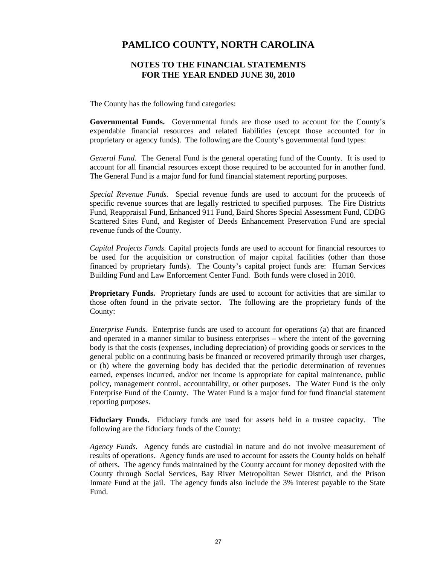### **NOTES TO THE FINANCIAL STATEMENTS FOR THE YEAR ENDED JUNE 30, 2010**

The County has the following fund categories:

**Governmental Funds.** Governmental funds are those used to account for the County's expendable financial resources and related liabilities (except those accounted for in proprietary or agency funds). The following are the County's governmental fund types:

*General Fund.*The General Fund is the general operating fund of the County. It is used to account for all financial resources except those required to be accounted for in another fund. The General Fund is a major fund for fund financial statement reporting purposes.

*Special Revenue Funds.*Special revenue funds are used to account for the proceeds of specific revenue sources that are legally restricted to specified purposes. The Fire Districts Fund, Reappraisal Fund, Enhanced 911 Fund, Baird Shores Special Assessment Fund, CDBG Scattered Sites Fund, and Register of Deeds Enhancement Preservation Fund are special revenue funds of the County.

*Capital Projects Funds.* Capital projects funds are used to account for financial resources to be used for the acquisition or construction of major capital facilities (other than those financed by proprietary funds). The County's capital project funds are: Human Services Building Fund and Law Enforcement Center Fund. Both funds were closed in 2010.

**Proprietary Funds.** Proprietary funds are used to account for activities that are similar to those often found in the private sector. The following are the proprietary funds of the County:

*Enterprise Funds.* Enterprise funds are used to account for operations (a) that are financed and operated in a manner similar to business enterprises – where the intent of the governing body is that the costs (expenses, including depreciation) of providing goods or services to the general public on a continuing basis be financed or recovered primarily through user charges, or (b) where the governing body has decided that the periodic determination of revenues earned, expenses incurred, and/or net income is appropriate for capital maintenance, public policy, management control, accountability, or other purposes. The Water Fund is the only Enterprise Fund of the County. The Water Fund is a major fund for fund financial statement reporting purposes.

**Fiduciary Funds.** Fiduciary funds are used for assets held in a trustee capacity. The following are the fiduciary funds of the County:

*Agency Funds.*Agency funds are custodial in nature and do not involve measurement of results of operations. Agency funds are used to account for assets the County holds on behalf of others. The agency funds maintained by the County account for money deposited with the County through Social Services, Bay River Metropolitan Sewer District, and the Prison Inmate Fund at the jail. The agency funds also include the 3% interest payable to the State Fund.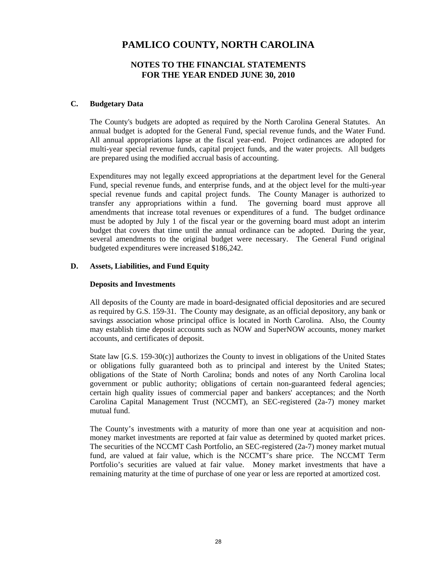### **NOTES TO THE FINANCIAL STATEMENTS FOR THE YEAR ENDED JUNE 30, 2010**

### **C. Budgetary Data**

The County's budgets are adopted as required by the North Carolina General Statutes. An annual budget is adopted for the General Fund, special revenue funds, and the Water Fund. All annual appropriations lapse at the fiscal year-end. Project ordinances are adopted for multi-year special revenue funds, capital project funds, and the water projects. All budgets are prepared using the modified accrual basis of accounting.

Expenditures may not legally exceed appropriations at the department level for the General Fund, special revenue funds, and enterprise funds, and at the object level for the multi-year special revenue funds and capital project funds. The County Manager is authorized to transfer any appropriations within a fund. The governing board must approve all amendments that increase total revenues or expenditures of a fund. The budget ordinance must be adopted by July 1 of the fiscal year or the governing board must adopt an interim budget that covers that time until the annual ordinance can be adopted. During the year, several amendments to the original budget were necessary. The General Fund original budgeted expenditures were increased \$186,242.

### **D. Assets, Liabilities, and Fund Equity**

### **Deposits and Investments**

All deposits of the County are made in board-designated official depositories and are secured as required by G.S. 159-31. The County may designate, as an official depository, any bank or savings association whose principal office is located in North Carolina. Also, the County may establish time deposit accounts such as NOW and SuperNOW accounts, money market accounts, and certificates of deposit.

State law [G.S. 159-30(c)] authorizes the County to invest in obligations of the United States or obligations fully guaranteed both as to principal and interest by the United States; obligations of the State of North Carolina; bonds and notes of any North Carolina local government or public authority; obligations of certain non-guaranteed federal agencies; certain high quality issues of commercial paper and bankers' acceptances; and the North Carolina Capital Management Trust (NCCMT), an SEC-registered (2a-7) money market mutual fund.

The County's investments with a maturity of more than one year at acquisition and nonmoney market investments are reported at fair value as determined by quoted market prices. The securities of the NCCMT Cash Portfolio, an SEC-registered (2a-7) money market mutual fund, are valued at fair value, which is the NCCMT's share price. The NCCMT Term Portfolio's securities are valued at fair value. Money market investments that have a remaining maturity at the time of purchase of one year or less are reported at amortized cost.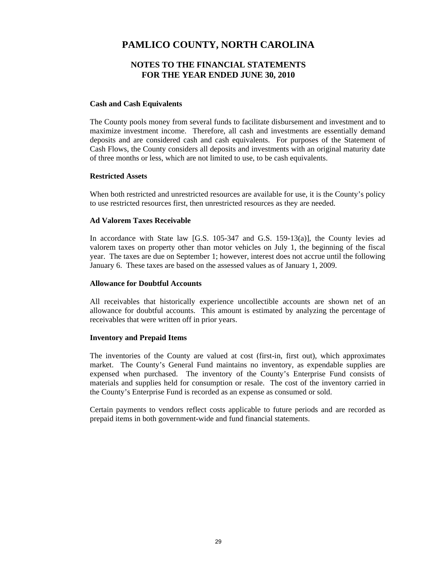### **NOTES TO THE FINANCIAL STATEMENTS FOR THE YEAR ENDED JUNE 30, 2010**

#### **Cash and Cash Equivalents**

The County pools money from several funds to facilitate disbursement and investment and to maximize investment income. Therefore, all cash and investments are essentially demand deposits and are considered cash and cash equivalents. For purposes of the Statement of Cash Flows, the County considers all deposits and investments with an original maturity date of three months or less, which are not limited to use, to be cash equivalents.

### **Restricted Assets**

When both restricted and unrestricted resources are available for use, it is the County's policy to use restricted resources first, then unrestricted resources as they are needed.

### **Ad Valorem Taxes Receivable**

In accordance with State law [G.S. 105-347 and G.S. 159-13(a)], the County levies ad valorem taxes on property other than motor vehicles on July 1, the beginning of the fiscal year. The taxes are due on September 1; however, interest does not accrue until the following January 6. These taxes are based on the assessed values as of January 1, 2009.

#### **Allowance for Doubtful Accounts**

All receivables that historically experience uncollectible accounts are shown net of an allowance for doubtful accounts. This amount is estimated by analyzing the percentage of receivables that were written off in prior years.

### **Inventory and Prepaid Items**

The inventories of the County are valued at cost (first-in, first out), which approximates market. The County's General Fund maintains no inventory, as expendable supplies are expensed when purchased. The inventory of the County's Enterprise Fund consists of materials and supplies held for consumption or resale. The cost of the inventory carried in the County's Enterprise Fund is recorded as an expense as consumed or sold.

Certain payments to vendors reflect costs applicable to future periods and are recorded as prepaid items in both government-wide and fund financial statements.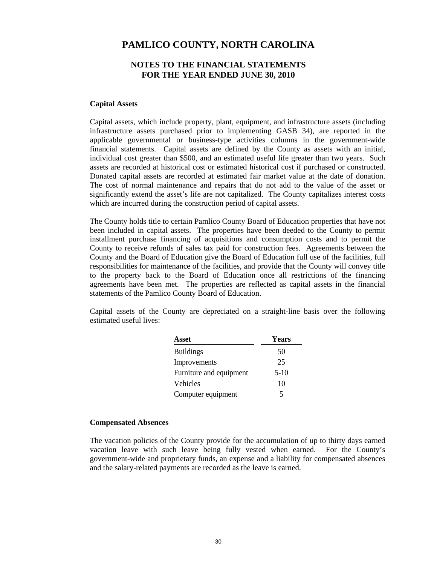### **NOTES TO THE FINANCIAL STATEMENTS FOR THE YEAR ENDED JUNE 30, 2010**

### **Capital Assets**

Capital assets, which include property, plant, equipment, and infrastructure assets (including infrastructure assets purchased prior to implementing GASB 34), are reported in the applicable governmental or business-type activities columns in the government-wide financial statements. Capital assets are defined by the County as assets with an initial, individual cost greater than \$500, and an estimated useful life greater than two years. Such assets are recorded at historical cost or estimated historical cost if purchased or constructed. Donated capital assets are recorded at estimated fair market value at the date of donation. The cost of normal maintenance and repairs that do not add to the value of the asset or significantly extend the asset's life are not capitalized. The County capitalizes interest costs which are incurred during the construction period of capital assets.

The County holds title to certain Pamlico County Board of Education properties that have not been included in capital assets. The properties have been deeded to the County to permit installment purchase financing of acquisitions and consumption costs and to permit the County to receive refunds of sales tax paid for construction fees. Agreements between the County and the Board of Education give the Board of Education full use of the facilities, full responsibilities for maintenance of the facilities, and provide that the County will convey title to the property back to the Board of Education once all restrictions of the financing agreements have been met. The properties are reflected as capital assets in the financial statements of the Pamlico County Board of Education.

Capital assets of the County are depreciated on a straight-line basis over the following estimated useful lives:

| Asset                   | Years  |
|-------------------------|--------|
| <b>Buildings</b>        | 50     |
| Improvements            | 25     |
| Furniture and equipment | $5-10$ |
| Vehicles                | 10     |
| Computer equipment      | 5      |

#### **Compensated Absences**

The vacation policies of the County provide for the accumulation of up to thirty days earned vacation leave with such leave being fully vested when earned. For the County's government-wide and proprietary funds, an expense and a liability for compensated absences and the salary-related payments are recorded as the leave is earned.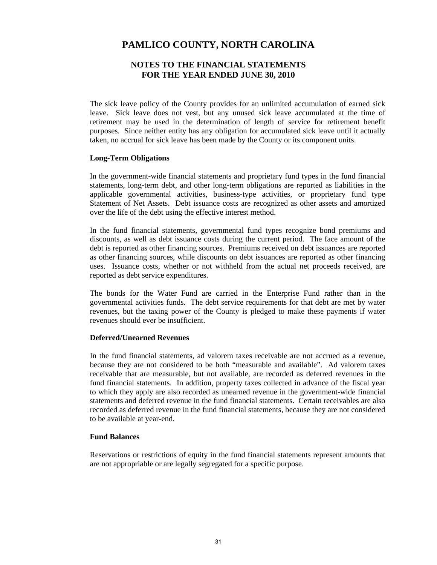### **NOTES TO THE FINANCIAL STATEMENTS FOR THE YEAR ENDED JUNE 30, 2010**

The sick leave policy of the County provides for an unlimited accumulation of earned sick leave. Sick leave does not vest, but any unused sick leave accumulated at the time of retirement may be used in the determination of length of service for retirement benefit purposes. Since neither entity has any obligation for accumulated sick leave until it actually taken, no accrual for sick leave has been made by the County or its component units.

#### **Long-Term Obligations**

In the government-wide financial statements and proprietary fund types in the fund financial statements, long-term debt, and other long-term obligations are reported as liabilities in the applicable governmental activities, business-type activities, or proprietary fund type Statement of Net Assets. Debt issuance costs are recognized as other assets and amortized over the life of the debt using the effective interest method.

In the fund financial statements, governmental fund types recognize bond premiums and discounts, as well as debt issuance costs during the current period. The face amount of the debt is reported as other financing sources. Premiums received on debt issuances are reported as other financing sources, while discounts on debt issuances are reported as other financing uses. Issuance costs, whether or not withheld from the actual net proceeds received, are reported as debt service expenditures.

The bonds for the Water Fund are carried in the Enterprise Fund rather than in the governmental activities funds. The debt service requirements for that debt are met by water revenues, but the taxing power of the County is pledged to make these payments if water revenues should ever be insufficient.

### **Deferred/Unearned Revenues**

In the fund financial statements, ad valorem taxes receivable are not accrued as a revenue, because they are not considered to be both "measurable and available". Ad valorem taxes receivable that are measurable, but not available, are recorded as deferred revenues in the fund financial statements. In addition, property taxes collected in advance of the fiscal year to which they apply are also recorded as unearned revenue in the government-wide financial statements and deferred revenue in the fund financial statements. Certain receivables are also recorded as deferred revenue in the fund financial statements, because they are not considered to be available at year-end.

#### **Fund Balances**

Reservations or restrictions of equity in the fund financial statements represent amounts that are not appropriable or are legally segregated for a specific purpose.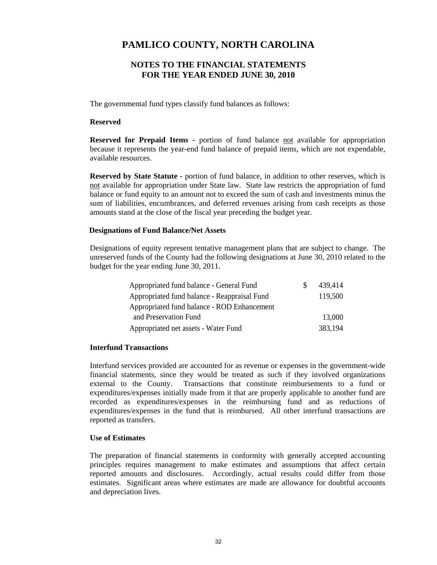### **NOTES TO THE FINANCIAL STATEMENTS FOR THE YEAR ENDED JUNE 30, 2010**

The governmental fund types classify fund balances as follows:

### **Reserved**

**Reserved for Prepaid Items -** portion of fund balance not available for appropriation because it represents the year-end fund balance of prepaid items, which are not expendable, available resources.

**Reserved by State Statute -** portion of fund balance, in addition to other reserves, which is not available for appropriation under State law. State law restricts the appropriation of fund balance or fund equity to an amount not to exceed the sum of cash and investments minus the sum of liabilities, encumbrances, and deferred revenues arising from cash receipts as those amounts stand at the close of the fiscal year preceding the budget year.

### **Designations of Fund Balance/Net Assets**

Designations of equity represent tentative management plans that are subject to change. The unreserved funds of the County had the following designations at June 30, 2010 related to the budget for the year ending June 30, 2011.

| Appropriated fund balance - General Fund     | 439,414 |
|----------------------------------------------|---------|
| Appropriated fund balance - Reappraisal Fund | 119,500 |
| Appropriated fund balance - ROD Enhancement  |         |
| and Preservation Fund                        | 13,000  |
| Appropriated net assets - Water Fund         | 383,194 |

#### **Interfund Transactions**

Interfund services provided are accounted for as revenue or expenses in the government-wide financial statements, since they would be treated as such if they involved organizations external to the County. Transactions that constitute reimbursements to a fund or expenditures/expenses initially made from it that are properly applicable to another fund are recorded as expenditures/expenses in the reimbursing fund and as reductions of expenditures/expenses in the fund that is reimbursed. All other interfund transactions are reported as transfers.

#### **Use of Estimates**

The preparation of financial statements in conformity with generally accepted accounting principles requires management to make estimates and assumptions that affect certain reported amounts and disclosures. Accordingly, actual results could differ from those estimates. Significant areas where estimates are made are allowance for doubtful accounts and depreciation lives.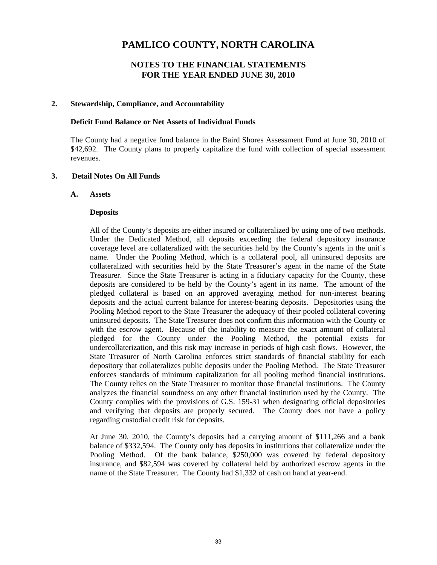### **NOTES TO THE FINANCIAL STATEMENTS FOR THE YEAR ENDED JUNE 30, 2010**

### **2. Stewardship, Compliance, and Accountability**

### **Deficit Fund Balance or Net Assets of Individual Funds**

The County had a negative fund balance in the Baird Shores Assessment Fund at June 30, 2010 of \$42,692. The County plans to properly capitalize the fund with collection of special assessment revenues.

### **3. Detail Notes On All Funds**

#### **A. Assets**

### **Deposits**

All of the County's deposits are either insured or collateralized by using one of two methods. Under the Dedicated Method, all deposits exceeding the federal depository insurance coverage level are collateralized with the securities held by the County's agents in the unit's name. Under the Pooling Method, which is a collateral pool, all uninsured deposits are collateralized with securities held by the State Treasurer's agent in the name of the State Treasurer. Since the State Treasurer is acting in a fiduciary capacity for the County, these deposits are considered to be held by the County's agent in its name. The amount of the pledged collateral is based on an approved averaging method for non-interest bearing deposits and the actual current balance for interest-bearing deposits. Depositories using the Pooling Method report to the State Treasurer the adequacy of their pooled collateral covering uninsured deposits. The State Treasurer does not confirm this information with the County or with the escrow agent. Because of the inability to measure the exact amount of collateral pledged for the County under the Pooling Method, the potential exists for undercollaterization, and this risk may increase in periods of high cash flows. However, the State Treasurer of North Carolina enforces strict standards of financial stability for each depository that collateralizes public deposits under the Pooling Method. The State Treasurer enforces standards of minimum capitalization for all pooling method financial institutions. The County relies on the State Treasurer to monitor those financial institutions. The County analyzes the financial soundness on any other financial institution used by the County. The County complies with the provisions of G.S. 159-31 when designating official depositories and verifying that deposits are properly secured. The County does not have a policy regarding custodial credit risk for deposits.

At June 30, 2010, the County's deposits had a carrying amount of \$111,266 and a bank balance of \$332,594. The County only has deposits in institutions that collateralize under the Pooling Method. Of the bank balance, \$250,000 was covered by federal depository insurance, and \$82,594 was covered by collateral held by authorized escrow agents in the name of the State Treasurer. The County had \$1,332 of cash on hand at year-end.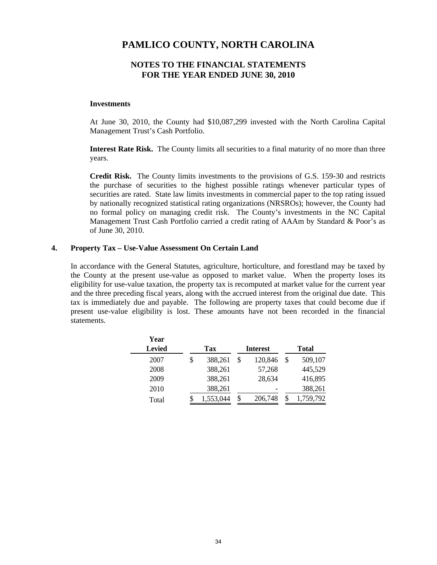### **NOTES TO THE FINANCIAL STATEMENTS FOR THE YEAR ENDED JUNE 30, 2010**

#### **Investments**

At June 30, 2010, the County had \$10,087,299 invested with the North Carolina Capital Management Trust's Cash Portfolio.

**Interest Rate Risk.** The County limits all securities to a final maturity of no more than three years.

**Credit Risk.** The County limits investments to the provisions of G.S. 159-30 and restricts the purchase of securities to the highest possible ratings whenever particular types of securities are rated. State law limits investments in commercial paper to the top rating issued by nationally recognized statistical rating organizations (NRSROs); however, the County had no formal policy on managing credit risk. The County's investments in the NC Capital Management Trust Cash Portfolio carried a credit rating of AAAm by Standard & Poor's as of June 30, 2010.

#### **4. Property Tax – Use-Value Assessment On Certain Land**

In accordance with the General Statutes, agriculture, horticulture, and forestland may be taxed by the County at the present use-value as opposed to market value. When the property loses its eligibility for use-value taxation, the property tax is recomputed at market value for the current year and the three preceding fiscal years, along with the accrued interest from the original due date. This tax is immediately due and payable. The following are property taxes that could become due if present use-value eligibility is lost. These amounts have not been recorded in the financial statements.

| Year          |               |                 |               |
|---------------|---------------|-----------------|---------------|
| <b>Levied</b> | Tax           | <b>Interest</b> | <b>Total</b>  |
| 2007          | \$<br>388,261 | \$<br>120,846   | \$<br>509,107 |
| 2008          | 388,261       | 57,268          | 445,529       |
| 2009          | 388,261       | 28,634          | 416,895       |
| 2010          | 388,261       |                 | 388,261       |
| Total         | 1,553,044     | \$<br>206,748   | 1,759,792     |
|               |               |                 |               |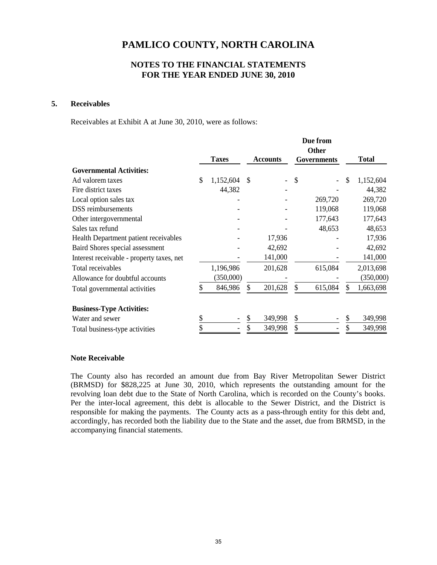## **NOTES TO THE FINANCIAL STATEMENTS FOR THE YEAR ENDED JUNE 30, 2010**

### **5. Receivables**

Receivables at Exhibit A at June 30, 2010, were as follows:

|                                           | <b>Taxes</b>    |    | <b>Accounts</b> | Due from<br><b>Other</b><br>Governments |    | <b>Total</b> |
|-------------------------------------------|-----------------|----|-----------------|-----------------------------------------|----|--------------|
| <b>Governmental Activities:</b>           |                 |    |                 |                                         |    |              |
| Ad valorem taxes                          | \$<br>1,152,604 | \$ |                 | \$                                      | \$ | 1,152,604    |
| Fire district taxes                       | 44,382          |    |                 |                                         |    | 44,382       |
| Local option sales tax                    |                 |    |                 | 269,720                                 |    | 269,720      |
| <b>DSS</b> reimbursements                 |                 |    |                 | 119,068                                 |    | 119,068      |
| Other intergovernmental                   |                 |    |                 | 177,643                                 |    | 177,643      |
| Sales tax refund                          |                 |    |                 | 48,653                                  |    | 48,653       |
| Health Department patient receivables     |                 |    | 17,936          |                                         |    | 17,936       |
| Baird Shores special assessment           |                 |    | 42,692          |                                         |    | 42,692       |
| Interest receivable - property taxes, net |                 |    | 141,000         |                                         |    | 141,000      |
| Total receivables                         | 1,196,986       |    | 201,628         | 615,084                                 |    | 2,013,698    |
| Allowance for doubtful accounts           | (350,000)       |    |                 |                                         |    | (350,000)    |
| Total governmental activities             | 846,986         | S  | 201,628         | \$<br>615,084                           |    | 1,663,698    |
| <b>Business-Type Activities:</b>          |                 |    |                 |                                         |    |              |
| Water and sewer                           | \$              |    | 349,998         | \$                                      | S  | 349,998      |
| Total business-type activities            | \$              |    | 349,998         | \$                                      |    | 349,998      |

#### **Note Receivable**

The County also has recorded an amount due from Bay River Metropolitan Sewer District (BRMSD) for \$828,225 at June 30, 2010, which represents the outstanding amount for the revolving loan debt due to the State of North Carolina, which is recorded on the County's books. Per the inter-local agreement, this debt is allocable to the Sewer District, and the District is responsible for making the payments. The County acts as a pass-through entity for this debt and, accordingly, has recorded both the liability due to the State and the asset, due from BRMSD, in the accompanying financial statements.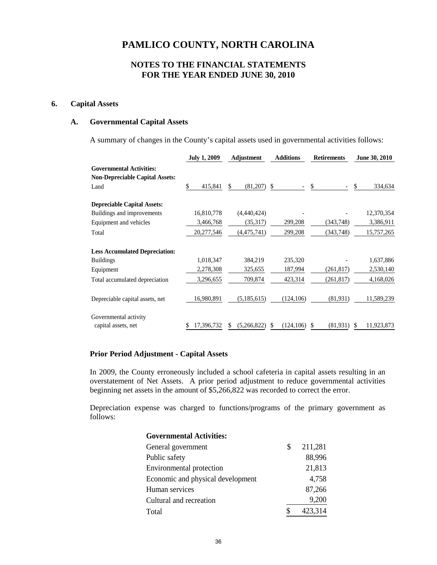## **NOTES TO THE FINANCIAL STATEMENTS FOR THE YEAR ENDED JUNE 30, 2010**

### **6. Capital Assets**

### **A. Governmental Capital Assets**

A summary of changes in the County's capital assets used in governmental activities follows:

|                                                                           | <b>July 1, 2009</b> | Adjustment       | <b>Additions</b> |               | June 30, 2010   |  |
|---------------------------------------------------------------------------|---------------------|------------------|------------------|---------------|-----------------|--|
| <b>Governmental Activities:</b><br><b>Non-Depreciable Capital Assets:</b> |                     |                  |                  |               |                 |  |
| Land                                                                      | 415,841<br>\$       | (81,207)<br>\$   | S.               | \$            | \$<br>334,634   |  |
| <b>Depreciable Capital Assets:</b>                                        |                     |                  |                  |               |                 |  |
| Buildings and improvements                                                | 16,810,778          | (4,440,424)      |                  |               | 12,370,354      |  |
| Equipment and vehicles                                                    | 3,466,768           | (35,317)         | 299,208          | (343,748)     | 3,386,911       |  |
| Total                                                                     | 20,277,546          | (4, 475, 741)    | 299,208          | (343, 748)    | 15,757,265      |  |
| <b>Less Accumulated Depreciation:</b>                                     |                     |                  |                  |               |                 |  |
| <b>Buildings</b>                                                          | 1,018,347           | 384,219          | 235,320          |               | 1,637,886       |  |
| Equipment                                                                 | 2,278,308           | 325,655          | 187,994          | (261, 817)    | 2,530,140       |  |
| Total accumulated depreciation                                            | 3,296,655           | 709,874          | 423,314          | (261, 817)    | 4,168,026       |  |
| Depreciable capital assets, net                                           | 16,980,891          | (5, 185, 615)    | (124, 106)       | (81, 931)     | 11,589,239      |  |
| Governmental activity<br>capital assets, net                              | 17,396,732          | (5,266,822)<br>S | (124, 106)<br>S  | (81,931)<br>S | 11,923,873<br>S |  |

#### **Prior Period Adjustment - Capital Assets**

In 2009, the County erroneously included a school cafeteria in capital assets resulting in an overstatement of Net Assets. A prior period adjustment to reduce governmental activities beginning net assets in the amount of \$5,266,822 was recorded to correct the error.

Depreciation expense was charged to functions/programs of the primary government as follows:

| <b>Governmental Activities:</b>   |   |         |
|-----------------------------------|---|---------|
| General government                | S | 211,281 |
| Public safety                     |   | 88,996  |
| Environmental protection          |   | 21,813  |
| Economic and physical development |   | 4,758   |
| Human services                    |   | 87,266  |
| Cultural and recreation           |   | 9,200   |
| Total                             |   | 423,314 |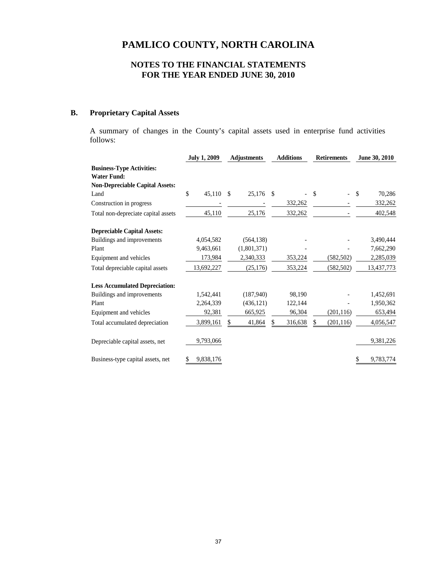# **NOTES TO THE FINANCIAL STATEMENTS FOR THE YEAR ENDED JUNE 30, 2010**

## **B. Proprietary Capital Assets**

A summary of changes in the County's capital assets used in enterprise fund activities follows:

|                                        | <b>July 1, 2009</b> | <b>Adjustments</b>         | <b>Additions</b> | <b>Retirements</b> | June 30, 2010 |  |
|----------------------------------------|---------------------|----------------------------|------------------|--------------------|---------------|--|
| <b>Business-Type Activities:</b>       |                     |                            |                  |                    |               |  |
| <b>Water Fund:</b>                     |                     |                            |                  |                    |               |  |
| <b>Non-Depreciable Capital Assets:</b> |                     |                            |                  |                    |               |  |
| Land                                   | \$<br>45,110        | 25,176 \$<br><sup>\$</sup> |                  | \$                 | \$<br>70,286  |  |
| Construction in progress               |                     |                            | 332,262          |                    | 332,262       |  |
| Total non-depreciate capital assets    | 45,110              | 25,176                     | 332,262          |                    | 402,548       |  |
| <b>Depreciable Capital Assets:</b>     |                     |                            |                  |                    |               |  |
| Buildings and improvements             | 4,054,582           | (564, 138)                 |                  |                    | 3,490,444     |  |
| Plant                                  | 9,463,661           | (1,801,371)                |                  |                    | 7,662,290     |  |
| Equipment and vehicles                 | 173,984             | 2,340,333                  | 353,224          | (582, 502)         | 2,285,039     |  |
| Total depreciable capital assets       | 13,692,227          | (25, 176)                  | 353,224          | (582, 502)         | 13,437,773    |  |
| <b>Less Accumulated Depreciation:</b>  |                     |                            |                  |                    |               |  |
| Buildings and improvements             | 1,542,441           | (187,940)                  | 98,190           |                    | 1,452,691     |  |
| Plant                                  | 2,264,339           | (436, 121)                 | 122,144          |                    | 1,950,362     |  |
| Equipment and vehicles                 | 92,381              | 665,925                    | 96,304           | (201, 116)         | 653,494       |  |
| Total accumulated depreciation         | 3,899,161           | 41,864<br>S                | 316,638<br>S     | (201, 116)         | 4,056,547     |  |
| Depreciable capital assets, net        | 9,793,066           |                            |                  |                    | 9,381,226     |  |
| Business-type capital assets, net      | 9,838,176           |                            |                  |                    | 9,783,774     |  |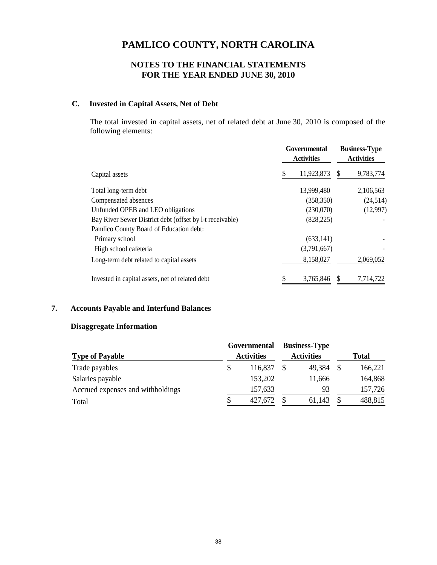# **NOTES TO THE FINANCIAL STATEMENTS FOR THE YEAR ENDED JUNE 30, 2010**

# **C. Invested in Capital Assets, Net of Debt**

The total invested in capital assets, net of related debt at June 30, 2010 is composed of the following elements:

|                                                          | Governmental<br><b>Activities</b> |             |   | <b>Business-Type</b><br><b>Activities</b> |  |  |
|----------------------------------------------------------|-----------------------------------|-------------|---|-------------------------------------------|--|--|
| Capital assets                                           |                                   | 11,923,873  | S | 9,783,774                                 |  |  |
| Total long-term debt                                     |                                   | 13,999,480  |   | 2,106,563                                 |  |  |
| Compensated absences                                     |                                   | (358, 350)  |   | (24,514)                                  |  |  |
| Unfunded OPEB and LEO obligations                        |                                   | (230,070)   |   | (12,997)                                  |  |  |
| Bay River Sewer District debt (offset by 1-t receivable) |                                   | (828, 225)  |   |                                           |  |  |
| Pamlico County Board of Education debt:                  |                                   |             |   |                                           |  |  |
| Primary school                                           |                                   | (633.141)   |   |                                           |  |  |
| High school cafeteria                                    |                                   | (3,791,667) |   |                                           |  |  |
| Long-term debt related to capital assets                 |                                   | 8,158,027   |   | 2,069,052                                 |  |  |
| Invested in capital assets, net of related debt          |                                   | 3,765,846   |   | 7,714,722                                 |  |  |

# **7. Accounts Payable and Interfund Balances**

### **Disaggregate Information**

|                                   |                   | Governmental |                   | <b>Business-Type</b> |   |              |
|-----------------------------------|-------------------|--------------|-------------------|----------------------|---|--------------|
| <b>Type of Payable</b>            | <b>Activities</b> |              | <b>Activities</b> |                      |   | <b>Total</b> |
| Trade payables                    | \$                | 116,837      |                   | 49.384               |   | 166,221      |
| Salaries payable                  |                   | 153,202      |                   | 11,666               |   | 164,868      |
| Accrued expenses and withholdings |                   | 157,633      |                   | 93                   |   | 157,726      |
| Total                             | S                 | 427,672      |                   | 61,143               | S | 488,815      |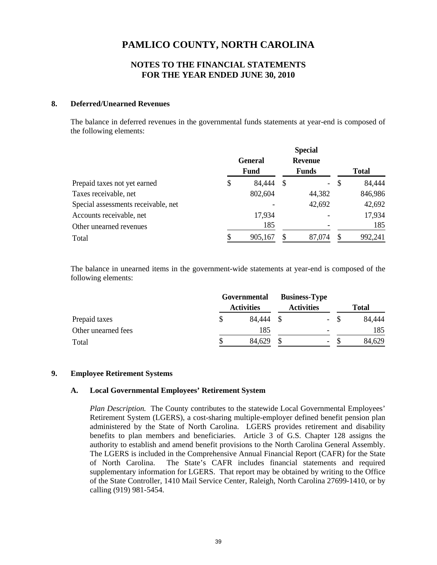### **NOTES TO THE FINANCIAL STATEMENTS FOR THE YEAR ENDED JUNE 30, 2010**

### **8. Deferred/Unearned Revenues**

The balance in deferred revenues in the governmental funds statements at year-end is composed of the following elements:

|                                     | <b>Special</b>  |         |                |                  |   |              |
|-------------------------------------|-----------------|---------|----------------|------------------|---|--------------|
|                                     | General<br>Fund |         | <b>Revenue</b> |                  |   |              |
|                                     |                 |         |                | <b>Funds</b>     |   | <b>Total</b> |
| Prepaid taxes not yet earned        | \$              | 84,444  | -S             | $\omega_{\rm c}$ | S | 84,444       |
| Taxes receivable, net               |                 | 802,604 |                | 44,382           |   | 846,986      |
| Special assessments receivable, net |                 |         |                | 42,692           |   | 42,692       |
| Accounts receivable, net            |                 | 17,934  |                |                  |   | 17,934       |
| Other unearned revenues             |                 | 185     |                |                  |   | 185          |
| Total                               |                 | 905,167 |                | 87,074           |   | 992,241      |

The balance in unearned items in the government-wide statements at year-end is composed of the following elements:

|                     | Governmental |                   | <b>Business-Type</b> |                          |       |        |
|---------------------|--------------|-------------------|----------------------|--------------------------|-------|--------|
|                     |              | <b>Activities</b> | <b>Activities</b>    |                          |       | Total  |
| Prepaid taxes       |              | 84.444 \$         |                      |                          | $- S$ | 84,444 |
| Other unearned fees |              | 185               |                      |                          |       | 185    |
| Total               |              | 84,629            |                      | $\overline{\phantom{a}}$ |       | 84,629 |

### **9. Employee Retirement Systems**

### **A. Local Governmental Employees' Retirement System**

*Plan Description.* The County contributes to the statewide Local Governmental Employees' Retirement System (LGERS), a cost-sharing multiple-employer defined benefit pension plan administered by the State of North Carolina. LGERS provides retirement and disability benefits to plan members and beneficiaries. Article 3 of G.S. Chapter 128 assigns the authority to establish and amend benefit provisions to the North Carolina General Assembly. The LGERS is included in the Comprehensive Annual Financial Report (CAFR) for the State of North Carolina. The State's CAFR includes financial statements and required supplementary information for LGERS. That report may be obtained by writing to the Office of the State Controller, 1410 Mail Service Center, Raleigh, North Carolina 27699-1410, or by calling (919) 981-5454.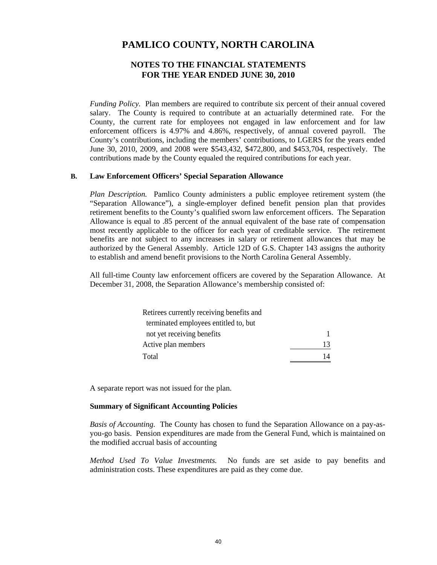### **NOTES TO THE FINANCIAL STATEMENTS FOR THE YEAR ENDED JUNE 30, 2010**

*Funding Policy.*Plan members are required to contribute six percent of their annual covered salary. The County is required to contribute at an actuarially determined rate. For the County, the current rate for employees not engaged in law enforcement and for law enforcement officers is 4.97% and 4.86%, respectively, of annual covered payroll. The County's contributions, including the members' contributions, to LGERS for the years ended June 30, 2010, 2009, and 2008 were \$543,432, \$472,800, and \$453,704, respectively. The contributions made by the County equaled the required contributions for each year.

### **B. Law Enforcement Officers' Special Separation Allowance**

*Plan Description.* Pamlico County administers a public employee retirement system (the "Separation Allowance"), a single-employer defined benefit pension plan that provides retirement benefits to the County's qualified sworn law enforcement officers. The Separation Allowance is equal to .85 percent of the annual equivalent of the base rate of compensation most recently applicable to the officer for each year of creditable service. The retirement benefits are not subject to any increases in salary or retirement allowances that may be authorized by the General Assembly. Article 12D of G.S. Chapter 143 assigns the authority to establish and amend benefit provisions to the North Carolina General Assembly.

All full-time County law enforcement officers are covered by the Separation Allowance. At December 31, 2008, the Separation Allowance's membership consisted of:

| Retirees currently receiving benefits and |    |
|-------------------------------------------|----|
| terminated employees entitled to, but     |    |
| not yet receiving benefits                |    |
| Active plan members                       | 13 |
| Total                                     |    |

A separate report was not issued for the plan.

### **Summary of Significant Accounting Policies**

*Basis of Accounting.* The County has chosen to fund the Separation Allowance on a pay-asyou-go basis. Pension expenditures are made from the General Fund, which is maintained on the modified accrual basis of accounting

*Method Used To Value Investments.*No funds are set aside to pay benefits and administration costs. These expenditures are paid as they come due.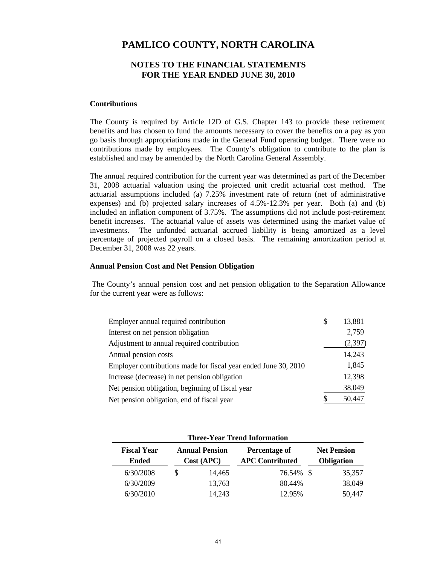### **NOTES TO THE FINANCIAL STATEMENTS FOR THE YEAR ENDED JUNE 30, 2010**

#### **Contributions**

The County is required by Article 12D of G.S. Chapter 143 to provide these retirement benefits and has chosen to fund the amounts necessary to cover the benefits on a pay as you go basis through appropriations made in the General Fund operating budget. There were no contributions made by employees. The County's obligation to contribute to the plan is established and may be amended by the North Carolina General Assembly.

The annual required contribution for the current year was determined as part of the December 31, 2008 actuarial valuation using the projected unit credit actuarial cost method. The actuarial assumptions included (a) 7.25% investment rate of return (net of administrative expenses) and (b) projected salary increases of 4.5%-12.3% per year. Both (a) and (b) included an inflation component of 3.75%. The assumptions did not include post-retirement benefit increases. The actuarial value of assets was determined using the market value of investments. The unfunded actuarial accrued liability is being amortized as a level percentage of projected payroll on a closed basis. The remaining amortization period at December 31, 2008 was 22 years.

### **Annual Pension Cost and Net Pension Obligation**

The County's annual pension cost and net pension obligation to the Separation Allowance for the current year were as follows:

| Employer annual required contribution                           | 13,881  |
|-----------------------------------------------------------------|---------|
| Interest on net pension obligation                              | 2,759   |
| Adjustment to annual required contribution                      | (2,397) |
| Annual pension costs                                            | 14,243  |
| Employer contributions made for fiscal year ended June 30, 2010 | 1,845   |
| Increase (decrease) in net pension obligation                   | 12,398  |
| Net pension obligation, beginning of fiscal year                | 38,049  |
| Net pension obligation, end of fiscal year                      | 50,447  |

| <b>Three-Year Trend Information</b> |                                    |                                     |        |                                         |                                         |        |  |  |  |  |
|-------------------------------------|------------------------------------|-------------------------------------|--------|-----------------------------------------|-----------------------------------------|--------|--|--|--|--|
|                                     | <b>Fiscal Year</b><br><b>Ended</b> | <b>Annual Pension</b><br>Cost (APC) |        | Percentage of<br><b>APC Contributed</b> | <b>Net Pension</b><br><b>Obligation</b> |        |  |  |  |  |
|                                     | 6/30/2008                          | S                                   | 14,465 | 76.54% \$                               |                                         | 35,357 |  |  |  |  |
|                                     | 6/30/2009                          |                                     | 13,763 | 80.44%                                  |                                         | 38,049 |  |  |  |  |
|                                     | 6/30/2010                          |                                     | 14,243 | 12.95%                                  |                                         | 50,447 |  |  |  |  |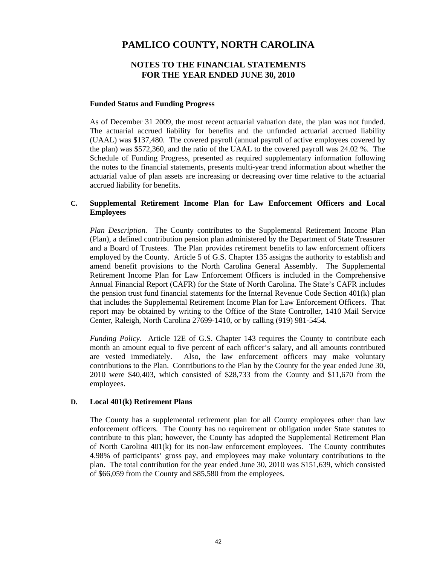## **NOTES TO THE FINANCIAL STATEMENTS FOR THE YEAR ENDED JUNE 30, 2010**

### **Funded Status and Funding Progress**

As of December 31 2009, the most recent actuarial valuation date, the plan was not funded. The actuarial accrued liability for benefits and the unfunded actuarial accrued liability (UAAL) was \$137,480. The covered payroll (annual payroll of active employees covered by the plan) was \$572,360, and the ratio of the UAAL to the covered payroll was 24.02 %. The Schedule of Funding Progress, presented as required supplementary information following the notes to the financial statements, presents multi-year trend information about whether the actuarial value of plan assets are increasing or decreasing over time relative to the actuarial accrued liability for benefits.

### **C. Supplemental Retirement Income Plan for Law Enforcement Officers and Local Employees**

*Plan Description.*The County contributes to the Supplemental Retirement Income Plan (Plan), a defined contribution pension plan administered by the Department of State Treasurer and a Board of Trustees. The Plan provides retirement benefits to law enforcement officers employed by the County. Article 5 of G.S. Chapter 135 assigns the authority to establish and amend benefit provisions to the North Carolina General Assembly. The Supplemental Retirement Income Plan for Law Enforcement Officers is included in the Comprehensive Annual Financial Report (CAFR) for the State of North Carolina. The State's CAFR includes the pension trust fund financial statements for the Internal Revenue Code Section 401(k) plan that includes the Supplemental Retirement Income Plan for Law Enforcement Officers. That report may be obtained by writing to the Office of the State Controller, 1410 Mail Service Center, Raleigh, North Carolina 27699-1410, or by calling (919) 981-5454.

*Funding Policy.*Article 12E of G.S. Chapter 143 requires the County to contribute each month an amount equal to five percent of each officer's salary, and all amounts contributed are vested immediately. Also, the law enforcement officers may make voluntary contributions to the Plan. Contributions to the Plan by the County for the year ended June 30, 2010 were \$40,403, which consisted of \$28,733 from the County and \$11,670 from the employees.

### **D. Local 401(k) Retirement Plans**

The County has a supplemental retirement plan for all County employees other than law enforcement officers. The County has no requirement or obligation under State statutes to contribute to this plan; however, the County has adopted the Supplemental Retirement Plan of North Carolina 401(k) for its non-law enforcement employees. The County contributes 4.98% of participants' gross pay, and employees may make voluntary contributions to the plan. The total contribution for the year ended June 30, 2010 was \$151,639, which consisted of \$66,059 from the County and \$85,580 from the employees.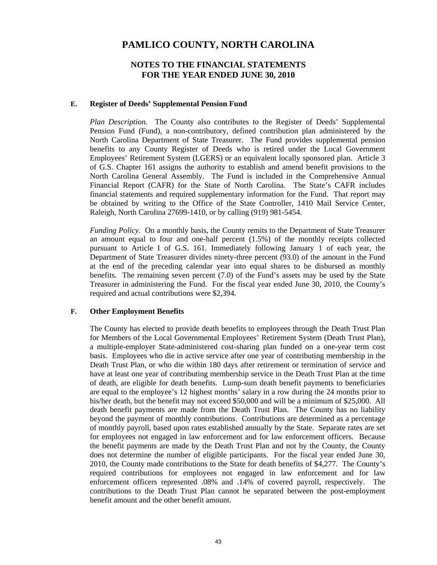### **NOTES TO THE FINANCIAL STATEMENTS FOR THE YEAR ENDED JUNE 30, 2010**

#### **E. Register of Deeds' Supplemental Pension Fund**

*Plan Description.*The County also contributes to the Register of Deeds' Supplemental Pension Fund (Fund), a non-contributory, defined contribution plan administered by the North Carolina Department of State Treasurer. The Fund provides supplemental pension benefits to any County Register of Deeds who is retired under the Local Government Employees' Retirement System (LGERS) or an equivalent locally sponsored plan. Article 3 of G.S. Chapter 161 assigns the authority to establish and amend benefit provisions to the North Carolina General Assembly. The Fund is included in the Comprehensive Annual Financial Report (CAFR) for the State of North Carolina. The State's CAFR includes financial statements and required supplementary information for the Fund. That report may be obtained by writing to the Office of the State Controller, 1410 Mail Service Center, Raleigh, North Carolina 27699-1410, or by calling (919) 981-5454.

*Funding Policy.* On a monthly basis, the County remits to the Department of State Treasurer an amount equal to four and one-half percent (1.5%) of the monthly receipts collected pursuant to Article I of G.S. 161. Immediately following January 1 of each year, the Department of State Treasurer divides ninety-three percent (93.0) of the amount in the Fund at the end of the preceding calendar year into equal shares to be disbursed as monthly benefits. The remaining seven percent (7.0) of the Fund's assets may be used by the State Treasurer in administering the Fund. For the fiscal year ended June 30, 2010, the County's required and actual contributions were \$2,394.

### **F. Other Employment Benefits**

The County has elected to provide death benefits to employees through the Death Trust Plan for Members of the Local Governmental Employees' Retirement System (Death Trust Plan), a multiple-employer State-administered cost-sharing plan funded on a one-year term cost basis. Employees who die in active service after one year of contributing membership in the Death Trust Plan, or who die within 180 days after retirement or termination of service and have at least one year of contributing membership service in the Death Trust Plan at the time of death, are eligible for death benefits. Lump-sum death benefit payments to beneficiaries are equal to the employee's 12 highest months' salary in a row during the 24 months prior to his/her death, but the benefit may not exceed \$50,000 and will be a minimum of \$25,000. All death benefit payments are made from the Death Trust Plan. The County has no liability beyond the payment of monthly contributions. Contributions are determined as a percentage of monthly payroll, based upon rates established annually by the State. Separate rates are set for employees not engaged in law enforcement and for law enforcement officers. Because the benefit payments are made by the Death Trust Plan and not by the County, the County does not determine the number of eligible participants. For the fiscal year ended June 30, 2010, the County made contributions to the State for death benefits of \$4,277. The County's required contributions for employees not engaged in law enforcement and for law enforcement officers represented .08% and .14% of covered payroll, respectively. The contributions to the Death Trust Plan cannot be separated between the post-employment benefit amount and the other benefit amount.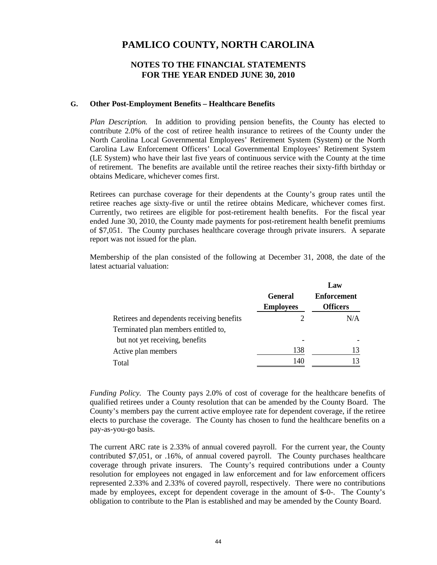### **NOTES TO THE FINANCIAL STATEMENTS FOR THE YEAR ENDED JUNE 30, 2010**

#### **G. Other Post-Employment Benefits – Healthcare Benefits**

*Plan Description.*In addition to providing pension benefits, the County has elected to contribute 2.0% of the cost of retiree health insurance to retirees of the County under the North Carolina Local Governmental Employees' Retirement System (System) or the North Carolina Law Enforcement Officers' Local Governmental Employees' Retirement System (LE System) who have their last five years of continuous service with the County at the time of retirement. The benefits are available until the retiree reaches their sixty-fifth birthday or obtains Medicare, whichever comes first.

Retirees can purchase coverage for their dependents at the County's group rates until the retiree reaches age sixty-five or until the retiree obtains Medicare, whichever comes first. Currently, two retirees are eligible for post-retirement health benefits. For the fiscal year ended June 30, 2010, the County made payments for post-retirement health benefit premiums of \$7,051. The County purchases healthcare coverage through private insurers. A separate report was not issued for the plan.

Membership of the plan consisted of the following at December 31, 2008, the date of the latest actuarial valuation:

|                                            |                  | Law                |
|--------------------------------------------|------------------|--------------------|
|                                            | <b>General</b>   | <b>Enforcement</b> |
|                                            | <b>Employees</b> | <b>Officers</b>    |
| Retirees and dependents receiving benefits |                  | N/A                |
| Terminated plan members entitled to,       |                  |                    |
| but not yet receiving, benefits            |                  |                    |
| Active plan members                        | 138              | 13                 |
| Total                                      | 140              |                    |

*Funding Policy.* The County pays 2.0% of cost of coverage for the healthcare benefits of qualified retirees under a County resolution that can be amended by the County Board. The County's members pay the current active employee rate for dependent coverage, if the retiree elects to purchase the coverage. The County has chosen to fund the healthcare benefits on a pay-as-you-go basis.

The current ARC rate is 2.33% of annual covered payroll. For the current year, the County contributed \$7,051, or .16%, of annual covered payroll. The County purchases healthcare coverage through private insurers. The County's required contributions under a County resolution for employees not engaged in law enforcement and for law enforcement officers represented 2.33% and 2.33% of covered payroll, respectively. There were no contributions made by employees, except for dependent coverage in the amount of \$-0-. The County's obligation to contribute to the Plan is established and may be amended by the County Board.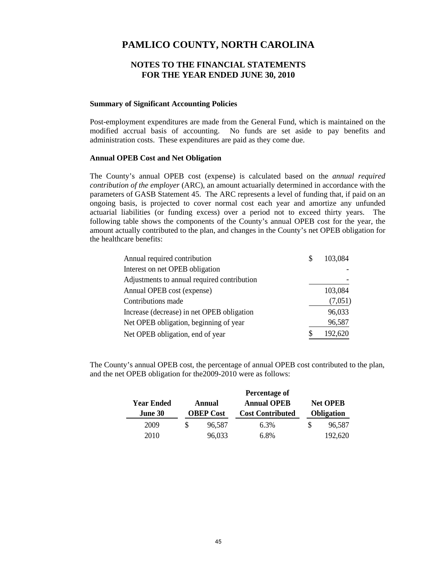### **NOTES TO THE FINANCIAL STATEMENTS FOR THE YEAR ENDED JUNE 30, 2010**

#### **Summary of Significant Accounting Policies**

Post-employment expenditures are made from the General Fund, which is maintained on the modified accrual basis of accounting. No funds are set aside to pay benefits and administration costs. These expenditures are paid as they come due.

#### **Annual OPEB Cost and Net Obligation**

The County's annual OPEB cost (expense) is calculated based on the *annual required contribution of the employer* (ARC), an amount actuarially determined in accordance with the parameters of GASB Statement 45. The ARC represents a level of funding that, if paid on an ongoing basis, is projected to cover normal cost each year and amortize any unfunded actuarial liabilities (or funding excess) over a period not to exceed thirty years. The following table shows the components of the County's annual OPEB cost for the year, the amount actually contributed to the plan, and changes in the County's net OPEB obligation for the healthcare benefits:

| Annual required contribution                | S | 103,084 |
|---------------------------------------------|---|---------|
| Interest on net OPEB obligation             |   |         |
| Adjustments to annual required contribution |   |         |
| Annual OPEB cost (expense)                  |   | 103,084 |
| Contributions made                          |   | (7,051) |
| Increase (decrease) in net OPEB obligation  |   | 96,033  |
| Net OPEB obligation, beginning of year      |   | 96,587  |
| Net OPEB obligation, end of year            | S | 192,620 |

The County's annual OPEB cost, the percentage of annual OPEB cost contributed to the plan, and the net OPEB obligation for the2009-2010 were as follows:

|                              | Percentage of |                            |                                               |                                      |         |  |  |  |  |  |  |
|------------------------------|---------------|----------------------------|-----------------------------------------------|--------------------------------------|---------|--|--|--|--|--|--|
| <b>Year Ended</b><br>June 30 |               | Annual<br><b>OBEP Cost</b> | <b>Annual OPEB</b><br><b>Cost Contributed</b> | <b>Net OPEB</b><br><b>Obligation</b> |         |  |  |  |  |  |  |
| 2009                         |               | 96,587                     | 6.3%                                          |                                      | 96,587  |  |  |  |  |  |  |
| 2010                         |               | 96,033                     | 6.8%                                          |                                      | 192,620 |  |  |  |  |  |  |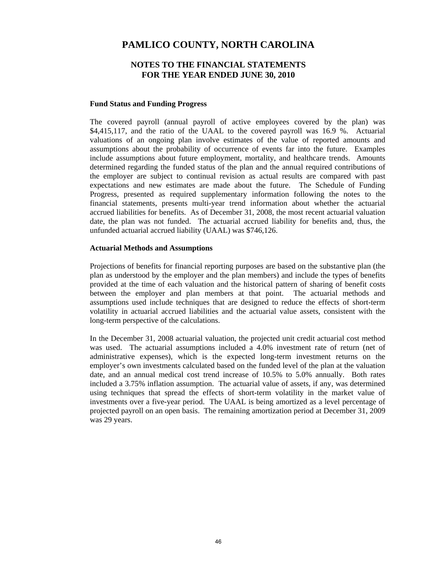### **NOTES TO THE FINANCIAL STATEMENTS FOR THE YEAR ENDED JUNE 30, 2010**

#### **Fund Status and Funding Progress**

The covered payroll (annual payroll of active employees covered by the plan) was \$4,415,117, and the ratio of the UAAL to the covered payroll was 16.9 %. Actuarial valuations of an ongoing plan involve estimates of the value of reported amounts and assumptions about the probability of occurrence of events far into the future. Examples include assumptions about future employment, mortality, and healthcare trends. Amounts determined regarding the funded status of the plan and the annual required contributions of the employer are subject to continual revision as actual results are compared with past expectations and new estimates are made about the future. The Schedule of Funding Progress, presented as required supplementary information following the notes to the financial statements, presents multi-year trend information about whether the actuarial accrued liabilities for benefits. As of December 31, 2008, the most recent actuarial valuation date, the plan was not funded. The actuarial accrued liability for benefits and, thus, the unfunded actuarial accrued liability (UAAL) was \$746,126.

#### **Actuarial Methods and Assumptions**

Projections of benefits for financial reporting purposes are based on the substantive plan (the plan as understood by the employer and the plan members) and include the types of benefits provided at the time of each valuation and the historical pattern of sharing of benefit costs between the employer and plan members at that point. The actuarial methods and assumptions used include techniques that are designed to reduce the effects of short-term volatility in actuarial accrued liabilities and the actuarial value assets, consistent with the long-term perspective of the calculations.

In the December 31, 2008 actuarial valuation, the projected unit credit actuarial cost method was used. The actuarial assumptions included a 4.0% investment rate of return (net of administrative expenses), which is the expected long-term investment returns on the employer's own investments calculated based on the funded level of the plan at the valuation date, and an annual medical cost trend increase of 10.5% to 5.0% annually. Both rates included a 3.75% inflation assumption. The actuarial value of assets, if any, was determined using techniques that spread the effects of short-term volatility in the market value of investments over a five-year period. The UAAL is being amortized as a level percentage of projected payroll on an open basis. The remaining amortization period at December 31, 2009 was 29 years.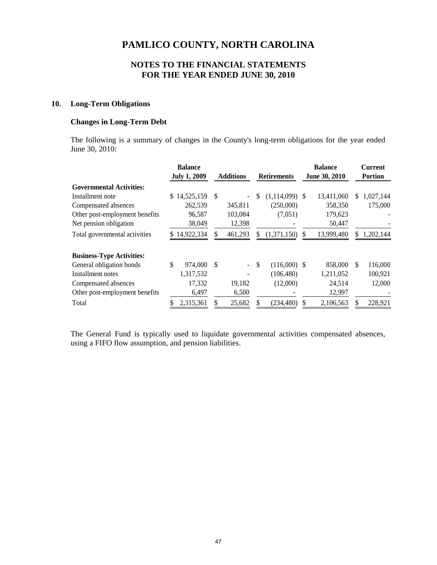### **NOTES TO THE FINANCIAL STATEMENTS FOR THE YEAR ENDED JUNE 30, 2010**

### **10. Long-Term Obligations**

### **Changes in Long-Term Debt**

The following is a summary of changes in the County's long-term obligations for the year ended June 30, 2010:

|                                  | <b>Balance</b>              |                                 |                                 | <b>Balance</b>  | <b>Current</b>   |
|----------------------------------|-----------------------------|---------------------------------|---------------------------------|-----------------|------------------|
|                                  | <b>July 1, 2009</b>         | <b>Additions</b>                | <b>Retirements</b>              | June 30, 2010   | <b>Portion</b>   |
| <b>Governmental Activities:</b>  |                             |                                 |                                 |                 |                  |
| Installment note                 | 14,525,159<br><sup>\$</sup> | <sup>\$</sup><br>$\overline{a}$ | \$<br>$(1,114,099)$ \$          | 13,411,060      | 1,027,144<br>\$. |
| Compensated absences             | 262,539                     | 345,811                         | (250,000)                       | 358,350         | 175,000          |
| Other post-employment benefits   | 96,587                      | 103,084                         | (7,051)                         | 179,623         |                  |
| Net pension obligation           | 38,049                      | 12,398                          |                                 | 50,447          |                  |
| Total governmental activities    | 14,922,334                  | 461,293                         | (1,371,150)                     | 13,999,480<br>S | 1,202,144        |
| <b>Business-Type Activities:</b> |                             |                                 |                                 |                 |                  |
| General obligation bonds         | \$<br>974,000               | -\$<br>$\blacksquare$           | <sup>\$</sup><br>$(116,000)$ \$ | 858,000         | 116,000<br>\$.   |
| Installment notes                | 1,317,532                   |                                 | (106, 480)                      | 1,211,052       | 100,921          |
| Compensated absences             | 17,332                      | 19,182                          | (12,000)                        | 24,514          | 12,000           |
| Other post-employment benefits   | 6,497                       | 6,500                           |                                 | 12,997          |                  |
| Total                            | 2,315,361                   | 25,682<br>\$                    | (234.480)                       | 2,106,563       | 228,921          |

The General Fund is typically used to liquidate governmental activities compensated absences, using a FIFO flow assumption, and pension liabilities.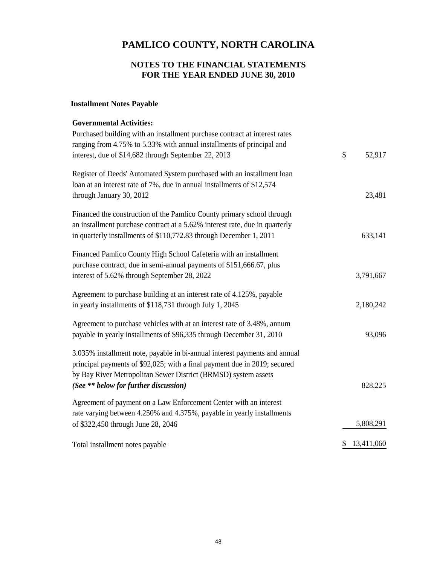# **NOTES TO THE FINANCIAL STATEMENTS FOR THE YEAR ENDED JUNE 30, 2010**

# **Installment Notes Payable**

| <b>Governmental Activities:</b>                                             |                  |
|-----------------------------------------------------------------------------|------------------|
| Purchased building with an installment purchase contract at interest rates  |                  |
| ranging from 4.75% to 5.33% with annual installments of principal and       |                  |
| interest, due of \$14,682 through September 22, 2013                        | \$<br>52,917     |
| Register of Deeds' Automated System purchased with an installment loan      |                  |
| loan at an interest rate of 7%, due in annual installments of \$12,574      |                  |
| through January 30, 2012                                                    | 23,481           |
| Financed the construction of the Pamlico County primary school through      |                  |
| an installment purchase contract at a 5.62% interest rate, due in quarterly |                  |
| in quarterly installments of \$110,772.83 through December 1, 2011          | 633,141          |
| Financed Pamlico County High School Cafeteria with an installment           |                  |
| purchase contract, due in semi-annual payments of \$151,666.67, plus        |                  |
| interest of 5.62% through September 28, 2022                                | 3,791,667        |
| Agreement to purchase building at an interest rate of 4.125%, payable       |                  |
| in yearly installments of \$118,731 through July 1, 2045                    | 2,180,242        |
| Agreement to purchase vehicles with at an interest rate of 3.48%, annum     |                  |
| payable in yearly installments of \$96,335 through December 31, 2010        | 93,096           |
| 3.035% installment note, payable in bi-annual interest payments and annual  |                  |
| principal payments of \$92,025; with a final payment due in 2019; secured   |                  |
| by Bay River Metropolitan Sewer District (BRMSD) system assets              |                  |
| (See ** below for further discussion)                                       | 828,225          |
| Agreement of payment on a Law Enforcement Center with an interest           |                  |
| rate varying between 4.250% and 4.375%, payable in yearly installments      |                  |
| of \$322,450 through June 28, 2046                                          | 5,808,291        |
| Total installment notes payable                                             | \$<br>13,411,060 |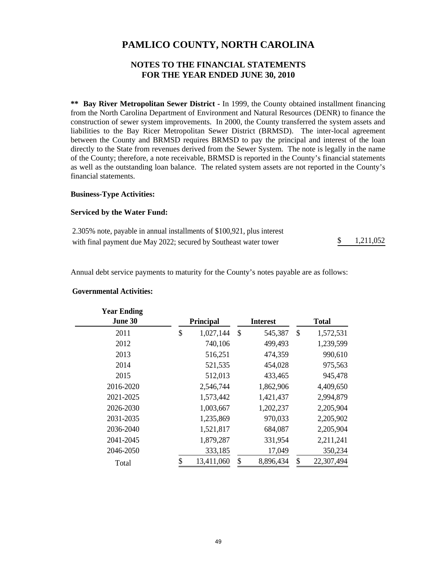# **NOTES TO THE FINANCIAL STATEMENTS FOR THE YEAR ENDED JUNE 30, 2010**

**\*\* Bay River Metropolitan Sewer District -** In 1999, the County obtained installment financing from the North Carolina Department of Environment and Natural Resources (DENR) to finance the construction of sewer system improvements. In 2000, the County transferred the system assets and liabilities to the Bay Ricer Metropolitan Sewer District (BRMSD). The inter-local agreement between the County and BRMSD requires BRMSD to pay the principal and interest of the loan directly to the State from revenues derived from the Sewer System. The note is legally in the name of the County; therefore, a note receivable, BRMSD is reported in the County's financial statements as well as the outstanding loan balance. The related system assets are not reported in the County's financial statements.

### **Business-Type Activities:**

#### **Serviced by the Water Fund:**

| 2.305% note, payable in annual installments of \$100,921, plus interest |           |
|-------------------------------------------------------------------------|-----------|
| with final payment due May 2022; secured by Southeast water tower       | 1,211,052 |

Annual debt service payments to maturity for the County's notes payable are as follows:

| <b>Year Ending</b> |                  |              |                 |              |            |  |
|--------------------|------------------|--------------|-----------------|--------------|------------|--|
| June 30            | <b>Principal</b> |              | <b>Interest</b> | <b>Total</b> |            |  |
| 2011               | \$<br>1,027,144  | $\mathbb{S}$ | 545,387         | \$           | 1,572,531  |  |
| 2012               | 740,106          |              | 499,493         |              | 1,239,599  |  |
| 2013               | 516,251          |              | 474,359         |              | 990,610    |  |
| 2014               | 521,535          |              | 454,028         |              | 975,563    |  |
| 2015               | 512,013          |              | 433,465         |              | 945,478    |  |
| 2016-2020          | 2,546,744        |              | 1,862,906       |              | 4,409,650  |  |
| 2021-2025          | 1,573,442        |              | 1,421,437       |              | 2,994,879  |  |
| 2026-2030          | 1,003,667        |              | 1,202,237       |              | 2,205,904  |  |
| 2031-2035          | 1,235,869        |              | 970,033         |              | 2,205,902  |  |
| 2036-2040          | 1,521,817        |              | 684,087         |              | 2,205,904  |  |
| 2041-2045          | 1,879,287        |              | 331,954         |              | 2,211,241  |  |
| 2046-2050          | 333,185          |              | 17,049          |              | 350,234    |  |
| Total              | \$<br>13,411,060 | \$           | 8,896,434       | \$           | 22,307,494 |  |

#### **Governmental Activities:**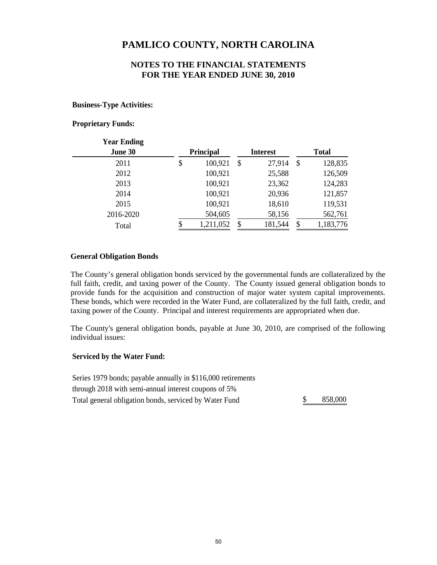## **NOTES TO THE FINANCIAL STATEMENTS FOR THE YEAR ENDED JUNE 30, 2010**

### **Business-Type Activities:**

### **Proprietary Funds:**

| <b>Year Ending</b> |                  |                 |              |           |  |
|--------------------|------------------|-----------------|--------------|-----------|--|
| June 30            | <b>Principal</b> | <b>Interest</b> | <b>Total</b> |           |  |
| 2011               | \$<br>100,921    | \$<br>27,914    | \$           | 128,835   |  |
| 2012               | 100,921          | 25,588          |              | 126,509   |  |
| 2013               | 100,921          | 23,362          |              | 124,283   |  |
| 2014               | 100,921          | 20,936          |              | 121,857   |  |
| 2015               | 100,921          | 18,610          |              | 119,531   |  |
| 2016-2020          | 504,605          | 58,156          |              | 562,761   |  |
| Total              | 1,211,052        | \$<br>181,544   | S            | 1,183,776 |  |

#### **General Obligation Bonds**

The County's general obligation bonds serviced by the governmental funds are collateralized by the full faith, credit, and taxing power of the County. The County issued general obligation bonds to provide funds for the acquisition and construction of major water system capital improvements. These bonds, which were recorded in the Water Fund, are collateralized by the full faith, credit, and taxing power of the County. Principal and interest requirements are appropriated when due.

The County's general obligation bonds, payable at June 30, 2010, are comprised of the following individual issues:

### **Serviced by the Water Fund:**

Series 1979 bonds; payable annually in \$116,000 retirements through 2018 with semi-annual interest coupons of 5% Total general obligation bonds, serviced by Water Fund  $\frac{\$}{\$}$  858,000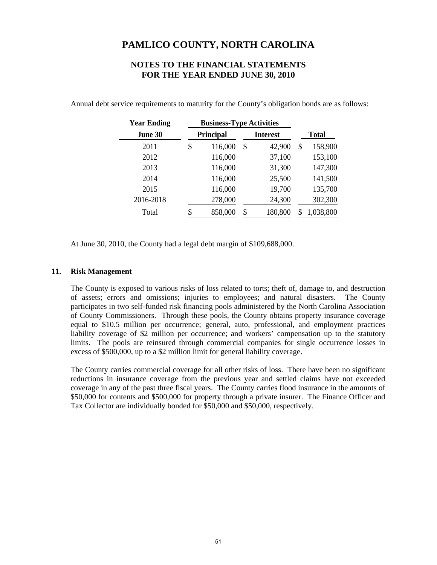### **NOTES TO THE FINANCIAL STATEMENTS FOR THE YEAR ENDED JUNE 30, 2010**

| <b>Year Ending</b> | <b>Business-Type Activities</b> |           |     |                 |              |           |  |
|--------------------|---------------------------------|-----------|-----|-----------------|--------------|-----------|--|
| June 30            |                                 | Principal |     | <b>Interest</b> | <b>Total</b> |           |  |
| 2011               | \$                              | 116,000   | \$  | 42,900          | \$           | 158,900   |  |
| 2012               |                                 | 116,000   |     | 37,100          |              | 153,100   |  |
| 2013               |                                 | 116,000   |     | 31,300          |              | 147,300   |  |
| 2014               |                                 | 116,000   |     | 25,500          |              | 141,500   |  |
| 2015               |                                 | 116,000   |     | 19,700          |              | 135,700   |  |
| 2016-2018          |                                 | 278,000   |     | 24,300          |              | 302,300   |  |
| Total              | \$                              | 858,000   | \$. | 180,800         |              | 1,038,800 |  |

Annual debt service requirements to maturity for the County's obligation bonds are as follows:

At June 30, 2010, the County had a legal debt margin of \$109,688,000.

### **11. Risk Management**

The County is exposed to various risks of loss related to torts; theft of, damage to, and destruction of assets; errors and omissions; injuries to employees; and natural disasters. The County participates in two self-funded risk financing pools administered by the North Carolina Association of County Commissioners. Through these pools, the County obtains property insurance coverage equal to \$10.5 million per occurrence; general, auto, professional, and employment practices liability coverage of \$2 million per occurrence; and workers' compensation up to the statutory limits. The pools are reinsured through commercial companies for single occurrence losses in excess of \$500,000, up to a \$2 million limit for general liability coverage.

The County carries commercial coverage for all other risks of loss. There have been no significant reductions in insurance coverage from the previous year and settled claims have not exceeded coverage in any of the past three fiscal years. The County carries flood insurance in the amounts of \$50,000 for contents and \$500,000 for property through a private insurer. The Finance Officer and Tax Collector are individually bonded for \$50,000 and \$50,000, respectively.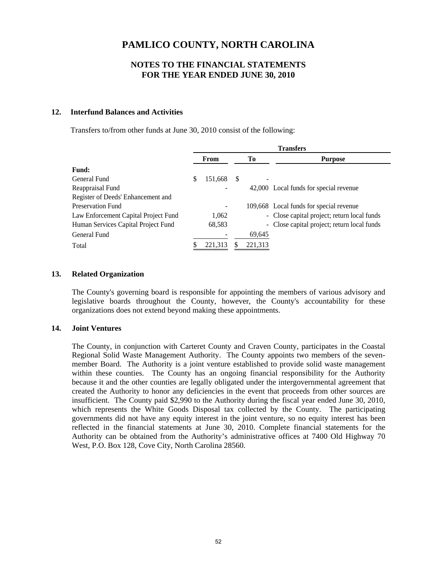## **NOTES TO THE FINANCIAL STATEMENTS FOR THE YEAR ENDED JUNE 30, 2010**

### **12. Interfund Balances and Activities**

Transfers to/from other funds at June 30, 2010 consist of the following:

|                                      | <b>Transfers</b> |                              |    |         |                                             |  |
|--------------------------------------|------------------|------------------------------|----|---------|---------------------------------------------|--|
|                                      |                  | From                         | Тo |         | <b>Purpose</b>                              |  |
| <b>Fund:</b>                         |                  |                              |    |         |                                             |  |
| General Fund                         |                  | 151,668                      | S  |         |                                             |  |
| Reappraisal Fund                     |                  | ۰                            |    |         | 42,000 Local funds for special revenue      |  |
| Register of Deeds' Enhancement and   |                  |                              |    |         |                                             |  |
| Preservation Fund                    |                  | $\qquad \qquad \blacksquare$ |    |         | 109,668 Local funds for special revenue     |  |
| Law Enforcement Capital Project Fund |                  | 1,062                        |    |         | - Close capital project; return local funds |  |
| Human Services Capital Project Fund  |                  | 68,583                       |    |         | - Close capital project; return local funds |  |
| General Fund                         |                  |                              |    | 69,645  |                                             |  |
| Total                                |                  | 221,313                      |    | 221,313 |                                             |  |

### **13. Related Organization**

The County's governing board is responsible for appointing the members of various advisory and legislative boards throughout the County, however, the County's accountability for these organizations does not extend beyond making these appointments.

#### **14. Joint Ventures**

The County, in conjunction with Carteret County and Craven County, participates in the Coastal Regional Solid Waste Management Authority. The County appoints two members of the sevenmember Board. The Authority is a joint venture established to provide solid waste management within these counties. The County has an ongoing financial responsibility for the Authority because it and the other counties are legally obligated under the intergovernmental agreement that created the Authority to honor any deficiencies in the event that proceeds from other sources are insufficient. The County paid \$2,990 to the Authority during the fiscal year ended June 30, 2010, which represents the White Goods Disposal tax collected by the County. The participating governments did not have any equity interest in the joint venture, so no equity interest has been reflected in the financial statements at June 30, 2010. Complete financial statements for the Authority can be obtained from the Authority's administrative offices at 7400 Old Highway 70 West, P.O. Box 128, Cove City, North Carolina 28560.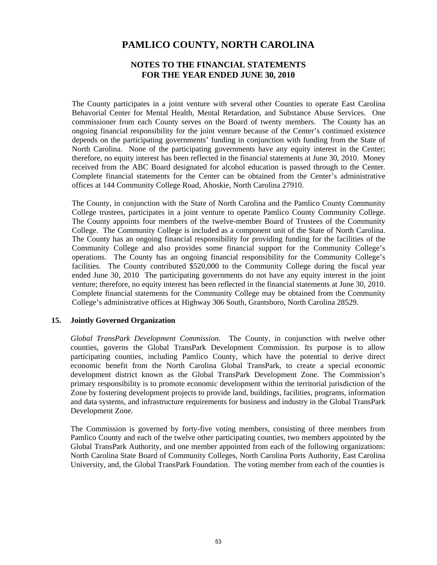### **NOTES TO THE FINANCIAL STATEMENTS FOR THE YEAR ENDED JUNE 30, 2010**

The County participates in a joint venture with several other Counties to operate East Carolina Behavorial Center for Mental Health, Mental Retardation, and Substance Abuse Services. One commissioner from each County serves on the Board of twenty members. The County has an ongoing financial responsibility for the joint venture because of the Center's continued existence depends on the participating governments' funding in conjunction with funding from the State of North Carolina. None of the participating governments have any equity interest in the Center; therefore, no equity interest has been reflected in the financial statements at June 30, 2010. Money received from the ABC Board designated for alcohol education is passed through to the Center. Complete financial statements for the Center can be obtained from the Center's administrative offices at 144 Community College Road, Ahoskie, North Carolina 27910.

The County, in conjunction with the State of North Carolina and the Pamlico County Community College trustees, participates in a joint venture to operate Pamlico County Community College. The County appoints four members of the twelve-member Board of Trustees of the Community College. The Community College is included as a component unit of the State of North Carolina. The County has an ongoing financial responsibility for providing funding for the facilities of the Community College and also provides some financial support for the Community College's operations. The County has an ongoing financial responsibility for the Community College's facilities. The County contributed \$520,000 to the Community College during the fiscal year ended June 30, 2010 The participating governments do not have any equity interest in the joint venture; therefore, no equity interest has been reflected in the financial statements at June 30, 2010. Complete financial statements for the Community College may be obtained from the Community College's administrative offices at Highway 306 South, Grantsboro, North Carolina 28529.

#### **15. Jointly Governed Organization**

*Global TransPark Development Commission.* The County, in conjunction with twelve other counties, governs the Global TransPark Development Commission. Its purpose is to allow participating counties, including Pamlico County, which have the potential to derive direct economic benefit from the North Carolina Global TransPark, to create a special economic development district known as the Global TransPark Development Zone. The Commission's primary responsibility is to promote economic development within the territorial jurisdiction of the Zone by fostering development projects to provide land, buildings, facilities, programs, information and data systems, and infrastructure requirements for business and industry in the Global TransPark Development Zone.

The Commission is governed by forty-five voting members, consisting of three members from Pamlico County and each of the twelve other participating counties, two members appointed by the Global TransPark Authority, and one member appointed from each of the following organizations: North Carolina State Board of Community Colleges, North Carolina Ports Authority, East Carolina University, and, the Global TransPark Foundation. The voting member from each of the counties is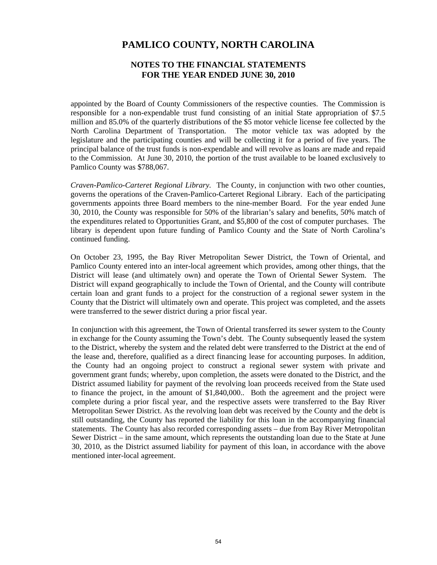### **NOTES TO THE FINANCIAL STATEMENTS FOR THE YEAR ENDED JUNE 30, 2010**

appointed by the Board of County Commissioners of the respective counties. The Commission is responsible for a non-expendable trust fund consisting of an initial State appropriation of \$7.5 million and 85.0% of the quarterly distributions of the \$5 motor vehicle license fee collected by the North Carolina Department of Transportation. The motor vehicle tax was adopted by the legislature and the participating counties and will be collecting it for a period of five years. The principal balance of the trust funds is non-expendable and will revolve as loans are made and repaid to the Commission. At June 30, 2010, the portion of the trust available to be loaned exclusively to Pamlico County was \$788,067.

*Craven-Pamlico-Carteret Regional Library.* The County, in conjunction with two other counties, governs the operations of the Craven-Pamlico-Carteret Regional Library. Each of the participating governments appoints three Board members to the nine-member Board. For the year ended June 30, 2010, the County was responsible for 50% of the librarian's salary and benefits, 50% match of the expenditures related to Opportunities Grant, and \$5,800 of the cost of computer purchases. The library is dependent upon future funding of Pamlico County and the State of North Carolina's continued funding.

On October 23, 1995, the Bay River Metropolitan Sewer District, the Town of Oriental, and Pamlico County entered into an inter-local agreement which provides, among other things, that the District will lease (and ultimately own) and operate the Town of Oriental Sewer System. The District will expand geographically to include the Town of Oriental, and the County will contribute certain loan and grant funds to a project for the construction of a regional sewer system in the County that the District will ultimately own and operate. This project was completed, and the assets were transferred to the sewer district during a prior fiscal year.

In conjunction with this agreement, the Town of Oriental transferred its sewer system to the County in exchange for the County assuming the Town's debt. The County subsequently leased the system to the District, whereby the system and the related debt were transferred to the District at the end of the lease and, therefore, qualified as a direct financing lease for accounting purposes. In addition, the County had an ongoing project to construct a regional sewer system with private and government grant funds; whereby, upon completion, the assets were donated to the District, and the District assumed liability for payment of the revolving loan proceeds received from the State used to finance the project, in the amount of \$1,840,000.. Both the agreement and the project were complete during a prior fiscal year, and the respective assets were transferred to the Bay River Metropolitan Sewer District. As the revolving loan debt was received by the County and the debt is still outstanding, the County has reported the liability for this loan in the accompanying financial statements. The County has also recorded corresponding assets – due from Bay River Metropolitan Sewer District – in the same amount, which represents the outstanding loan due to the State at June 30, 2010, as the District assumed liability for payment of this loan, in accordance with the above mentioned inter-local agreement.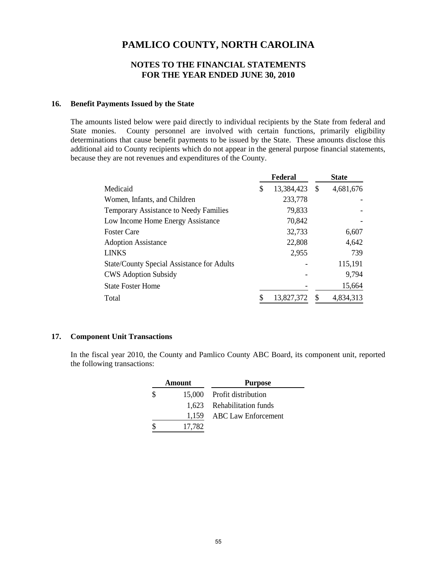### **NOTES TO THE FINANCIAL STATEMENTS FOR THE YEAR ENDED JUNE 30, 2010**

### **16. Benefit Payments Issued by the State**

The amounts listed below were paid directly to individual recipients by the State from federal and State monies. County personnel are involved with certain functions, primarily eligibility determinations that cause benefit payments to be issued by the State. These amounts disclose this additional aid to County recipients which do not appear in the general purpose financial statements, because they are not revenues and expenditures of the County.

|                                                   | Federal          | <b>State</b>    |
|---------------------------------------------------|------------------|-----------------|
| Medicaid                                          | \$<br>13,384,423 | \$<br>4,681,676 |
| Women, Infants, and Children                      | 233,778          |                 |
| Temporary Assistance to Needy Families            | 79,833           |                 |
| Low Income Home Energy Assistance                 | 70,842           |                 |
| <b>Foster Care</b>                                | 32,733           | 6,607           |
| <b>Adoption Assistance</b>                        | 22,808           | 4,642           |
| <b>LINKS</b>                                      | 2,955            | 739             |
| <b>State/County Special Assistance for Adults</b> |                  | 115,191         |
| <b>CWS</b> Adoption Subsidy                       |                  | 9,794           |
| <b>State Foster Home</b>                          |                  | 15,664          |
| Total                                             | 13,827,372       | 4,834,313       |

### **17. Component Unit Transactions**

In the fiscal year 2010, the County and Pamlico County ABC Board, its component unit, reported the following transactions:

| Amount | <b>Purpose</b>             |
|--------|----------------------------|
|        | 15,000 Profit distribution |
|        | 1,623 Rehabilitation funds |
|        | 1,159 ABC Law Enforcement  |
| 17,782 |                            |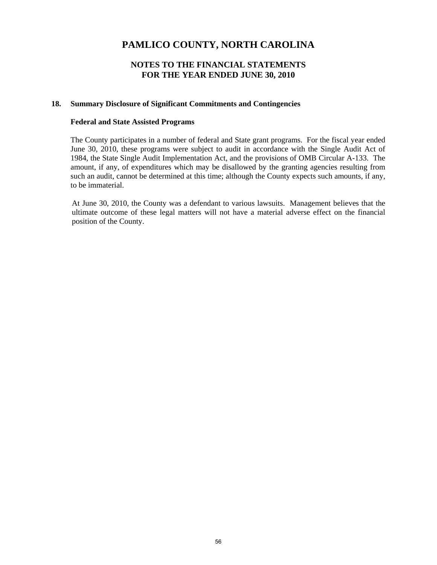## **NOTES TO THE FINANCIAL STATEMENTS FOR THE YEAR ENDED JUNE 30, 2010**

### **18. Summary Disclosure of Significant Commitments and Contingencies**

### **Federal and State Assisted Programs**

The County participates in a number of federal and State grant programs. For the fiscal year ended June 30, 2010, these programs were subject to audit in accordance with the Single Audit Act of 1984, the State Single Audit Implementation Act, and the provisions of OMB Circular A-133. The amount, if any, of expenditures which may be disallowed by the granting agencies resulting from such an audit, cannot be determined at this time; although the County expects such amounts, if any, to be immaterial.

At June 30, 2010, the County was a defendant to various lawsuits. Management believes that the ultimate outcome of these legal matters will not have a material adverse effect on the financial position of the County.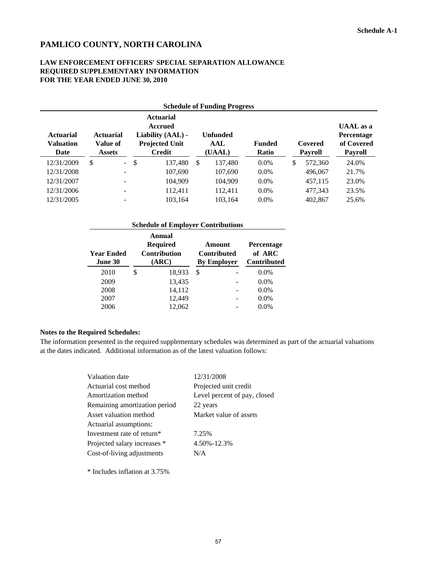### **LAW ENFORCEMENT OFFICERS' SPECIAL SEPARATION ALLOWANCE REQUIRED SUPPLEMENTARY INFORMATION FOR THE YEAR ENDED JUNE 30, 2010**

|                                              | <b>Schedule of Funding Progress</b>    |               |                                                                                            |     |                                  |                        |    |                    |                                                         |
|----------------------------------------------|----------------------------------------|---------------|--------------------------------------------------------------------------------------------|-----|----------------------------------|------------------------|----|--------------------|---------------------------------------------------------|
| <b>Actuarial</b><br><b>Valuation</b><br>Date | <b>Actuarial</b><br>Value of<br>Assets |               | <b>Actuarial</b><br><b>Accrued</b><br>Liability (AAL) -<br><b>Projected Unit</b><br>Credit |     | <b>Unfunded</b><br>AAL<br>(UAAL) | <b>Funded</b><br>Ratio |    | Covered<br>Payroll | <b>UAAL</b> as a<br>Percentage<br>of Covered<br>Payroll |
| 12/31/2009                                   | $\omega_{\rm{eff}}$<br>\$.             | <sup>\$</sup> | 137,480                                                                                    | \$. | 137,480                          | $0.0\%$                | \$ | 572,360            | 24.0%                                                   |
| 12/31/2008                                   | $\overline{\phantom{m}}$               |               | 107,690                                                                                    |     | 107,690                          | $0.0\%$                |    | 496.067            | 21.7%                                                   |
| 12/31/2007                                   |                                        |               | 104,909                                                                                    |     | 104,909                          | $0.0\%$                |    | 457,115            | 23.0%                                                   |
| 12/31/2006                                   | $\qquad \qquad -$                      |               | 112.411                                                                                    |     | 112.411                          | $0.0\%$                |    | 477,343            | 23.5%                                                   |
| 12/31/2005                                   |                                        |               | 103,164                                                                                    |     | 103,164                          | $0.0\%$                |    | 402,867            | 25.6%                                                   |

| <b>Schedule of Employer Contributions</b> |    |                                                           |    |                                                    |                                                   |  |  |
|-------------------------------------------|----|-----------------------------------------------------------|----|----------------------------------------------------|---------------------------------------------------|--|--|
| <b>Year Ended</b><br>June 30              |    | Annual<br><b>Required</b><br><b>Contribution</b><br>(ARC) |    | Amount<br><b>Contributed</b><br><b>By Employer</b> | <b>Percentage</b><br>of ARC<br><b>Contributed</b> |  |  |
| 2010                                      | \$ | 18,933                                                    | \$ |                                                    | $0.0\%$                                           |  |  |
| 2009                                      |    | 13,435                                                    |    |                                                    | $0.0\%$                                           |  |  |
| 2008                                      |    | 14,112                                                    |    |                                                    | $0.0\%$                                           |  |  |
| 2007                                      |    | 12,449                                                    |    |                                                    | $0.0\%$                                           |  |  |
| 2006                                      |    | 12.062                                                    |    |                                                    | $0.0\%$                                           |  |  |

#### **Notes to the Required Schedules:**

The information presented in the required supplementary schedules was determined as part of the actuarial valuations at the dates indicated. Additional information as of the latest valuation follows:

| Valuation date                | 12/31/2008                   |
|-------------------------------|------------------------------|
| Actuarial cost method         | Projected unit credit        |
| Amortization method           | Level percent of pay, closed |
| Remaining amortization period | 22 years                     |
| Asset valuation method        | Market value of assets       |
| Actuarial assumptions:        |                              |
| Investment rate of return*    | 7.25%                        |
| Projected salary increases *  | 4.50%-12.3%                  |
| Cost-of-living adjustments    | N/A                          |
|                               |                              |

\* Includes inflation at 3.75%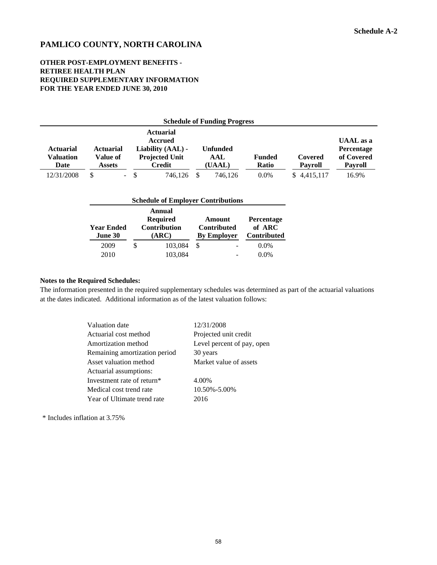### **OTHER POST-EMPLOYMENT BENEFITS - RETIREE HEALTH PLAN REQUIRED SUPPLEMENTARY INFORMATION FOR THE YEAR ENDED JUNE 30, 2010**

| <b>Schedule of Funding Progress</b>   |                                               |                                                                                            |                                  |                        |                           |                                                                |  |
|---------------------------------------|-----------------------------------------------|--------------------------------------------------------------------------------------------|----------------------------------|------------------------|---------------------------|----------------------------------------------------------------|--|
| <b>Actuarial</b><br>Valuation<br>Date | <b>Actuarial</b><br>Value of<br><b>Assets</b> | <b>Actuarial</b><br><b>Accrued</b><br>Liability (AAL) -<br><b>Projected Unit</b><br>Credit | <b>Unfunded</b><br>AAL<br>(UAAL) | <b>Funded</b><br>Ratio | Covered<br><b>Pavroll</b> | <b>UAAL</b> as a<br>Percentage<br>of Covered<br><b>Payroll</b> |  |
| 12/31/2008                            | S                                             | $- S$<br>746.126                                                                           | 746.126                          | $0.0\%$                | \$4,415,117               | 16.9%                                                          |  |

| <b>Schedule of Employer Contributions</b> |   |                                                           |   |                                                    |                                                   |  |
|-------------------------------------------|---|-----------------------------------------------------------|---|----------------------------------------------------|---------------------------------------------------|--|
| <b>Year Ended</b><br>June 30              |   | Annual<br><b>Required</b><br><b>Contribution</b><br>(ARC) |   | Amount<br><b>Contributed</b><br><b>By Employer</b> | <b>Percentage</b><br>of ARC<br><b>Contributed</b> |  |
| 2009<br>2010                              | S | 103,084<br>103,084                                        | S |                                                    | $0.0\%$<br>$0.0\%$                                |  |

#### **Notes to the Required Schedules:**

The information presented in the required supplementary schedules was determined as part of the actuarial valuations at the dates indicated. Additional information as of the latest valuation follows:

| Valuation date                | 12/31/2008                 |
|-------------------------------|----------------------------|
| Actuarial cost method         | Projected unit credit      |
| Amortization method           | Level percent of pay, open |
| Remaining amortization period | 30 years                   |
| Asset valuation method        | Market value of assets     |
| Actuarial assumptions:        |                            |
| Investment rate of return*    | 4.00%                      |
| Medical cost trend rate       | 10.50%-5.00%               |
| Year of Ultimate trend rate   | 2016                       |

\* Includes inflation at 3.75%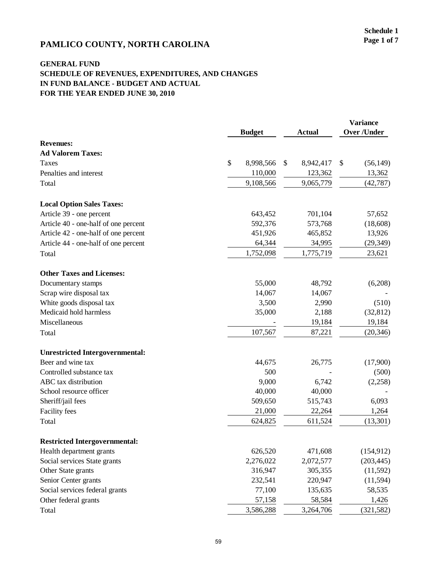# **PAMLICO COUNTY, NORTH CAROLINA** Page 1 of 7

|                                        | <b>Budget</b>   | <b>Actual</b>   | <b>Variance</b><br><b>Over /Under</b> |            |
|----------------------------------------|-----------------|-----------------|---------------------------------------|------------|
| <b>Revenues:</b>                       |                 |                 |                                       |            |
| <b>Ad Valorem Taxes:</b>               |                 |                 |                                       |            |
| <b>Taxes</b>                           | \$<br>8,998,566 | \$<br>8,942,417 | \$                                    | (56, 149)  |
| Penalties and interest                 | 110,000         | 123,362         |                                       | 13,362     |
| Total                                  | 9,108,566       | 9,065,779       |                                       | (42, 787)  |
| <b>Local Option Sales Taxes:</b>       |                 |                 |                                       |            |
| Article 39 - one percent               | 643,452         | 701,104         |                                       | 57,652     |
| Article 40 - one-half of one percent   | 592,376         | 573,768         |                                       | (18,608)   |
| Article 42 - one-half of one percent   | 451,926         | 465,852         |                                       | 13,926     |
| Article 44 - one-half of one percent   | 64,344          | 34,995          |                                       | (29, 349)  |
| Total                                  | 1,752,098       | 1,775,719       |                                       | 23,621     |
| <b>Other Taxes and Licenses:</b>       |                 |                 |                                       |            |
| Documentary stamps                     | 55,000          | 48,792          |                                       | (6,208)    |
| Scrap wire disposal tax                | 14,067          | 14,067          |                                       |            |
| White goods disposal tax               | 3,500           | 2,990           |                                       | (510)      |
| Medicaid hold harmless                 | 35,000          | 2,188           |                                       | (32, 812)  |
| Miscellaneous                          |                 | 19,184          |                                       | 19,184     |
| Total                                  | 107,567         | 87,221          |                                       | (20, 346)  |
| <b>Unrestricted Intergovernmental:</b> |                 |                 |                                       |            |
| Beer and wine tax                      | 44,675          | 26,775          |                                       | (17,900)   |
| Controlled substance tax               | 500             |                 |                                       | (500)      |
| ABC tax distribution                   | 9,000           | 6,742           |                                       | (2,258)    |
| School resource officer                | 40,000          | 40,000          |                                       |            |
| Sheriff/jail fees                      | 509,650         | 515,743         |                                       | 6,093      |
| <b>Facility</b> fees                   | 21,000          | 22,264          |                                       | 1,264      |
| Total                                  | 624,825         | 611,524         |                                       | (13, 301)  |
| <b>Restricted Intergovernmental:</b>   |                 |                 |                                       |            |
| Health department grants               | 626,520         | 471,608         |                                       | (154, 912) |
| Social services State grants           | 2,276,022       | 2,072,577       |                                       | (203, 445) |
| Other State grants                     | 316,947         | 305,355         |                                       | (11, 592)  |
| Senior Center grants                   | 232,541         | 220,947         |                                       | (11, 594)  |
| Social services federal grants         | 77,100          | 135,635         |                                       | 58,535     |
| Other federal grants                   | 57,158          | 58,584          |                                       | 1,426      |
| Total                                  | 3,586,288       | 3,264,706       |                                       | (321, 582) |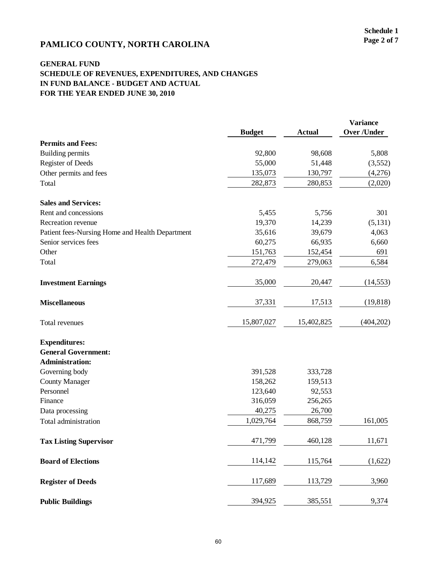# **PAMLICO COUNTY, NORTH CAROLINA** Page 2 of 7

|                                                 | <b>Budget</b> | <b>Actual</b> | <b>Variance</b><br><b>Over /Under</b> |
|-------------------------------------------------|---------------|---------------|---------------------------------------|
| <b>Permits and Fees:</b>                        |               |               |                                       |
| <b>Building permits</b>                         | 92,800        | 98,608        | 5,808                                 |
| <b>Register of Deeds</b>                        | 55,000        | 51,448        | (3,552)                               |
| Other permits and fees                          | 135,073       | 130,797       | (4,276)                               |
| Total                                           | 282,873       | 280,853       | (2,020)                               |
| <b>Sales and Services:</b>                      |               |               |                                       |
| Rent and concessions                            | 5,455         | 5,756         | 301                                   |
| Recreation revenue                              | 19,370        | 14,239        | (5, 131)                              |
| Patient fees-Nursing Home and Health Department | 35,616        | 39,679        | 4,063                                 |
| Senior services fees                            | 60,275        | 66,935        | 6,660                                 |
| Other                                           | 151,763       | 152,454       | 691                                   |
| Total                                           | 272,479       | 279,063       | 6,584                                 |
| <b>Investment Earnings</b>                      | 35,000        | 20,447        | (14, 553)                             |
| <b>Miscellaneous</b>                            | 37,331        | 17,513        | (19, 818)                             |
| Total revenues                                  | 15,807,027    | 15,402,825    | (404,202)                             |
| <b>Expenditures:</b>                            |               |               |                                       |
| <b>General Government:</b>                      |               |               |                                       |
| <b>Administration:</b>                          |               |               |                                       |
| Governing body                                  | 391,528       | 333,728       |                                       |
| <b>County Manager</b>                           | 158,262       | 159,513       |                                       |
| Personnel                                       | 123,640       | 92,553        |                                       |
| Finance                                         | 316,059       | 256,265       |                                       |
| Data processing                                 | 40,275        | 26,700        |                                       |
| Total administration                            | 1,029,764     | 868,759       | 161,005                               |
| <b>Tax Listing Supervisor</b>                   | 471,799       | 460,128       | 11,671                                |
| <b>Board of Elections</b>                       | 114,142       | 115,764       | (1,622)                               |
| <b>Register of Deeds</b>                        | 117,689       | 113,729       | 3,960                                 |
| <b>Public Buildings</b>                         | 394,925       | 385,551       | 9,374                                 |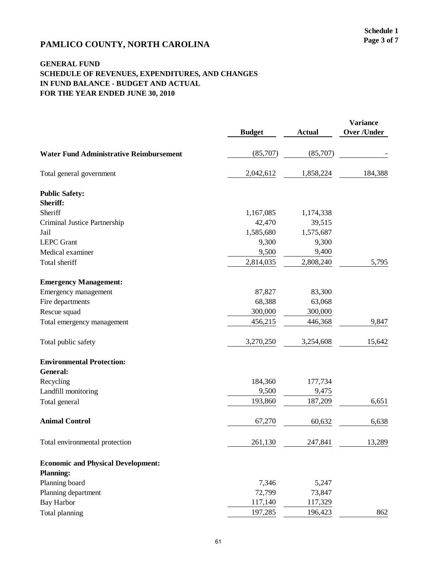# **PAMLICO COUNTY, NORTH CAROLINA** Page 3 of 7

|                                                | <b>Budget</b> | <b>Actual</b> | <b>Variance</b><br><b>Over /Under</b> |
|------------------------------------------------|---------------|---------------|---------------------------------------|
| <b>Water Fund Administrative Reimbursement</b> | (85,707)      | (85,707)      |                                       |
| Total general government                       | 2,042,612     | 1,858,224     | 184,388                               |
| <b>Public Safety:</b>                          |               |               |                                       |
| Sheriff:                                       |               |               |                                       |
| Sheriff                                        | 1,167,085     | 1,174,338     |                                       |
| Criminal Justice Partnership                   | 42,470        | 39,515        |                                       |
| Jail                                           | 1,585,680     | 1,575,687     |                                       |
| <b>LEPC</b> Grant                              | 9,300         | 9,300         |                                       |
| Medical examiner                               | 9,500         | 9,400         |                                       |
| Total sheriff                                  | 2,814,035     | 2,808,240     | 5,795                                 |
| <b>Emergency Management:</b>                   |               |               |                                       |
| Emergency management                           | 87,827        | 83,300        |                                       |
| Fire departments                               | 68,388        | 63,068        |                                       |
| Rescue squad                                   | 300,000       | 300,000       |                                       |
| Total emergency management                     | 456,215       | 446,368       | 9,847                                 |
| Total public safety                            | 3,270,250     | 3,254,608     | 15,642                                |
| <b>Environmental Protection:</b>               |               |               |                                       |
| General:                                       |               |               |                                       |
| Recycling                                      | 184,360       | 177,734       |                                       |
| Landfill monitoring                            | 9,500         | 9,475         |                                       |
| Total general                                  | 193,860       | 187,209       | 6,651                                 |
| <b>Animal Control</b>                          | 67,270        | 60,632        | 6,638                                 |
| Total environmental protection                 | 261,130       | 247,841       | 13,289                                |
| <b>Economic and Physical Development:</b>      |               |               |                                       |
| <b>Planning:</b>                               |               |               |                                       |
| Planning board                                 | 7,346         | 5,247         |                                       |
| Planning department                            | 72,799        | 73,847        |                                       |
| <b>Bay Harbor</b>                              | 117,140       | 117,329       |                                       |
| Total planning                                 | 197,285       | 196,423       | 862                                   |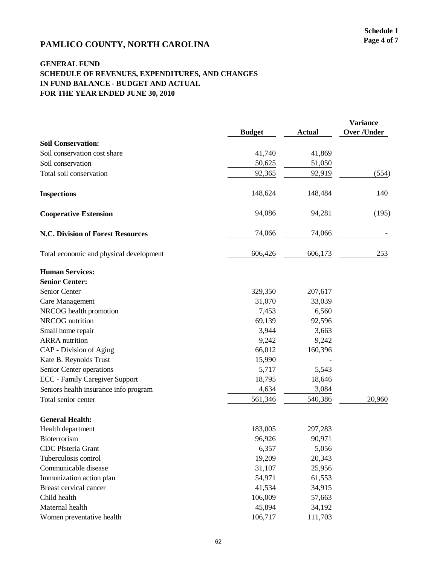# **PAMLICO COUNTY, NORTH CAROLINA** Page 4 of 7

|                                         |               |               | <b>Variance</b>    |
|-----------------------------------------|---------------|---------------|--------------------|
|                                         | <b>Budget</b> | <b>Actual</b> | <b>Over /Under</b> |
| <b>Soil Conservation:</b>               |               |               |                    |
| Soil conservation cost share            | 41,740        | 41,869        |                    |
| Soil conservation                       | 50,625        | 51,050        |                    |
| Total soil conservation                 | 92,365        | 92,919        | (554)              |
| <b>Inspections</b>                      | 148,624       | 148,484       | 140                |
| <b>Cooperative Extension</b>            | 94,086        | 94,281        | (195)              |
| N.C. Division of Forest Resources       | 74,066        | 74,066        |                    |
| Total economic and physical development | 606,426       | 606,173       | 253                |
| <b>Human Services:</b>                  |               |               |                    |
| <b>Senior Center:</b>                   |               |               |                    |
| Senior Center                           | 329,350       | 207,617       |                    |
| Care Management                         | 31,070        | 33,039        |                    |
| NRCOG health promotion                  | 7,453         | 6,560         |                    |
| NRCOG nutrition                         | 69,139        | 92,596        |                    |
| Small home repair                       | 3,944         | 3,663         |                    |
| <b>ARRA</b> nutrition                   | 9,242         | 9,242         |                    |
| CAP - Division of Aging                 | 66,012        | 160,396       |                    |
| Kate B. Reynolds Trust                  | 15,990        |               |                    |
| Senior Center operations                | 5,717         | 5,543         |                    |
| <b>ECC</b> - Family Caregiver Support   | 18,795        | 18,646        |                    |
| Seniors health insurance info program   | 4,634         | 3,084         |                    |
| Total senior center                     | 561,346       | 540,386       | 20,960             |
| <b>General Health:</b>                  |               |               |                    |
| Health department                       | 183,005       | 297,283       |                    |
| Bioterrorism                            | 96,926        | 90,971        |                    |
| CDC Pfsteria Grant                      | 6,357         | 5,056         |                    |
| Tuberculosis control                    | 19,209        | 20,343        |                    |
| Communicable disease                    | 31,107        | 25,956        |                    |
| Immunization action plan                | 54,971        | 61,553        |                    |
| Breast cervical cancer                  | 41,534        | 34,915        |                    |
| Child health                            | 106,009       | 57,663        |                    |
| Maternal health                         | 45,894        | 34,192        |                    |
| Women preventative health               | 106,717       | 111,703       |                    |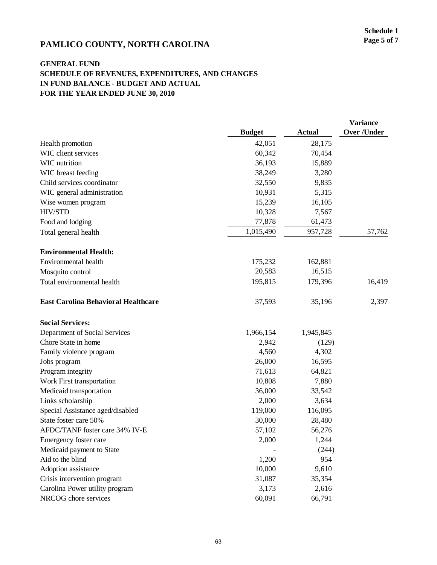# **PAMLICO COUNTY, NORTH CAROLINA** Page 5 of 7

|                                            |               |           | <b>Variance</b>    |
|--------------------------------------------|---------------|-----------|--------------------|
|                                            | <b>Budget</b> | Actual    | <b>Over /Under</b> |
| Health promotion                           | 42,051        | 28,175    |                    |
| WIC client services                        | 60,342        | 70,454    |                    |
| WIC nutrition                              | 36,193        | 15,889    |                    |
| WIC breast feeding                         | 38,249        | 3,280     |                    |
| Child services coordinator                 | 32,550        | 9,835     |                    |
| WIC general administration                 | 10,931        | 5,315     |                    |
| Wise women program                         | 15,239        | 16,105    |                    |
| HIV/STD                                    | 10,328        | 7,567     |                    |
| Food and lodging                           | 77,878        | 61,473    |                    |
| Total general health                       | 1,015,490     | 957,728   | 57,762             |
| <b>Environmental Health:</b>               |               |           |                    |
| Environmental health                       | 175,232       | 162,881   |                    |
| Mosquito control                           | 20,583        | 16,515    |                    |
| Total environmental health                 | 195,815       | 179,396   | 16,419             |
| <b>East Carolina Behavioral Healthcare</b> | 37,593        | 35,196    | 2,397              |
| <b>Social Services:</b>                    |               |           |                    |
| Department of Social Services              | 1,966,154     | 1,945,845 |                    |
| Chore State in home                        | 2,942         | (129)     |                    |
| Family violence program                    | 4,560         | 4,302     |                    |
| Jobs program                               | 26,000        | 16,595    |                    |
| Program integrity                          | 71,613        | 64,821    |                    |
| Work First transportation                  | 10,808        | 7,880     |                    |
| Medicaid transportation                    | 36,000        | 33,542    |                    |
| Links scholarship                          | 2,000         | 3,634     |                    |
| Special Assistance aged/disabled           | 119,000       | 116,095   |                    |
| State foster care 50%                      | 30,000        | 28,480    |                    |
| AFDC/TANF foster care 34% IV-E             | 57,102        | 56,276    |                    |
| Emergency foster care                      | 2,000         | 1,244     |                    |
| Medicaid payment to State                  |               | (244)     |                    |
| Aid to the blind                           | 1,200         | 954       |                    |
| Adoption assistance                        | 10,000        | 9,610     |                    |
| Crisis intervention program                | 31,087        | 35,354    |                    |
| Carolina Power utility program             | 3,173         | 2,616     |                    |
| NRCOG chore services                       | 60,091        | 66,791    |                    |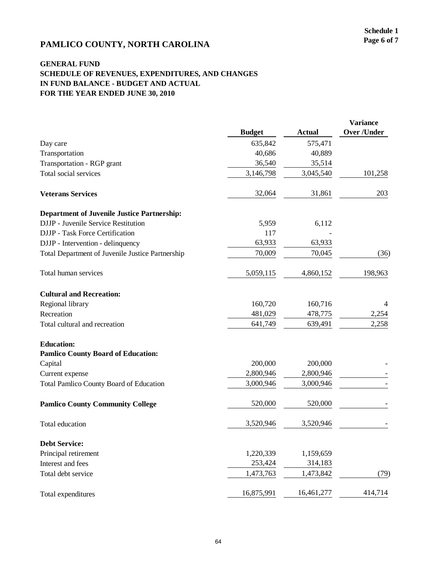# **PAMLICO COUNTY, NORTH CAROLINA** Page 6 of 7

|                                                    |               |            | <b>Variance</b>    |  |
|----------------------------------------------------|---------------|------------|--------------------|--|
|                                                    | <b>Budget</b> | Actual     | <b>Over /Under</b> |  |
| Day care                                           | 635,842       | 575,471    |                    |  |
| Transportation                                     | 40,686        | 40,889     |                    |  |
| Transportation - RGP grant                         | 36,540        | 35,514     |                    |  |
| Total social services                              | 3,146,798     | 3,045,540  | 101,258            |  |
| <b>Veterans Services</b>                           | 32,064        | 31,861     | 203                |  |
| <b>Department of Juvenile Justice Partnership:</b> |               |            |                    |  |
| DJJP - Juvenile Service Restitution                | 5,959         | 6,112      |                    |  |
| DJJP - Task Force Certification                    | 117           |            |                    |  |
| DJJP - Intervention - delinquency                  | 63,933        | 63,933     |                    |  |
| Total Department of Juvenile Justice Partnership   | 70,009        | 70,045     | (36)               |  |
| Total human services                               | 5,059,115     | 4,860,152  | 198,963            |  |
| <b>Cultural and Recreation:</b>                    |               |            |                    |  |
| Regional library                                   | 160,720       | 160,716    |                    |  |
| Recreation                                         | 481,029       | 478,775    | 2,254              |  |
| Total cultural and recreation                      | 641,749       | 639,491    | 2,258              |  |
| <b>Education:</b>                                  |               |            |                    |  |
| <b>Pamlico County Board of Education:</b>          |               |            |                    |  |
| Capital                                            | 200,000       | 200,000    |                    |  |
| Current expense                                    | 2,800,946     | 2,800,946  |                    |  |
| <b>Total Pamlico County Board of Education</b>     | 3,000,946     | 3,000,946  |                    |  |
| <b>Pamlico County Community College</b>            | 520,000       | 520,000    |                    |  |
| Total education                                    | 3,520,946     | 3,520,946  |                    |  |
| <b>Debt Service:</b>                               |               |            |                    |  |
| Principal retirement                               | 1,220,339     | 1,159,659  |                    |  |
| Interest and fees                                  | 253,424       | 314,183    |                    |  |
| Total debt service                                 | 1,473,763     | 1,473,842  | (79)               |  |
| Total expenditures                                 | 16,875,991    | 16,461,277 | 414,714            |  |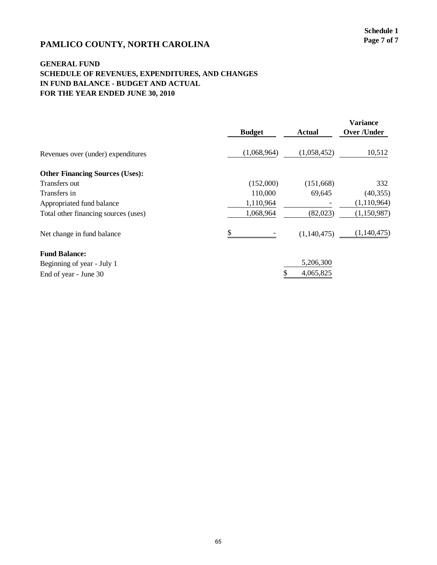# **PAMLICO COUNTY, NORTH CAROLINA** Page 7 of 7

|                                        |               |             | <b>Variance</b>    |
|----------------------------------------|---------------|-------------|--------------------|
|                                        | <b>Budget</b> | Actual      | <b>Over /Under</b> |
| Revenues over (under) expenditures     | (1,068,964)   | (1,058,452) | 10,512             |
| <b>Other Financing Sources (Uses):</b> |               |             |                    |
| Transfers out                          | (152,000)     | (151,668)   | 332                |
| Transfers in                           | 110,000       | 69,645      | (40, 355)          |
| Appropriated fund balance              | 1,110,964     |             | (1,110,964)        |
| Total other financing sources (uses)   | 1,068,964     | (82,023)    | (1,150,987)        |
| Net change in fund balance             | \$            | (1,140,475) | (1,140,475)        |
| <b>Fund Balance:</b>                   |               |             |                    |
| Beginning of year - July 1             |               | 5,206,300   |                    |
| End of year - June 30                  |               | 4,065,825   |                    |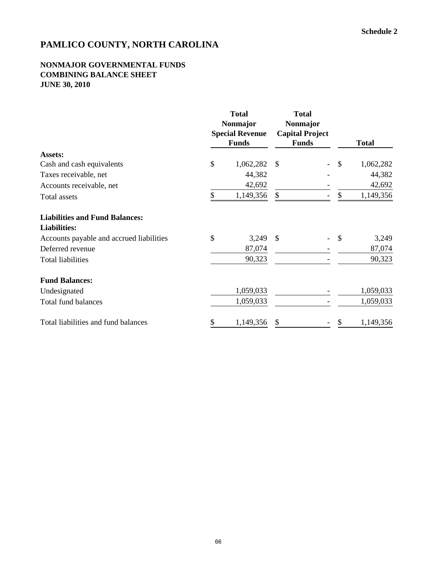### **NONMAJOR GOVERNMENTAL FUNDS COMBINING BALANCE SHEET JUNE 30, 2010**

|                                          | <b>Total</b><br>Nonmajor<br><b>Special Revenue</b> | <b>Total</b><br><b>Nonmajor</b><br><b>Capital Project</b> |                 |
|------------------------------------------|----------------------------------------------------|-----------------------------------------------------------|-----------------|
|                                          | <b>Funds</b>                                       | <b>Funds</b>                                              | <b>Total</b>    |
| Assets:                                  |                                                    |                                                           |                 |
| Cash and cash equivalents                | \$<br>1,062,282                                    | <sup>\$</sup>                                             | \$<br>1,062,282 |
| Taxes receivable, net                    | 44,382                                             |                                                           | 44,382          |
| Accounts receivable, net                 | 42,692                                             |                                                           | 42,692          |
| Total assets                             | \$<br>1,149,356                                    | \$                                                        | \$<br>1,149,356 |
| <b>Liabilities and Fund Balances:</b>    |                                                    |                                                           |                 |
| <b>Liabilities:</b>                      |                                                    |                                                           |                 |
| Accounts payable and accrued liabilities | \$<br>3,249                                        | $\mathcal{S}$                                             | \$<br>3,249     |
| Deferred revenue                         | 87,074                                             |                                                           | 87,074          |
| <b>Total liabilities</b>                 | 90,323                                             |                                                           | 90,323          |
| <b>Fund Balances:</b>                    |                                                    |                                                           |                 |
| Undesignated                             | 1,059,033                                          |                                                           | 1,059,033       |
| <b>Total fund balances</b>               | 1,059,033                                          |                                                           | 1,059,033       |
| Total liabilities and fund balances      | \$<br>1,149,356                                    | \$                                                        | \$<br>1,149,356 |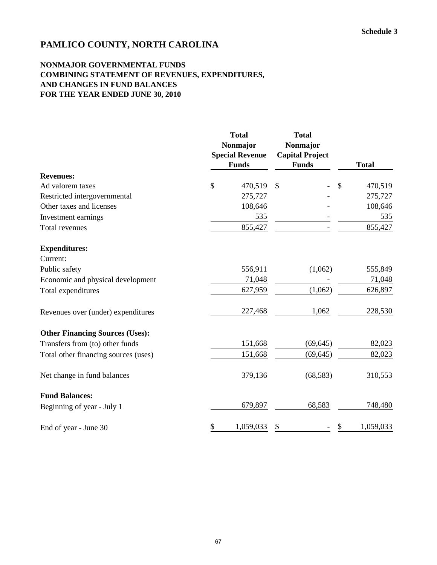#### **NONMAJOR GOVERNMENTAL FUNDS COMBINING STATEMENT OF REVENUES, EXPENDITURES, AND CHANGES IN FUND BALANCES FOR THE YEAR ENDED JUNE 30, 2010**

|                                        | <b>Total</b><br>Nonmajor<br><b>Special Revenue</b><br><b>Funds</b> | <b>Total</b><br>Nonmajor<br><b>Capital Project</b><br><b>Funds</b> | <b>Total</b>    |  |  |
|----------------------------------------|--------------------------------------------------------------------|--------------------------------------------------------------------|-----------------|--|--|
| <b>Revenues:</b>                       |                                                                    |                                                                    |                 |  |  |
| Ad valorem taxes                       | \$<br>470,519                                                      | $\mathcal{S}$                                                      | \$<br>470,519   |  |  |
| Restricted intergovernmental           | 275,727                                                            |                                                                    | 275,727         |  |  |
| Other taxes and licenses               | 108,646                                                            |                                                                    | 108,646         |  |  |
| Investment earnings                    | 535                                                                |                                                                    | 535             |  |  |
| Total revenues                         | 855,427                                                            |                                                                    | 855,427         |  |  |
| <b>Expenditures:</b>                   |                                                                    |                                                                    |                 |  |  |
| Current:                               |                                                                    |                                                                    |                 |  |  |
| Public safety                          | 556,911                                                            | (1,062)                                                            | 555,849         |  |  |
| Economic and physical development      | 71,048                                                             |                                                                    | 71,048          |  |  |
| Total expenditures                     | 627,959                                                            | (1,062)                                                            | 626,897         |  |  |
| Revenues over (under) expenditures     | 227,468                                                            | 1,062                                                              | 228,530         |  |  |
| <b>Other Financing Sources (Uses):</b> |                                                                    |                                                                    |                 |  |  |
| Transfers from (to) other funds        | 151,668                                                            | (69, 645)                                                          | 82,023          |  |  |
| Total other financing sources (uses)   | 151,668                                                            | (69, 645)                                                          | 82,023          |  |  |
| Net change in fund balances            | 379,136                                                            | (68, 583)                                                          | 310,553         |  |  |
| <b>Fund Balances:</b>                  |                                                                    |                                                                    |                 |  |  |
| Beginning of year - July 1             | 679,897                                                            | 68,583                                                             | 748,480         |  |  |
| End of year - June 30                  | \$<br>1,059,033                                                    | \$                                                                 | \$<br>1,059,033 |  |  |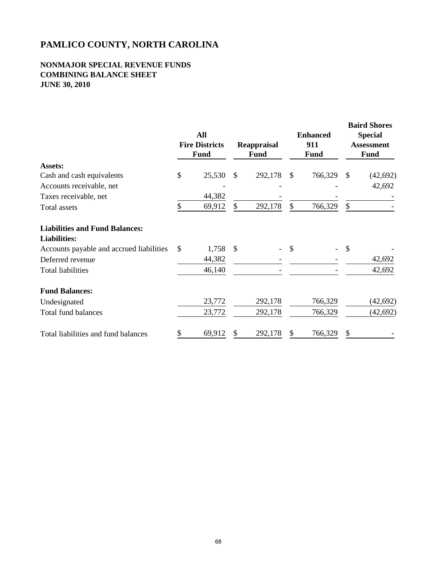#### **NONMAJOR SPECIAL REVENUE FUNDS COMBINING BALANCE SHEET JUNE 30, 2010**

|                                          | All<br><b>Fire Districts</b><br><b>Fund</b> |               | Reappraisal<br><b>Fund</b> |               | <b>Enhanced</b><br>911<br><b>Fund</b> |    | <b>Baird Shores</b><br><b>Special</b><br><b>Assessment</b><br><b>Fund</b> |
|------------------------------------------|---------------------------------------------|---------------|----------------------------|---------------|---------------------------------------|----|---------------------------------------------------------------------------|
| Assets:                                  |                                             |               |                            |               |                                       |    |                                                                           |
| Cash and cash equivalents                | \$<br>25,530                                | S             | 292,178                    | <sup>\$</sup> | 766,329                               | \$ | (42, 692)                                                                 |
| Accounts receivable, net                 |                                             |               |                            |               |                                       |    | 42,692                                                                    |
| Taxes receivable, net                    | 44,382                                      |               |                            |               |                                       |    |                                                                           |
| Total assets                             | 69,912                                      |               | 292,178                    | \$.           | 766,329                               | \$ |                                                                           |
| <b>Liabilities and Fund Balances:</b>    |                                             |               |                            |               |                                       |    |                                                                           |
| <b>Liabilities:</b>                      |                                             |               |                            |               |                                       |    |                                                                           |
| Accounts payable and accrued liabilities | \$<br>1,758                                 | <sup>\$</sup> |                            |               |                                       | \$ |                                                                           |
| Deferred revenue                         | 44,382                                      |               |                            |               |                                       |    | 42,692                                                                    |
| <b>Total liabilities</b>                 | 46,140                                      |               |                            |               |                                       |    | 42,692                                                                    |
| <b>Fund Balances:</b>                    |                                             |               |                            |               |                                       |    |                                                                           |
| Undesignated                             | 23,772                                      |               | 292,178                    |               | 766,329                               |    | (42, 692)                                                                 |
| Total fund balances                      | 23,772                                      |               | 292,178                    |               | 766,329                               |    | (42, 692)                                                                 |
| Total liabilities and fund balances      | 69,912                                      |               | 292,178                    |               | 766,329                               | S  |                                                                           |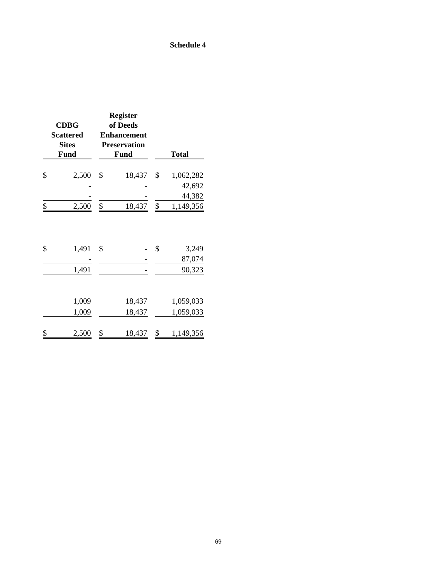### **Schedule 4**

| <b>CDBG</b><br><b>Scattered</b><br><b>Sites</b><br><b>Fund</b> | <b>Register</b><br>of Deeds<br><b>Enhancement</b><br><b>Preservation</b><br><b>Fund</b> | <b>Total</b>                    |
|----------------------------------------------------------------|-----------------------------------------------------------------------------------------|---------------------------------|
| \$<br>2,500                                                    | \$<br>18,437                                                                            | \$<br>1,062,282                 |
|                                                                |                                                                                         | 42,692                          |
|                                                                |                                                                                         | 44,382                          |
| \$<br>2,500                                                    | \$<br>18,437                                                                            | \$<br>1,149,356                 |
| \$<br>1,491<br>1,491                                           | \$                                                                                      | \$<br>3,249<br>87,074<br>90,323 |
| 1,009<br>1,009                                                 | 18,437<br>18,437                                                                        | 1,059,033<br>1,059,033          |
| \$<br>2,500                                                    | \$<br>18,437                                                                            | \$<br>1,149,356                 |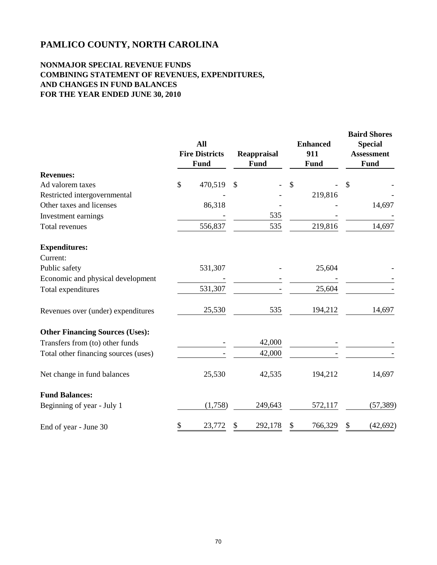#### **NONMAJOR SPECIAL REVENUE FUNDS COMBINING STATEMENT OF REVENUES, EXPENDITURES, AND CHANGES IN FUND BALANCES FOR THE YEAR ENDED JUNE 30, 2010**

|                                        | All<br><b>Fire Districts</b><br>Fund | Reappraisal<br><b>Fund</b> | <b>Enhanced</b><br>911<br><b>Fund</b> | <b>Baird Shores</b><br><b>Special</b><br><b>Assessment</b><br>Fund |
|----------------------------------------|--------------------------------------|----------------------------|---------------------------------------|--------------------------------------------------------------------|
| <b>Revenues:</b>                       |                                      |                            |                                       |                                                                    |
| Ad valorem taxes                       | \$<br>470,519                        | \$                         | \$                                    | \$                                                                 |
| Restricted intergovernmental           |                                      |                            | 219,816                               |                                                                    |
| Other taxes and licenses               | 86,318                               |                            |                                       | 14,697                                                             |
| Investment earnings                    |                                      | 535                        |                                       |                                                                    |
| Total revenues                         | 556,837                              | 535                        | 219,816                               | 14,697                                                             |
| <b>Expenditures:</b>                   |                                      |                            |                                       |                                                                    |
| Current:                               |                                      |                            |                                       |                                                                    |
| Public safety                          | 531,307                              |                            | 25,604                                |                                                                    |
| Economic and physical development      |                                      |                            |                                       |                                                                    |
| Total expenditures                     | 531,307                              |                            | 25,604                                |                                                                    |
| Revenues over (under) expenditures     | 25,530                               | 535                        | 194,212                               | 14,697                                                             |
| <b>Other Financing Sources (Uses):</b> |                                      |                            |                                       |                                                                    |
| Transfers from (to) other funds        |                                      | 42,000                     |                                       |                                                                    |
| Total other financing sources (uses)   |                                      | 42,000                     |                                       |                                                                    |
| Net change in fund balances            | 25,530                               | 42,535                     | 194,212                               | 14,697                                                             |
| <b>Fund Balances:</b>                  |                                      |                            |                                       |                                                                    |
| Beginning of year - July 1             | (1,758)                              | 249,643                    | 572,117                               | (57, 389)                                                          |
| End of year - June 30                  | \$<br>23,772                         | 292,178<br>S               | 766,329                               | (42, 692)<br>\$                                                    |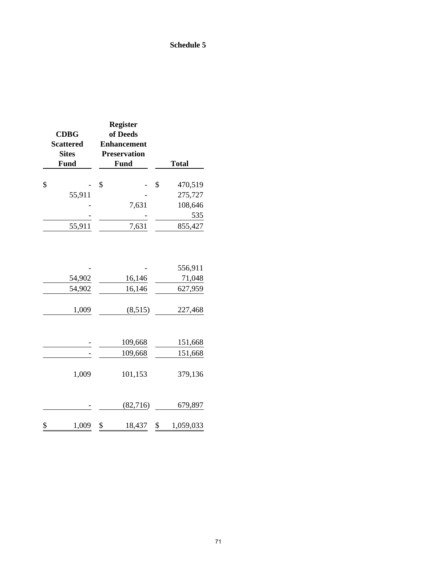### **Schedule 5**

| <b>CDBG</b><br><b>Scattered</b><br><b>Sites</b> | <b>Register</b><br>of Deeds<br><b>Enhancement</b><br><b>Preservation</b> |   |              |
|-------------------------------------------------|--------------------------------------------------------------------------|---|--------------|
| Fund                                            | Fund                                                                     |   | <b>Total</b> |
| \$                                              | S                                                                        | S | 470,519      |
| 55,911                                          |                                                                          |   | 275,727      |
|                                                 | 7,631                                                                    |   | 108,646      |
|                                                 |                                                                          |   | 535          |
| 55,911                                          | 7,631                                                                    |   | 855,427      |

|             |           | 556,911   |
|-------------|-----------|-----------|
| 54,902      | 16,146    | 71,048    |
| 54,902      | 16,146    | 627,959   |
|             |           |           |
| 1,009       | (8,515)   | 227,468   |
|             |           |           |
|             |           |           |
|             | 109,668   | 151,668   |
|             | 109,668   | 151,668   |
|             |           |           |
| 1,009       | 101,153   | 379,136   |
|             |           |           |
|             |           |           |
|             | (82, 716) | 679,897   |
|             |           |           |
| \$<br>1,009 | 18,437    | 1,059,033 |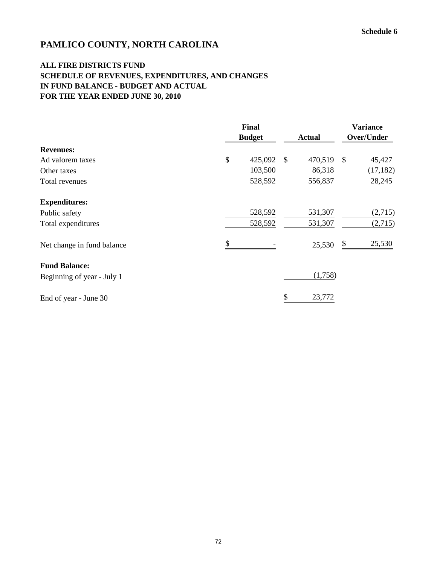## **ALL FIRE DISTRICTS FUND SCHEDULE OF REVENUES, EXPENDITURES, AND CHANGES IN FUND BALANCE - BUDGET AND ACTUAL FOR THE YEAR ENDED JUNE 30, 2010**

|                            | <b>Final</b><br><b>Budget</b> |         |               | <b>Actual</b> | <b>Variance</b><br>Over/Under |           |
|----------------------------|-------------------------------|---------|---------------|---------------|-------------------------------|-----------|
| <b>Revenues:</b>           |                               |         |               |               |                               |           |
| Ad valorem taxes           | \$                            | 425,092 | $\mathcal{S}$ | 470,519       | $\mathcal{S}$                 | 45,427    |
| Other taxes                |                               | 103,500 |               | 86,318        |                               | (17, 182) |
| Total revenues             |                               | 528,592 |               | 556,837       |                               | 28,245    |
| <b>Expenditures:</b>       |                               |         |               |               |                               |           |
| Public safety              |                               | 528,592 |               | 531,307       |                               | (2,715)   |
| Total expenditures         |                               | 528,592 |               | 531,307       |                               | (2,715)   |
| Net change in fund balance | \$                            |         |               | 25,530        | \$                            | 25,530    |
| <b>Fund Balance:</b>       |                               |         |               |               |                               |           |
| Beginning of year - July 1 |                               |         |               | (1,758)       |                               |           |
| End of year - June 30      |                               |         |               | 23,772        |                               |           |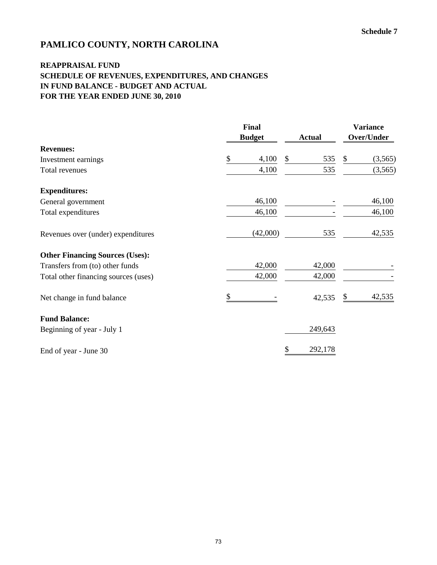## **REAPPRAISAL FUND SCHEDULE OF REVENUES, EXPENDITURES, AND CHANGES IN FUND BALANCE - BUDGET AND ACTUAL FOR THE YEAR ENDED JUNE 30, 2010**

|                                        | Final<br><b>Budget</b> | <b>Actual</b> | <b>Variance</b><br>Over/Under |          |  |
|----------------------------------------|------------------------|---------------|-------------------------------|----------|--|
| <b>Revenues:</b>                       |                        |               |                               |          |  |
| Investment earnings                    | \$<br>4,100            | \$<br>535     | \$                            | (3, 565) |  |
| Total revenues                         | 4,100                  | 535           |                               | (3,565)  |  |
| <b>Expenditures:</b>                   |                        |               |                               |          |  |
| General government                     | 46,100                 |               |                               | 46,100   |  |
| Total expenditures                     | 46,100                 |               |                               | 46,100   |  |
| Revenues over (under) expenditures     | (42,000)               | 535           |                               | 42,535   |  |
| <b>Other Financing Sources (Uses):</b> |                        |               |                               |          |  |
| Transfers from (to) other funds        | 42,000                 | 42,000        |                               |          |  |
| Total other financing sources (uses)   | 42,000                 | 42,000        |                               |          |  |
| Net change in fund balance             | \$                     | 42,535        | \$                            | 42,535   |  |
| <b>Fund Balance:</b>                   |                        |               |                               |          |  |
| Beginning of year - July 1             |                        | 249,643       |                               |          |  |
| End of year - June 30                  |                        | \$<br>292,178 |                               |          |  |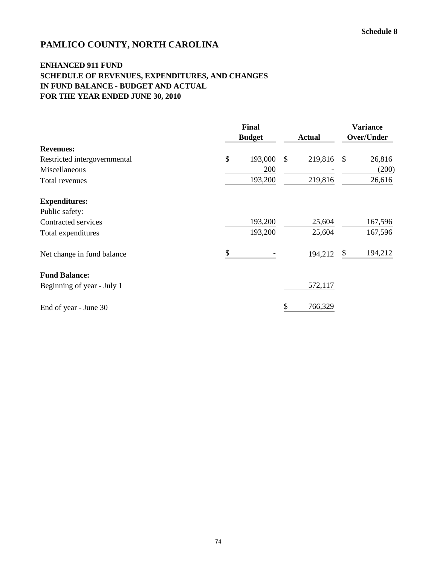## **ENHANCED 911 FUND SCHEDULE OF REVENUES, EXPENDITURES, AND CHANGES IN FUND BALANCE - BUDGET AND ACTUAL FOR THE YEAR ENDED JUNE 30, 2010**

|                              | <b>Final</b><br><b>Budget</b> | <b>Actual</b>           | <b>Variance</b><br>Over/Under |  |
|------------------------------|-------------------------------|-------------------------|-------------------------------|--|
| <b>Revenues:</b>             |                               |                         |                               |  |
| Restricted intergovernmental | \$<br>193,000                 | $\mathbb{S}$<br>219,816 | 26,816<br>$\mathcal{S}$       |  |
| Miscellaneous                | 200                           |                         | (200)                         |  |
| Total revenues               | 193,200                       | 219,816                 | 26,616                        |  |
| <b>Expenditures:</b>         |                               |                         |                               |  |
| Public safety:               |                               |                         |                               |  |
| Contracted services          | 193,200                       | 25,604                  | 167,596                       |  |
| Total expenditures           | 193,200                       | 25,604                  | 167,596                       |  |
| Net change in fund balance   |                               | 194,212                 | 194,212<br>\$                 |  |
| <b>Fund Balance:</b>         |                               |                         |                               |  |
| Beginning of year - July 1   |                               | 572,117                 |                               |  |
| End of year - June 30        |                               | \$<br>766,329           |                               |  |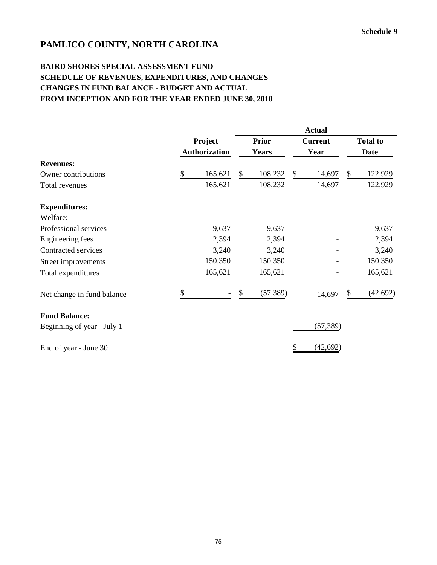## **BAIRD SHORES SPECIAL ASSESSMENT FUND SCHEDULE OF REVENUES, EXPENDITURES, AND CHANGES CHANGES IN FUND BALANCE - BUDGET AND ACTUAL FROM INCEPTION AND FOR THE YEAR ENDED JUNE 30, 2010**

|                            |                |                      |              | <b>Actual</b> |                |           |                 |             |  |  |  |
|----------------------------|----------------|----------------------|--------------|---------------|----------------|-----------|-----------------|-------------|--|--|--|
|                            | <b>Project</b> |                      | <b>Prior</b> |               | <b>Current</b> |           | <b>Total to</b> |             |  |  |  |
|                            |                | <b>Authorization</b> |              | <b>Years</b>  |                | Year      |                 | <b>Date</b> |  |  |  |
| <b>Revenues:</b>           |                |                      |              |               |                |           |                 |             |  |  |  |
| Owner contributions        | \$             | 165,621              | \$           | 108,232       | \$             | 14,697    | \$              | 122,929     |  |  |  |
| Total revenues             |                | 165,621              |              | 108,232       |                | 14,697    |                 | 122,929     |  |  |  |
| <b>Expenditures:</b>       |                |                      |              |               |                |           |                 |             |  |  |  |
| Welfare:                   |                |                      |              |               |                |           |                 |             |  |  |  |
| Professional services      |                | 9,637                |              | 9,637         |                |           |                 | 9,637       |  |  |  |
| Engineering fees           |                | 2,394                |              | 2,394         |                |           |                 | 2,394       |  |  |  |
| Contracted services        |                | 3,240                |              | 3,240         |                |           |                 | 3,240       |  |  |  |
| Street improvements        |                | 150,350              |              | 150,350       |                |           |                 | 150,350     |  |  |  |
| Total expenditures         |                | 165,621              |              | 165,621       |                |           |                 | 165,621     |  |  |  |
| Net change in fund balance | \$             |                      | \$           | (57, 389)     |                | 14,697    | \$              | (42, 692)   |  |  |  |
| <b>Fund Balance:</b>       |                |                      |              |               |                |           |                 |             |  |  |  |
| Beginning of year - July 1 |                |                      |              |               |                | (57, 389) |                 |             |  |  |  |
| End of year - June 30      |                |                      |              |               | \$             | (42, 692) |                 |             |  |  |  |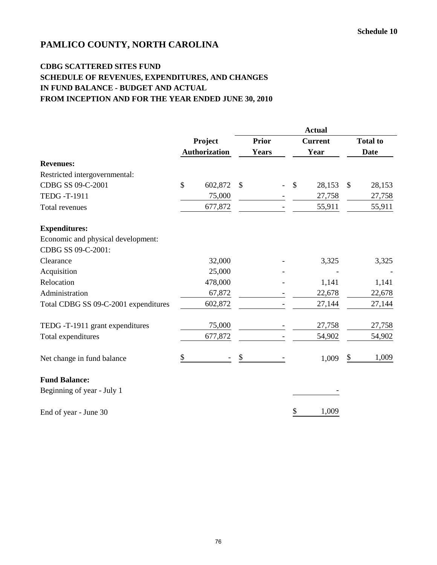## **CDBG SCATTERED SITES FUND SCHEDULE OF REVENUES, EXPENDITURES, AND CHANGES IN FUND BALANCE - BUDGET AND ACTUAL FROM INCEPTION AND FOR THE YEAR ENDED JUNE 30, 2010**

|                                      |              |                      |               | <b>Actual</b> |  |    |                |    |                 |  |  |
|--------------------------------------|--------------|----------------------|---------------|---------------|--|----|----------------|----|-----------------|--|--|
|                                      |              | Project              |               | <b>Prior</b>  |  |    | <b>Current</b> |    | <b>Total to</b> |  |  |
|                                      |              | <b>Authorization</b> |               | <b>Years</b>  |  |    | Year           |    | <b>Date</b>     |  |  |
| <b>Revenues:</b>                     |              |                      |               |               |  |    |                |    |                 |  |  |
| Restricted intergovernmental:        |              |                      |               |               |  |    |                |    |                 |  |  |
| CDBG SS 09-C-2001                    | $\mathbb{S}$ | 602,872              | $\mathcal{S}$ |               |  | \$ | 28,153         | \$ | 28,153          |  |  |
| <b>TEDG-T-1911</b>                   |              | 75,000               |               |               |  |    | 27,758         |    | 27,758          |  |  |
| Total revenues                       |              | 677,872              |               |               |  |    | 55,911         |    | 55,911          |  |  |
| <b>Expenditures:</b>                 |              |                      |               |               |  |    |                |    |                 |  |  |
| Economic and physical development:   |              |                      |               |               |  |    |                |    |                 |  |  |
| CDBG SS 09-C-2001:                   |              |                      |               |               |  |    |                |    |                 |  |  |
| Clearance                            |              | 32,000               |               |               |  |    | 3,325          |    | 3,325           |  |  |
| Acquisition                          |              | 25,000               |               |               |  |    |                |    |                 |  |  |
| Relocation                           |              | 478,000              |               |               |  |    | 1,141          |    | 1,141           |  |  |
| Administration                       |              | 67,872               |               |               |  |    | 22,678         |    | 22,678          |  |  |
| Total CDBG SS 09-C-2001 expenditures |              | 602,872              |               |               |  |    | 27,144         |    | 27,144          |  |  |
| TEDG -T-1911 grant expenditures      |              | 75,000               |               |               |  |    | 27,758         |    | 27,758          |  |  |
| Total expenditures                   |              | 677,872              |               |               |  |    | 54,902         |    | 54,902          |  |  |
| Net change in fund balance           | \$           |                      | \$            |               |  |    | 1,009          | \$ | 1,009           |  |  |
| <b>Fund Balance:</b>                 |              |                      |               |               |  |    |                |    |                 |  |  |
| Beginning of year - July 1           |              |                      |               |               |  |    |                |    |                 |  |  |
| End of year - June 30                |              |                      |               |               |  | \$ | 1,009          |    |                 |  |  |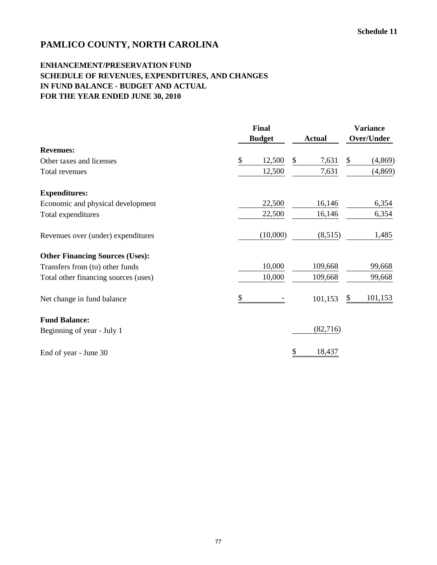#### **ENHANCEMENT/PRESERVATION FUND SCHEDULE OF REVENUES, EXPENDITURES, AND CHANGES IN FUND BALANCE - BUDGET AND ACTUAL FOR THE YEAR ENDED JUNE 30, 2010**

|                                        | Final<br><b>Budget</b> | <b>Actual</b> | <b>Variance</b><br>Over/Under |
|----------------------------------------|------------------------|---------------|-------------------------------|
| <b>Revenues:</b>                       |                        |               |                               |
| Other taxes and licenses               | \$<br>12,500           | \$<br>7,631   | \$<br>(4, 869)                |
| Total revenues                         | 12,500                 | 7,631         | (4, 869)                      |
| <b>Expenditures:</b>                   |                        |               |                               |
| Economic and physical development      | 22,500                 | 16,146        | 6,354                         |
| Total expenditures                     | 22,500                 | 16,146        | 6,354                         |
| Revenues over (under) expenditures     | (10,000)               | (8,515)       | 1,485                         |
| <b>Other Financing Sources (Uses):</b> |                        |               |                               |
| Transfers from (to) other funds        | 10,000                 | 109,668       | 99,668                        |
| Total other financing sources (uses)   | 10,000                 | 109,668       | 99,668                        |
| Net change in fund balance             | \$                     | 101,153       | 101,153<br>\$                 |
| <b>Fund Balance:</b>                   |                        |               |                               |
| Beginning of year - July 1             |                        | (82,716)      |                               |
| End of year - June 30                  |                        | 18,437<br>\$  |                               |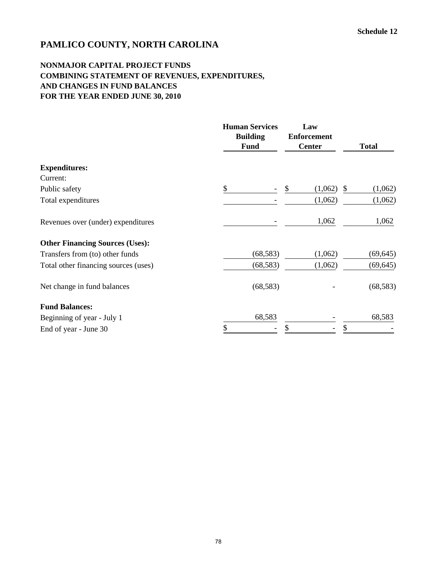## **NONMAJOR CAPITAL PROJECT FUNDS COMBINING STATEMENT OF REVENUES, EXPENDITURES, AND CHANGES IN FUND BALANCES FOR THE YEAR ENDED JUNE 30, 2010**

|                                        | <b>Human Services</b><br><b>Building</b><br><b>Fund</b> | Law<br><b>Enforcement</b><br><b>Center</b> | <b>Total</b>                         |
|----------------------------------------|---------------------------------------------------------|--------------------------------------------|--------------------------------------|
| <b>Expenditures:</b>                   |                                                         |                                            |                                      |
| Current:                               |                                                         |                                            |                                      |
| Public safety                          | \$                                                      | \$<br>(1,062)                              | (1,062)<br>$\boldsymbol{\mathsf{S}}$ |
| Total expenditures                     |                                                         | (1,062)                                    | (1,062)                              |
| Revenues over (under) expenditures     |                                                         | 1,062                                      | 1,062                                |
| <b>Other Financing Sources (Uses):</b> |                                                         |                                            |                                      |
| Transfers from (to) other funds        | (68, 583)                                               | (1,062)                                    | (69, 645)                            |
| Total other financing sources (uses)   | (68, 583)                                               | (1,062)                                    | (69, 645)                            |
| Net change in fund balances            | (68, 583)                                               |                                            | (68, 583)                            |
| <b>Fund Balances:</b>                  |                                                         |                                            |                                      |
| Beginning of year - July 1             | 68,583                                                  |                                            | 68,583                               |
| End of year - June 30                  | \$                                                      |                                            | \$                                   |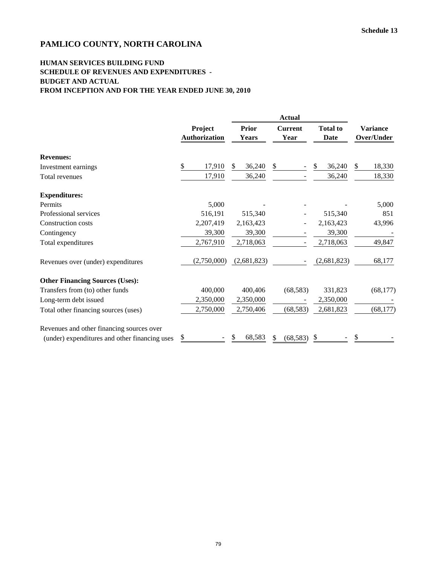#### **HUMAN SERVICES BUILDING FUND SCHEDULE OF REVENUES AND EXPENDITURES - BUDGET AND ACTUAL FROM INCEPTION AND FOR THE YEAR ENDED JUNE 30, 2010**

|                                               | <b>Actual</b> |                      |  |              |               |                |    |                 |    |                 |
|-----------------------------------------------|---------------|----------------------|--|--------------|---------------|----------------|----|-----------------|----|-----------------|
|                                               | Project       |                      |  | <b>Prior</b> |               | <b>Current</b> |    | <b>Total to</b> |    | <b>Variance</b> |
|                                               |               | <b>Authorization</b> |  | <b>Years</b> |               | Year           |    | <b>Date</b>     |    | Over/Under      |
| <b>Revenues:</b>                              |               |                      |  |              |               |                |    |                 |    |                 |
| Investment earnings                           | \$            | 17,910               |  | 36,240       | $\mathcal{S}$ |                | \$ | 36,240          | \$ | 18,330          |
| Total revenues                                |               | 17,910               |  | 36,240       |               |                |    | 36,240          |    | 18,330          |
| <b>Expenditures:</b>                          |               |                      |  |              |               |                |    |                 |    |                 |
| Permits                                       |               | 5,000                |  |              |               |                |    |                 |    | 5,000           |
| Professional services                         |               | 516,191              |  | 515,340      |               |                |    | 515,340         |    | 851             |
| <b>Construction costs</b>                     |               | 2,207,419            |  | 2,163,423    |               |                |    | 2,163,423       |    | 43,996          |
| Contingency                                   |               | 39,300               |  | 39,300       |               |                |    | 39,300          |    |                 |
| Total expenditures                            |               | 2,767,910            |  | 2,718,063    |               |                |    | 2,718,063       |    | 49,847          |
| Revenues over (under) expenditures            |               | (2,750,000)          |  | (2,681,823)  |               |                |    | (2,681,823)     |    | 68,177          |
| <b>Other Financing Sources (Uses):</b>        |               |                      |  |              |               |                |    |                 |    |                 |
| Transfers from (to) other funds               |               | 400,000              |  | 400,406      |               | (68, 583)      |    | 331,823         |    | (68, 177)       |
| Long-term debt issued                         |               | 2,350,000            |  | 2,350,000    |               |                |    | 2,350,000       |    |                 |
| Total other financing sources (uses)          |               | 2,750,000            |  | 2,750,406    |               | (68, 583)      |    | 2,681,823       |    | (68, 177)       |
| Revenues and other financing sources over     |               |                      |  |              |               |                |    |                 |    |                 |
| (under) expenditures and other financing uses | \$            |                      |  | 68,583       | \$            | (68, 583)      | \$ |                 |    |                 |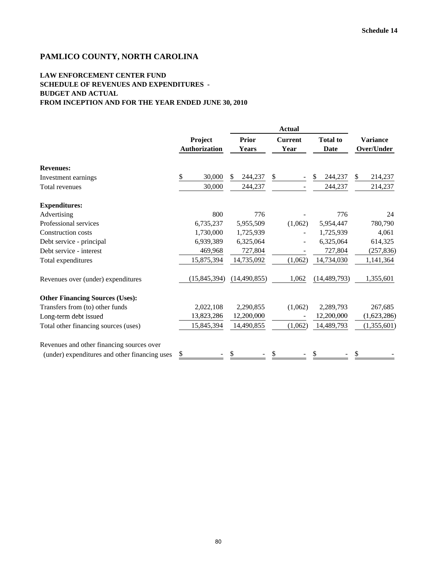#### **LAW ENFORCEMENT CENTER FUND SCHEDULE OF REVENUES AND EXPENDITURES - BUDGET AND ACTUAL FROM INCEPTION AND FOR THE YEAR ENDED JUNE 30, 2010**

|                                               |                          |                       | <b>Actual</b>                  |                |                               |
|-----------------------------------------------|--------------------------|-----------------------|--------------------------------|----------------|-------------------------------|
|                                               | Project<br>Authorization | Prior<br><b>Years</b> | <b>Current</b><br>Year         |                | <b>Variance</b><br>Over/Under |
| <b>Revenues:</b>                              |                          |                       |                                |                |                               |
| Investment earnings                           | \$<br>30,000             | \$<br>244,237         | \$<br>$\overline{\phantom{a}}$ | 244,237<br>S   | $\mathbb{S}$<br>214,237       |
| Total revenues                                | 30,000                   | 244,237               |                                | 244,237        | 214,237                       |
| <b>Expenditures:</b>                          |                          |                       |                                |                |                               |
| Advertising                                   | 800                      | 776                   |                                | 776            | 24                            |
| Professional services                         | 6,735,237                | 5,955,509             | (1,062)                        | 5,954,447      | 780,790                       |
| <b>Construction costs</b>                     | 1,730,000                | 1,725,939             |                                | 1,725,939      | 4,061                         |
| Debt service - principal                      | 6,939,389                | 6,325,064             |                                | 6,325,064      | 614,325                       |
| Debt service - interest                       | 469,968                  | 727,804               |                                | 727,804        | (257, 836)                    |
| Total expenditures                            | 15,875,394               | 14,735,092            | (1,062)                        | 14,734,030     | 1,141,364                     |
| Revenues over (under) expenditures            | (15, 845, 394)           | (14, 490, 855)        | 1,062                          | (14, 489, 793) | 1,355,601                     |
| <b>Other Financing Sources (Uses):</b>        |                          |                       |                                |                |                               |
| Transfers from (to) other funds               | 2,022,108                | 2,290,855             | (1,062)                        | 2,289,793      | 267,685                       |
| Long-term debt issued                         | 13,823,286               | 12,200,000            |                                | 12,200,000     | (1,623,286)                   |
| Total other financing sources (uses)          | 15,845,394               | 14,490,855            | (1,062)                        | 14,489,793     | (1,355,601)                   |
| Revenues and other financing sources over     |                          |                       |                                |                |                               |
| (under) expenditures and other financing uses | \$                       | S                     | S                              |                | S                             |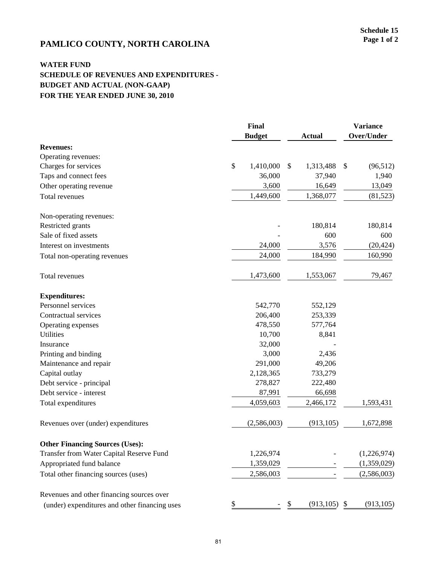# **PAMLICO COUNTY, NORTH CAROLINA** Page 1 of 2

#### **WATER FUND SCHEDULE OF REVENUES AND EXPENDITURES - BUDGET AND ACTUAL (NON-GAAP) FOR THE YEAR ENDED JUNE 30, 2010**

|                                               | Final |               |    |                 |    | <b>Variance</b> |  |
|-----------------------------------------------|-------|---------------|----|-----------------|----|-----------------|--|
|                                               |       | <b>Budget</b> |    | <b>Actual</b>   |    | Over/Under      |  |
| <b>Revenues:</b>                              |       |               |    |                 |    |                 |  |
| Operating revenues:                           |       |               |    |                 |    |                 |  |
| Charges for services                          | \$    | 1,410,000     | \$ | 1,313,488       | \$ | (96, 512)       |  |
| Taps and connect fees                         |       | 36,000        |    | 37,940          |    | 1,940           |  |
| Other operating revenue                       |       | 3,600         |    | 16,649          |    | 13,049          |  |
| Total revenues                                |       | 1,449,600     |    | 1,368,077       |    | (81, 523)       |  |
| Non-operating revenues:                       |       |               |    |                 |    |                 |  |
| Restricted grants                             |       |               |    | 180,814         |    | 180,814         |  |
| Sale of fixed assets                          |       |               |    | 600             |    | 600             |  |
| Interest on investments                       |       | 24,000        |    | 3,576           |    | (20, 424)       |  |
| Total non-operating revenues                  |       | 24,000        |    | 184,990         |    | 160,990         |  |
| Total revenues                                |       | 1,473,600     |    | 1,553,067       |    | 79,467          |  |
| <b>Expenditures:</b>                          |       |               |    |                 |    |                 |  |
| Personnel services                            |       | 542,770       |    | 552,129         |    |                 |  |
| Contractual services                          |       | 206,400       |    | 253,339         |    |                 |  |
| Operating expenses                            |       | 478,550       |    | 577,764         |    |                 |  |
| <b>Utilities</b>                              |       | 10,700        |    | 8,841           |    |                 |  |
| Insurance                                     |       | 32,000        |    |                 |    |                 |  |
| Printing and binding                          |       | 3,000         |    | 2,436           |    |                 |  |
| Maintenance and repair                        |       | 291,000       |    | 49,206          |    |                 |  |
| Capital outlay                                |       | 2,128,365     |    | 733,279         |    |                 |  |
| Debt service - principal                      |       | 278,827       |    | 222,480         |    |                 |  |
| Debt service - interest                       |       | 87,991        |    | 66,698          |    |                 |  |
| Total expenditures                            |       | 4,059,603     |    | 2,466,172       |    | 1,593,431       |  |
| Revenues over (under) expenditures            |       | (2,586,003)   |    | (913, 105)      |    | 1,672,898       |  |
| <b>Other Financing Sources (Uses):</b>        |       |               |    |                 |    |                 |  |
| Transfer from Water Capital Reserve Fund      |       | 1,226,974     |    |                 |    | (1,226,974)     |  |
| Appropriated fund balance                     |       | 1,359,029     |    |                 |    | (1,359,029)     |  |
| Total other financing sources (uses)          |       | 2,586,003     |    |                 |    | (2,586,003)     |  |
| Revenues and other financing sources over     |       |               |    |                 |    |                 |  |
| (under) expenditures and other financing uses | \$    |               | \$ | $(913, 105)$ \$ |    | (913, 105)      |  |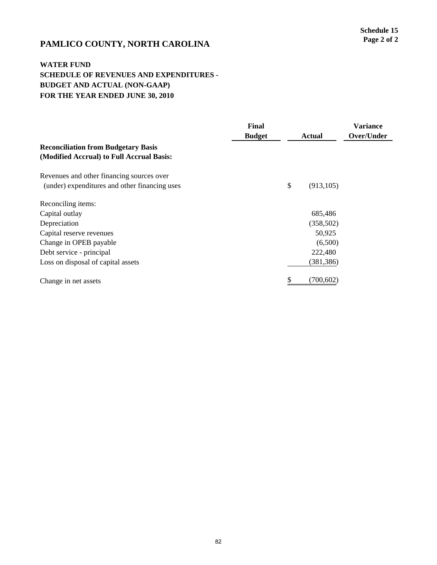# **PAMLICO COUNTY, NORTH CAROLINA** Page 2 of 2

#### **WATER FUND SCHEDULE OF REVENUES AND EXPENDITURES - BUDGET AND ACTUAL (NON-GAAP) FOR THE YEAR ENDED JUNE 30, 2010**

|                                               | Final<br><b>Budget</b> | <b>Actual</b>    | <b>Variance</b><br>Over/Under |
|-----------------------------------------------|------------------------|------------------|-------------------------------|
| <b>Reconciliation from Budgetary Basis</b>    |                        |                  |                               |
| (Modified Accrual) to Full Accrual Basis:     |                        |                  |                               |
| Revenues and other financing sources over     |                        |                  |                               |
| (under) expenditures and other financing uses |                        | \$<br>(913, 105) |                               |
| Reconciling items:                            |                        |                  |                               |
| Capital outlay                                |                        | 685,486          |                               |
| Depreciation                                  |                        | (358, 502)       |                               |
| Capital reserve revenues                      |                        | 50,925           |                               |
| Change in OPEB payable                        |                        | (6,500)          |                               |
| Debt service - principal                      |                        | 222,480          |                               |
| Loss on disposal of capital assets            |                        | (381, 386)       |                               |
| Change in net assets                          |                        | (700,602)        |                               |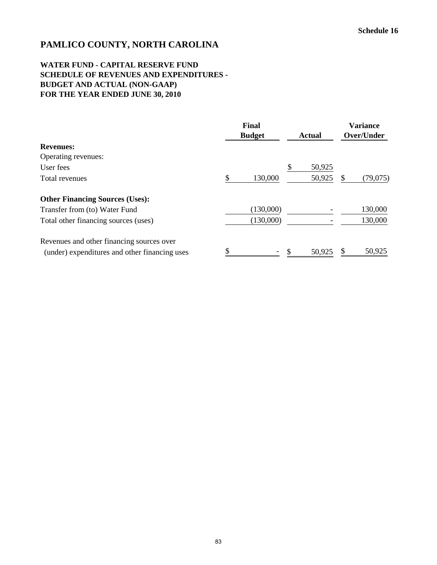#### **WATER FUND - CAPITAL RESERVE FUND SCHEDULE OF REVENUES AND EXPENDITURES - BUDGET AND ACTUAL (NON-GAAP) FOR THE YEAR ENDED JUNE 30, 2010**

|                                               | Final<br><b>Budget</b> |    | <b>Actual</b> | <b>Variance</b><br>Over/Under |          |
|-----------------------------------------------|------------------------|----|---------------|-------------------------------|----------|
| <b>Revenues:</b>                              |                        |    |               |                               |          |
| Operating revenues:                           |                        |    |               |                               |          |
| User fees                                     |                        | ъ. | 50,925        |                               |          |
| Total revenues                                | \$<br>130,000          |    | 50,925        |                               | (79,075) |
| <b>Other Financing Sources (Uses):</b>        |                        |    |               |                               |          |
| Transfer from (to) Water Fund                 | (130,000)              |    |               |                               | 130,000  |
| Total other financing sources (uses)          | (130,000)              |    |               |                               | 130,000  |
| Revenues and other financing sources over     |                        |    |               |                               |          |
| (under) expenditures and other financing uses |                        |    | 50,925        |                               | 50,925   |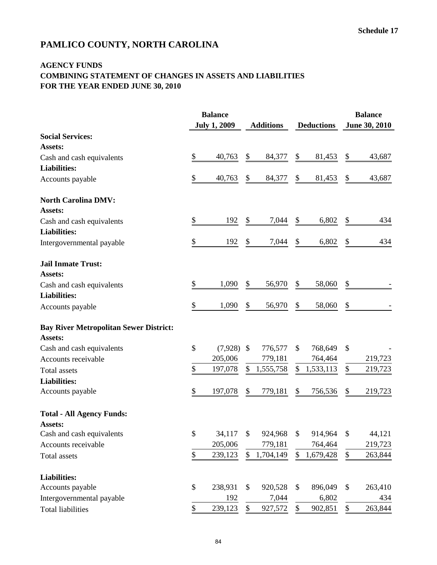#### **AGENCY FUNDS COMBINING STATEMENT OF CHANGES IN ASSETS AND LIABILITIES FOR THE YEAR ENDED JUNE 30, 2010**

|                                               |                   | <b>Balance</b><br><b>July 1, 2009</b> | <b>Additions</b> |           | <b>Deductions</b> |           | <b>Balance</b><br>June 30, 2010 |         |
|-----------------------------------------------|-------------------|---------------------------------------|------------------|-----------|-------------------|-----------|---------------------------------|---------|
| <b>Social Services:</b>                       |                   |                                       |                  |           |                   |           |                                 |         |
| Assets:                                       |                   |                                       |                  |           |                   |           |                                 |         |
| Cash and cash equivalents                     | \$                | 40,763                                | \$               | 84,377    | \$                | 81,453    | \$                              | 43,687  |
| <b>Liabilities:</b>                           |                   |                                       |                  |           |                   |           |                                 |         |
| Accounts payable                              | \$                | 40,763                                | \$               | 84,377    | \$                | 81,453    | \$                              | 43,687  |
| <b>North Carolina DMV:</b>                    |                   |                                       |                  |           |                   |           |                                 |         |
| Assets:                                       |                   |                                       |                  |           |                   |           |                                 |         |
| Cash and cash equivalents                     | \$                | 192                                   | \$               | 7,044     | \$                | 6,802     | \$                              | 434     |
| <b>Liabilities:</b>                           |                   |                                       |                  |           |                   |           |                                 |         |
| Intergovernmental payable                     | \$                | 192                                   | \$               | 7,044     | \$                | 6,802     | \$                              | 434     |
| <b>Jail Inmate Trust:</b>                     |                   |                                       |                  |           |                   |           |                                 |         |
| Assets:                                       |                   |                                       |                  |           |                   |           |                                 |         |
| Cash and cash equivalents                     | \$                | 1,090                                 | \$               | 56,970    | \$                | 58,060    | \$                              |         |
| <b>Liabilities:</b>                           |                   |                                       |                  |           |                   |           |                                 |         |
| Accounts payable                              | \$                | 1,090                                 | \$               | 56,970    | \$                | 58,060    | \$                              |         |
| <b>Bay River Metropolitan Sewer District:</b> |                   |                                       |                  |           |                   |           |                                 |         |
| Assets:                                       |                   |                                       |                  |           |                   |           |                                 |         |
| Cash and cash equivalents                     | \$                | $(7,928)$ \$                          |                  | 776,577   | \$                | 768,649   | \$                              |         |
| Accounts receivable                           |                   | 205,006                               |                  | 779,181   |                   | 764,464   |                                 | 219,723 |
| <b>Total</b> assets                           | \$                | 197,078                               | \$               | 1,555,758 | \$                | 1,533,113 | \$                              | 219,723 |
| <b>Liabilities:</b>                           |                   |                                       |                  |           |                   |           |                                 |         |
| Accounts payable                              | \$                | 197,078                               | \$               | 779,181   | \$                | 756,536   | \$                              | 219,723 |
| <b>Total - All Agency Funds:</b><br>Assets:   |                   |                                       |                  |           |                   |           |                                 |         |
| Cash and cash equivalents                     | \$                | 34,117                                | \$               | 924,968   | \$                | 914,964   | \$                              | 44,121  |
| Accounts receivable                           |                   | 205,006                               |                  | 779,181   |                   | 764,464   |                                 | 219,723 |
| Total assets                                  | $\boldsymbol{\$}$ | 239,123                               | \$               | 1,704,149 | \$                | 1,679,428 | \$                              | 263,844 |
| <b>Liabilities:</b>                           |                   |                                       |                  |           |                   |           |                                 |         |
| Accounts payable                              | \$                | 238,931                               | \$               | 920,528   | \$                | 896,049   | \$                              | 263,410 |
| Intergovernmental payable                     |                   | 192                                   |                  | 7,044     |                   | 6,802     |                                 | 434     |
| <b>Total liabilities</b>                      | \$                | 239,123                               | \$               | 927,572   | \$                | 902,851   | \$                              | 263,844 |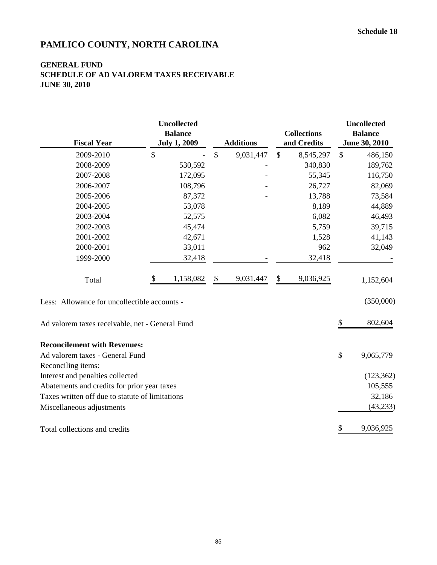#### **GENERAL FUND SCHEDULE OF AD VALOREM TAXES RECEIVABLE JUNE 30, 2010**

| <b>Fiscal Year</b>                                                              | <b>Uncollected</b><br><b>Balance</b><br><b>July 1, 2009</b> |               | <b>Additions</b> |                            | <b>Collections</b><br>and Credits |               | <b>Uncollected</b><br><b>Balance</b><br>June 30, 2010 |
|---------------------------------------------------------------------------------|-------------------------------------------------------------|---------------|------------------|----------------------------|-----------------------------------|---------------|-------------------------------------------------------|
| 2009-2010                                                                       | \$                                                          | $\mathcal{S}$ | 9,031,447        | $\mathcal{S}$              | 8,545,297                         | $\mathcal{S}$ | 486,150                                               |
| 2008-2009                                                                       | 530,592                                                     |               |                  |                            | 340,830                           |               | 189,762                                               |
| 2007-2008                                                                       | 172,095                                                     |               |                  |                            | 55,345                            |               | 116,750                                               |
| 2006-2007                                                                       | 108,796                                                     |               |                  |                            | 26,727                            |               | 82,069                                                |
| 2005-2006                                                                       | 87,372                                                      |               |                  |                            | 13,788                            |               | 73,584                                                |
| 2004-2005                                                                       | 53,078                                                      |               |                  |                            | 8,189                             |               | 44,889                                                |
| 2003-2004                                                                       | 52,575                                                      |               |                  |                            | 6,082                             |               | 46,493                                                |
| 2002-2003                                                                       | 45,474                                                      |               |                  |                            | 5,759                             |               | 39,715                                                |
| 2001-2002                                                                       | 42,671                                                      |               |                  |                            | 1,528                             |               | 41,143                                                |
| 2000-2001                                                                       | 33,011                                                      |               |                  |                            | 962                               |               | 32,049                                                |
| 1999-2000                                                                       | 32,418                                                      |               |                  |                            | 32,418                            |               |                                                       |
| Total                                                                           | \$<br>1,158,082                                             | \$            | 9,031,447        | $\boldsymbol{\mathsf{\$}}$ | 9,036,925                         |               | 1,152,604                                             |
| Less: Allowance for uncollectible accounts -                                    |                                                             |               |                  |                            |                                   |               | (350,000)                                             |
| Ad valorem taxes receivable, net - General Fund                                 |                                                             |               |                  |                            |                                   | \$            | 802,604                                               |
| <b>Reconcilement with Revenues:</b><br>Ad valorem taxes - General Fund          |                                                             |               |                  |                            |                                   | \$            | 9,065,779                                             |
| Reconciling items:                                                              |                                                             |               |                  |                            |                                   |               |                                                       |
| Interest and penalties collected<br>Abatements and credits for prior year taxes |                                                             |               |                  |                            |                                   |               | (123, 362)<br>105,555                                 |
| Taxes written off due to statute of limitations                                 |                                                             |               |                  |                            |                                   |               | 32,186                                                |
|                                                                                 |                                                             |               |                  |                            |                                   |               | (43, 233)                                             |
| Miscellaneous adjustments                                                       |                                                             |               |                  |                            |                                   |               |                                                       |
| Total collections and credits                                                   |                                                             |               |                  |                            |                                   | \$            | 9,036,925                                             |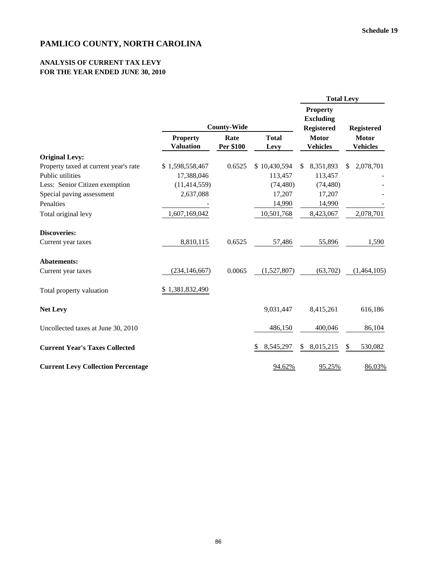#### **ANALYSIS OF CURRENT TAX LEVY FOR THE YEAR ENDED JUNE 30, 2010**

|                                           |                                     |                    |                      | <b>Total Levy</b>                                        |                                 |  |  |  |
|-------------------------------------------|-------------------------------------|--------------------|----------------------|----------------------------------------------------------|---------------------------------|--|--|--|
|                                           |                                     | <b>County-Wide</b> |                      | <b>Property</b><br><b>Excluding</b><br><b>Registered</b> | <b>Registered</b>               |  |  |  |
|                                           | <b>Property</b><br><b>Valuation</b> | Rate<br>Per \$100  | <b>Total</b><br>Levy | <b>Motor</b><br><b>Vehicles</b>                          | <b>Motor</b><br><b>Vehicles</b> |  |  |  |
| <b>Original Levy:</b>                     |                                     |                    |                      |                                                          |                                 |  |  |  |
| Property taxed at current year's rate     | \$1,598,558,467                     | 0.6525             | \$10,430,594         | 8,351,893<br>\$                                          | 2,078,701<br>\$                 |  |  |  |
| Public utilities                          | 17,388,046                          |                    | 113,457              | 113,457                                                  |                                 |  |  |  |
| Less: Senior Citizen exemption            | (11, 414, 559)                      |                    | (74, 480)            | (74, 480)                                                |                                 |  |  |  |
| Special paving assessment                 | 2,637,088                           |                    | 17,207               | 17,207                                                   |                                 |  |  |  |
| Penalties                                 |                                     |                    | 14,990               | 14,990                                                   |                                 |  |  |  |
| Total original levy                       | 1,607,169,042                       |                    | 10,501,768           | 8,423,067                                                | 2,078,701                       |  |  |  |
| <b>Discoveries:</b>                       |                                     |                    |                      |                                                          |                                 |  |  |  |
| Current year taxes                        | 8,810,115                           | 0.6525             | 57,486               | 55,896                                                   | 1,590                           |  |  |  |
| <b>Abatements:</b>                        |                                     |                    |                      |                                                          |                                 |  |  |  |
| Current year taxes                        | (234, 146, 667)                     | 0.0065             | (1,527,807)          | (63,702)                                                 | (1,464,105)                     |  |  |  |
| Total property valuation                  | \$1,381,832,490                     |                    |                      |                                                          |                                 |  |  |  |
| <b>Net Levy</b>                           |                                     |                    | 9,031,447            | 8,415,261                                                | 616,186                         |  |  |  |
| Uncollected taxes at June 30, 2010        |                                     |                    | 486,150              | 400,046                                                  | 86,104                          |  |  |  |
| <b>Current Year's Taxes Collected</b>     |                                     |                    | 8,545,297<br>S       | 8,015,215<br>\$                                          | 530,082<br>\$                   |  |  |  |
| <b>Current Levy Collection Percentage</b> |                                     |                    | 94.62%               | 95.25%                                                   | 86.03%                          |  |  |  |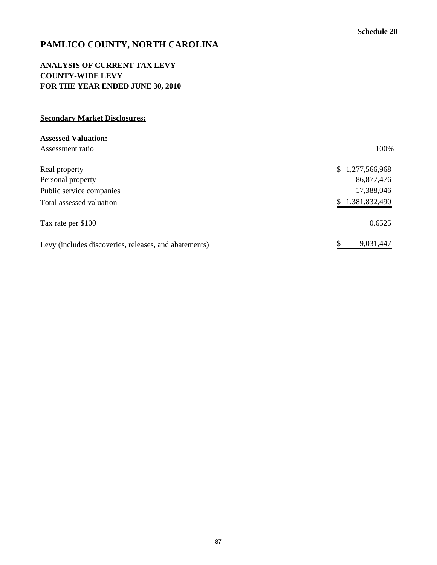## **ANALYSIS OF CURRENT TAX LEVY COUNTY-WIDE LEVY FOR THE YEAR ENDED JUNE 30, 2010**

## **Secondary Market Disclosures:**

| <b>Assessed Valuation:</b>                            |                     |
|-------------------------------------------------------|---------------------|
| Assessment ratio                                      | 100%                |
| Real property                                         | 1,277,566,968<br>S. |
| Personal property                                     | 86,877,476          |
| Public service companies                              | 17,388,046          |
| Total assessed valuation                              | 1,381,832,490       |
| Tax rate per \$100                                    | 0.6525              |
| Levy (includes discoveries, releases, and abatements) | 9,031,447           |